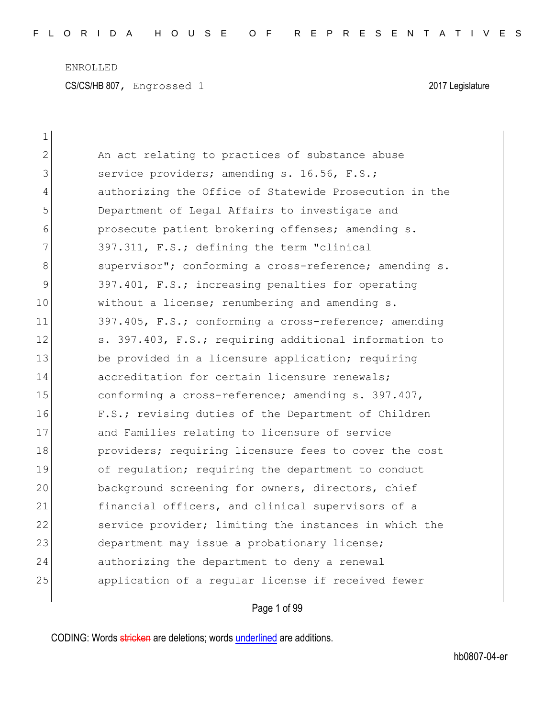| $\mathbf 1$ |                                                        |
|-------------|--------------------------------------------------------|
| 2           | An act relating to practices of substance abuse        |
| 3           | service providers; amending s. 16.56, F.S.;            |
| 4           | authorizing the Office of Statewide Prosecution in the |
| 5           | Department of Legal Affairs to investigate and         |
| 6           | prosecute patient brokering offenses; amending s.      |
| 7           | 397.311, F.S.; defining the term "clinical             |
| 8           | supervisor"; conforming a cross-reference; amending s. |
| 9           | 397.401, F.S.; increasing penalties for operating      |
| 10          | without a license; renumbering and amending s.         |
| 11          | 397.405, F.S.; conforming a cross-reference; amending  |
| 12          | s. 397.403, F.S.; requiring additional information to  |
| 13          | be provided in a licensure application; requiring      |
| 14          | accreditation for certain licensure renewals;          |
| 15          | conforming a cross-reference; amending s. 397.407,     |
| 16          | F.S.; revising duties of the Department of Children    |
| 17          | and Families relating to licensure of service          |
| 18          | providers; requiring licensure fees to cover the cost  |
| 19          | of regulation; requiring the department to conduct     |
| 20          | background screening for owners, directors, chief      |
| 21          | financial officers, and clinical supervisors of a      |
| 22          | service provider; limiting the instances in which the  |
| 23          | department may issue a probationary license;           |
| 24          | authorizing the department to deny a renewal           |
| 25          | application of a reqular license if received fewer     |
|             |                                                        |

Page 1 of 99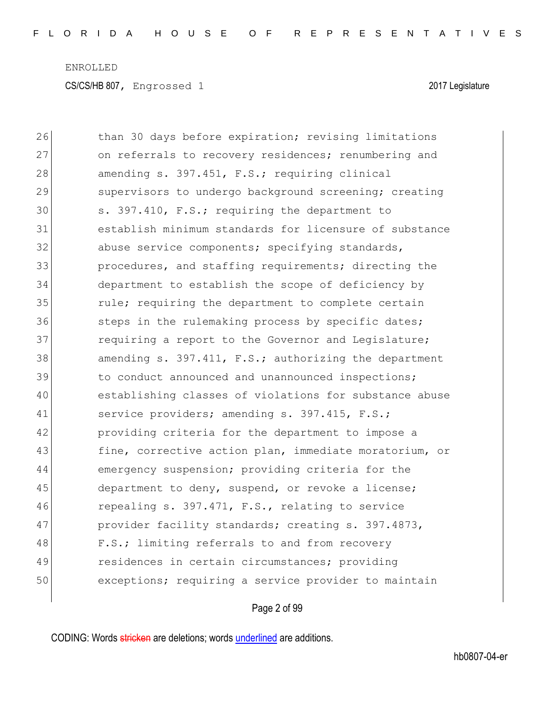| 26 | than 30 days before expiration; revising limitations   |
|----|--------------------------------------------------------|
| 27 | on referrals to recovery residences; renumbering and   |
| 28 | amending s. 397.451, F.S.; requiring clinical          |
| 29 | supervisors to undergo background screening; creating  |
| 30 | s. 397.410, F.S.; requiring the department to          |
| 31 | establish minimum standards for licensure of substance |
| 32 | abuse service components; specifying standards,        |
| 33 | procedures, and staffing requirements; directing the   |
| 34 | department to establish the scope of deficiency by     |
| 35 | rule; requiring the department to complete certain     |
| 36 | steps in the rulemaking process by specific dates;     |
| 37 | requiring a report to the Governor and Legislature;    |
| 38 | amending s. 397.411, F.S.; authorizing the department  |
| 39 | to conduct announced and unannounced inspections;      |
| 40 | establishing classes of violations for substance abuse |
| 41 | service providers; amending s. 397.415, F.S.;          |
| 42 | providing criteria for the department to impose a      |
| 43 | fine, corrective action plan, immediate moratorium, or |
| 44 | emergency suspension; providing criteria for the       |
| 45 | department to deny, suspend, or revoke a license;      |
| 46 | repealing s. 397.471, F.S., relating to service        |
| 47 | provider facility standards; creating s. 397.4873,     |
| 48 | F.S.; limiting referrals to and from recovery          |
| 49 | residences in certain circumstances; providing         |
| 50 | exceptions; requiring a service provider to maintain   |
|    |                                                        |

Page 2 of 99

CODING: Words stricken are deletions; words underlined are additions.

 $\overline{\phantom{a}}$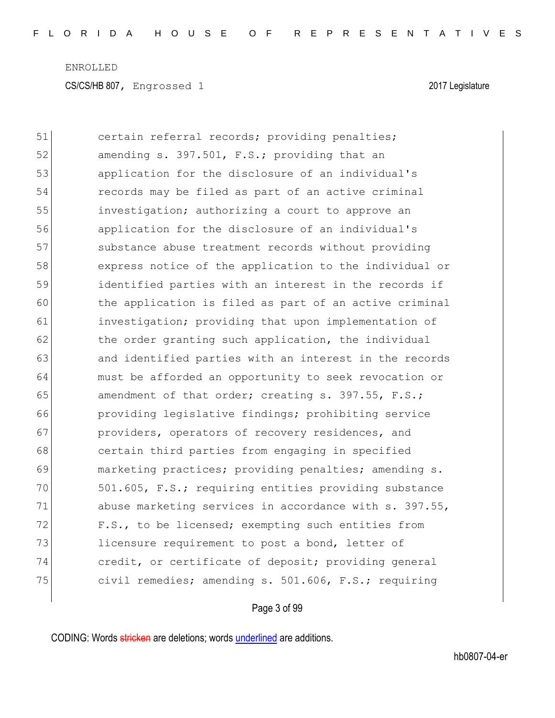51 certain referral records; providing penalties; 52 amending s. 397.501, F.S.; providing that an 53 application for the disclosure of an individual's 54 records may be filed as part of an active criminal 55 investigation; authorizing a court to approve an 56 application for the disclosure of an individual's 57 substance abuse treatment records without providing 58 express notice of the application to the individual or 59 identified parties with an interest in the records if 60 the application is filed as part of an active criminal 61 investigation; providing that upon implementation of 62 the order granting such application, the individual 63 and identified parties with an interest in the records 64 must be afforded an opportunity to seek revocation or 65 amendment of that order; creating s. 397.55,  $F.S.;$ 66 **providing legislative findings; prohibiting service** 67 **providers, operators of recovery residences, and** 68 certain third parties from engaging in specified 69 marketing practices; providing penalties; amending s. 70 501.605, F.S.; requiring entities providing substance 71 abuse marketing services in accordance with s. 397.55, 72 F.S., to be licensed; exempting such entities from 73 licensure requirement to post a bond, letter of 74 credit, or certificate of deposit; providing general 75 civil remedies; amending s. 501.606, F.S.; requiring

#### Page 3 of 99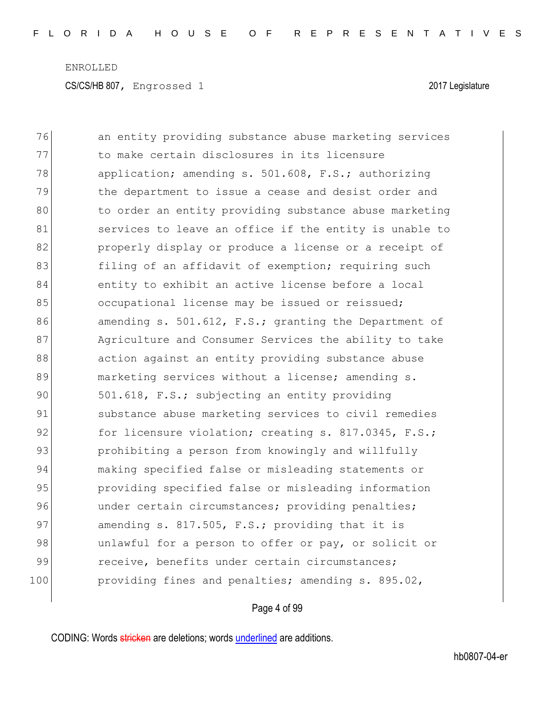| 76  | an entity providing substance abuse marketing services |
|-----|--------------------------------------------------------|
| 77  | to make certain disclosures in its licensure           |
| 78  | application; amending s. 501.608, F.S.; authorizing    |
| 79  | the department to issue a cease and desist order and   |
| 80  | to order an entity providing substance abuse marketing |
| 81  | services to leave an office if the entity is unable to |
| 82  | properly display or produce a license or a receipt of  |
| 83  | filing of an affidavit of exemption; requiring such    |
| 84  | entity to exhibit an active license before a local     |
| 85  | occupational license may be issued or reissued;        |
| 86  | amending s. 501.612, F.S.; granting the Department of  |
| 87  | Agriculture and Consumer Services the ability to take  |
| 88  | action against an entity providing substance abuse     |
| 89  | marketing services without a license; amending s.      |
| 90  | 501.618, F.S.; subjecting an entity providing          |
| 91  | substance abuse marketing services to civil remedies   |
| 92  | for licensure violation; creating s. 817.0345, F.S.;   |
| 93  | prohibiting a person from knowingly and willfully      |
| 94  | making specified false or misleading statements or     |
| 95  | providing specified false or misleading information    |
| 96  | under certain circumstances; providing penalties;      |
| 97  | amending s. 817.505, F.S.; providing that it is        |
| 98  | unlawful for a person to offer or pay, or solicit or   |
| 99  | receive, benefits under certain circumstances;         |
| 100 | providing fines and penalties; amending s. 895.02,     |
|     |                                                        |

Page 4 of 99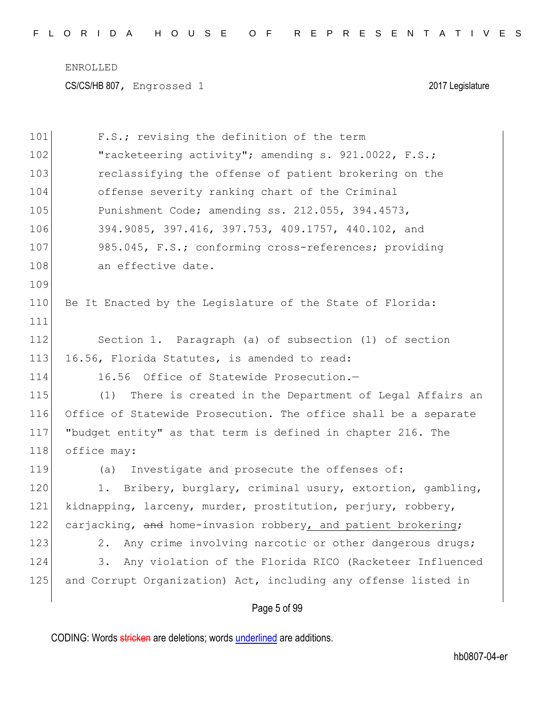| 101 | F.S.; revising the definition of the term                       |
|-----|-----------------------------------------------------------------|
| 102 | "racketeering activity"; amending s. 921.0022, F.S.;            |
| 103 | reclassifying the offense of patient brokering on the           |
| 104 | offense severity ranking chart of the Criminal                  |
| 105 | Punishment Code; amending ss. 212.055, 394.4573,                |
| 106 | 394.9085, 397.416, 397.753, 409.1757, 440.102, and              |
| 107 | 985.045, F.S.; conforming cross-references; providing           |
| 108 | an effective date.                                              |
| 109 |                                                                 |
| 110 | Be It Enacted by the Legislature of the State of Florida:       |
| 111 |                                                                 |
| 112 | Section 1. Paragraph (a) of subsection (1) of section           |
| 113 | 16.56, Florida Statutes, is amended to read:                    |
| 114 | 16.56<br>Office of Statewide Prosecution.-                      |
| 115 | (1)<br>There is created in the Department of Legal Affairs an   |
| 116 | Office of Statewide Prosecution. The office shall be a separate |
| 117 | "budget entity" as that term is defined in chapter 216. The     |
| 118 | office may:                                                     |
| 119 | Investigate and prosecute the offenses of:<br>(a)               |
| 120 | 1. Bribery, burglary, criminal usury, extortion, gambling,      |
| 121 | kidnapping, larceny, murder, prostitution, perjury, robbery,    |
| 122 | carjacking, and home-invasion robbery, and patient brokering;   |
| 123 | Any crime involving narcotic or other dangerous drugs;<br>2.    |
| 124 | 3.<br>Any violation of the Florida RICO (Racketeer Influenced   |
| 125 | and Corrupt Organization) Act, including any offense listed in  |
|     |                                                                 |

Page 5 of 99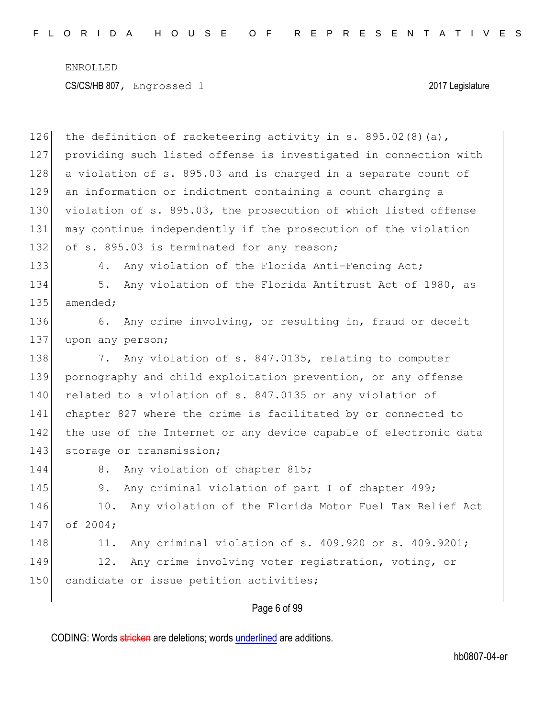126 the definition of racketeering activity in s.  $895.02(8)(a)$ , 127 providing such listed offense is investigated in connection with 128 a violation of s. 895.03 and is charged in a separate count of 129 an information or indictment containing a count charging a 130 violation of s. 895.03, the prosecution of which listed offense 131 may continue independently if the prosecution of the violation 132 of s. 895.03 is terminated for any reason; 133 4. Any violation of the Florida Anti-Fencing Act; 134 5. Any violation of the Florida Antitrust Act of 1980, as 135 amended; 136 6. Any crime involving, or resulting in, fraud or deceit 137 upon any person; 138 7. Any violation of s. 847.0135, relating to computer 139 pornography and child exploitation prevention, or any offense 140 related to a violation of s. 847.0135 or any violation of 141 chapter 827 where the crime is facilitated by or connected to 142 the use of the Internet or any device capable of electronic data 143 storage or transmission; 144 8. Any violation of chapter 815; 145 9. Any criminal violation of part I of chapter 499; 146 10. Any violation of the Florida Motor Fuel Tax Relief Act 147 of 2004; 148 11. Any criminal violation of s. 409.920 or s. 409.9201; 149 12. Any crime involving voter registration, voting, or 150 candidate or issue petition activities;

#### Page 6 of 99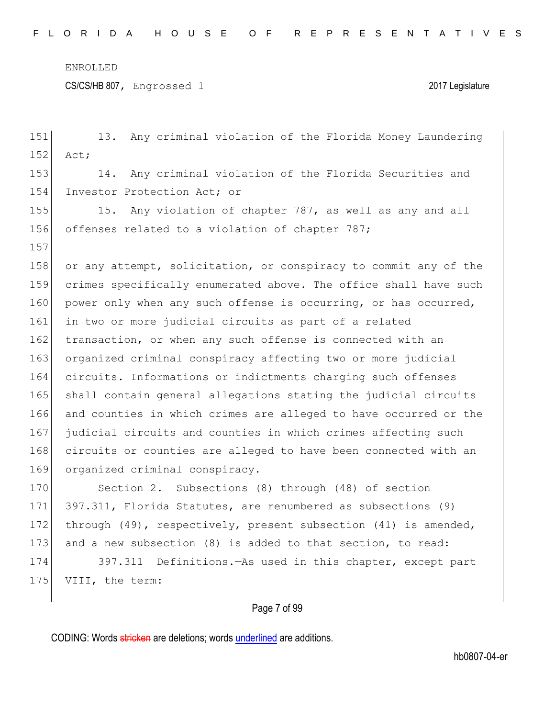CS/CS/HB 807, Engrossed 1 2017 Legislature

151 13. Any criminal violation of the Florida Money Laundering 152 Act; 153 14. Any criminal violation of the Florida Securities and 154 Investor Protection Act; or 155 15. Any violation of chapter 787, as well as any and all 156 offenses related to a violation of chapter 787; 157 158 or any attempt, solicitation, or conspiracy to commit any of the 159 crimes specifically enumerated above. The office shall have such 160 power only when any such offense is occurring, or has occurred, 161 in two or more judicial circuits as part of a related 162 transaction, or when any such offense is connected with an 163 organized criminal conspiracy affecting two or more judicial 164 circuits. Informations or indictments charging such offenses 165 shall contain general allegations stating the judicial circuits 166 and counties in which crimes are alleged to have occurred or the 167 judicial circuits and counties in which crimes affecting such 168 circuits or counties are alleged to have been connected with an 169 organized criminal conspiracy. 170 Section 2. Subsections (8) through (48) of section 171 397.311, Florida Statutes, are renumbered as subsections (9) 172 through (49), respectively, present subsection (41) is amended, 173 and a new subsection (8) is added to that section, to read: 174 397.311 Definitions.—As used in this chapter, except part 175 VIII, the term:

### Page 7 of 99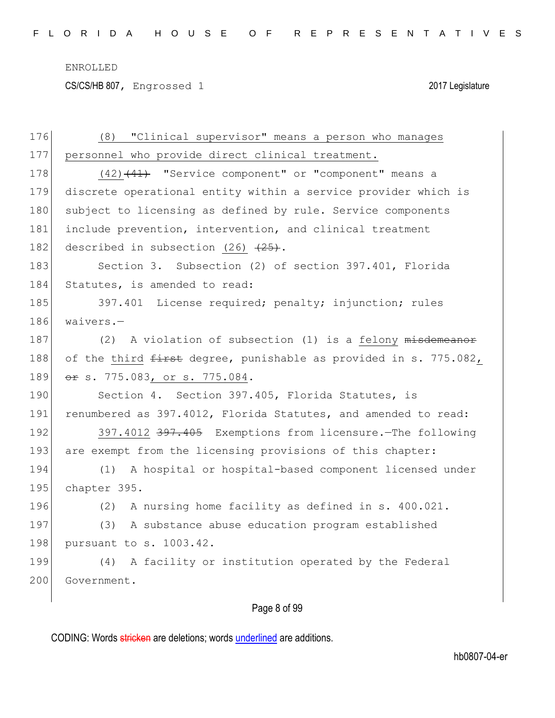CS/CS/HB 807, Engrossed 1 2017 Legislature

| 176 | "Clinical supervisor" means a person who manages<br>(8)          |
|-----|------------------------------------------------------------------|
| 177 | personnel who provide direct clinical treatment.                 |
| 178 | $(42)$ $(41)$ "Service component" or "component" means a         |
| 179 | discrete operational entity within a service provider which is   |
| 180 | subject to licensing as defined by rule. Service components      |
| 181 | include prevention, intervention, and clinical treatment         |
| 182 | described in subsection (26) $\left(25\right)$ .                 |
| 183 | Section 3. Subsection (2) of section 397.401, Florida            |
| 184 | Statutes, is amended to read:                                    |
| 185 | 397.401 License required; penalty; injunction; rules             |
| 186 | waivers.-                                                        |
| 187 | (2) A violation of subsection (1) is a felony misdemeanor        |
| 188 | of the third first degree, punishable as provided in s. 775.082, |
| 189 | <del>or</del> s. 775.083, or s. 775.084.                         |
| 190 | Section 4. Section 397.405, Florida Statutes, is                 |
| 191 | renumbered as 397.4012, Florida Statutes, and amended to read:   |
| 192 | 397.4012 397.405 Exemptions from licensure. The following        |
| 193 | are exempt from the licensing provisions of this chapter:        |
| 194 | A hospital or hospital-based component licensed under<br>(1)     |
| 195 | chapter 395.                                                     |
| 196 | A nursing home facility as defined in s. 400.021.<br>(2)         |
| 197 | A substance abuse education program established<br>(3)           |
| 198 | pursuant to s. 1003.42.                                          |
| 199 | A facility or institution operated by the Federal<br>(4)         |
| 200 | Government.                                                      |
|     |                                                                  |

## Page 8 of 99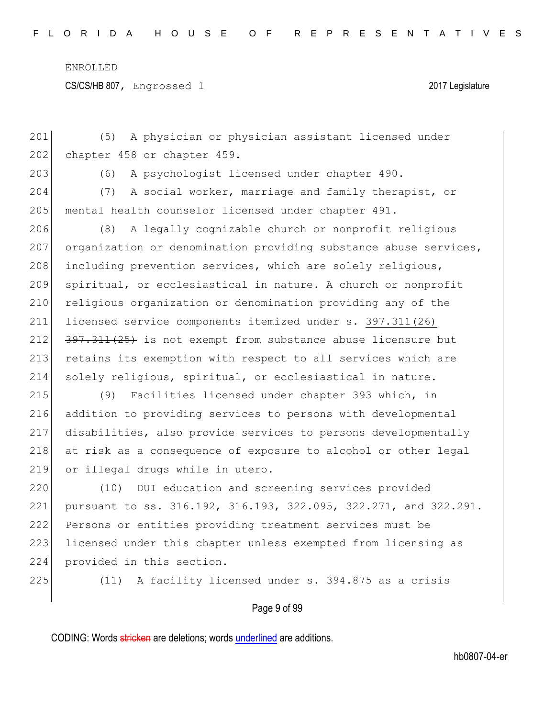CS/CS/HB 807, Engrossed 1 2017 Legislature

Page 9 of 99 201 (5) A physician or physician assistant licensed under 202 chapter 458 or chapter 459. 203 (6) A psychologist licensed under chapter 490. 204 (7) A social worker, marriage and family therapist, or 205 mental health counselor licensed under chapter 491. 206 (8) A legally cognizable church or nonprofit religious 207 organization or denomination providing substance abuse services, 208 including prevention services, which are solely religious, 209 spiritual, or ecclesiastical in nature. A church or nonprofit 210 religious organization or denomination providing any of the 211 licensed service components itemized under s. 397.311(26) 212 397.311(25) is not exempt from substance abuse licensure but 213 retains its exemption with respect to all services which are 214 solely religious, spiritual, or ecclesiastical in nature. 215 (9) Facilities licensed under chapter 393 which, in 216 addition to providing services to persons with developmental 217 disabilities, also provide services to persons developmentally 218 at risk as a consequence of exposure to alcohol or other legal 219 or illegal drugs while in utero. 220 (10) DUI education and screening services provided 221 pursuant to ss. 316.192, 316.193, 322.095, 322.271, and 322.291. 222 Persons or entities providing treatment services must be 223 licensed under this chapter unless exempted from licensing as 224 provided in this section. 225  $(11)$  A facility licensed under s. 394.875 as a crisis

CODING: Words stricken are deletions; words underlined are additions.

hb0807-04-er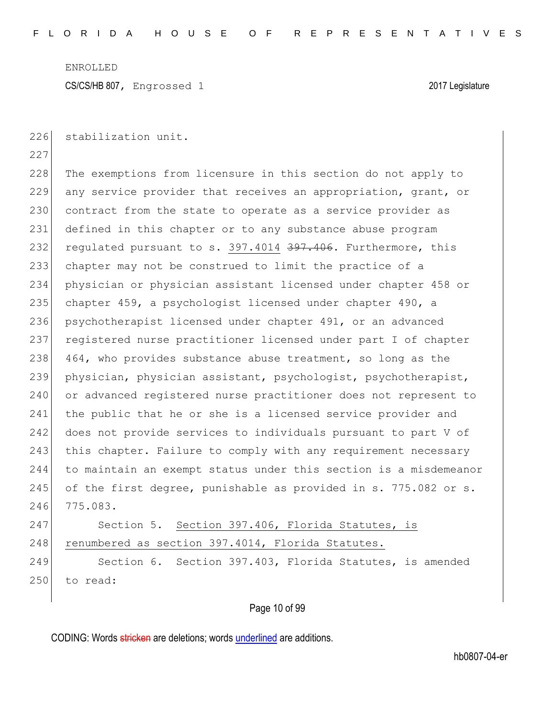226 stabilization unit.

227 228 The exemptions from licensure in this section do not apply to 229 any service provider that receives an appropriation, grant, or 230 contract from the state to operate as a service provider as 231 defined in this chapter or to any substance abuse program 232 regulated pursuant to s. 397.4014 397.406. Furthermore, this 233 chapter may not be construed to limit the practice of a 234 physician or physician assistant licensed under chapter 458 or 235 chapter 459, a psychologist licensed under chapter 490, a 236 psychotherapist licensed under chapter 491, or an advanced 237 registered nurse practitioner licensed under part I of chapter 238 464, who provides substance abuse treatment, so long as the 239 physician, physician assistant, psychologist, psychotherapist, 240 or advanced registered nurse practitioner does not represent to 241 | the public that he or she is a licensed service provider and 242 does not provide services to individuals pursuant to part V of 243 this chapter. Failure to comply with any requirement necessary 244 to maintain an exempt status under this section is a misdemeanor 245 of the first degree, punishable as provided in s. 775.082 or s. 246 775.083.

247 Section 5. Section 397.406, Florida Statutes, is 248 renumbered as section 397.4014, Florida Statutes.

249 Section 6. Section 397.403, Florida Statutes, is amended 250 to read:

### Page 10 of 99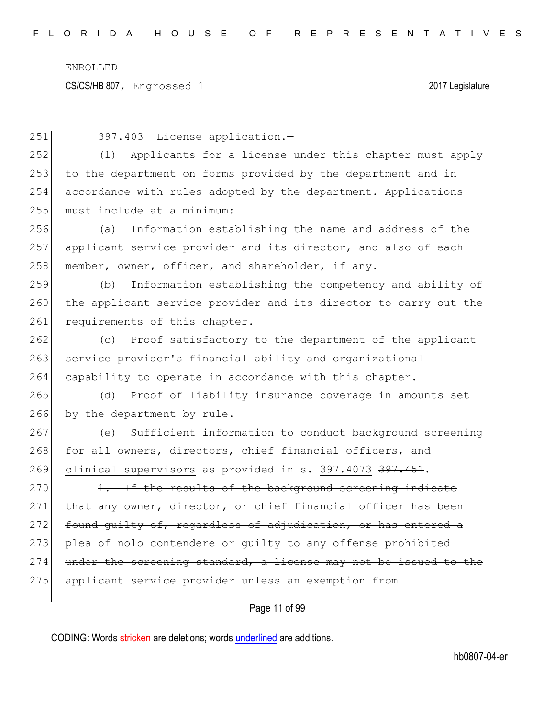CS/CS/HB 807, Engrossed 1 2017 Legislature

Page 11 of 99 251 397.403 License application.— 252 (1) Applicants for a license under this chapter must apply 253 to the department on forms provided by the department and in 254 accordance with rules adopted by the department. Applications 255 must include at a minimum: 256 (a) Information establishing the name and address of the 257 applicant service provider and its director, and also of each 258 member, owner, officer, and shareholder, if any. 259 (b) Information establishing the competency and ability of 260 the applicant service provider and its director to carry out the 261 requirements of this chapter. 262 (c) Proof satisfactory to the department of the applicant 263 service provider's financial ability and organizational 264 capability to operate in accordance with this chapter. 265 (d) Proof of liability insurance coverage in amounts set 266 by the department by rule. 267 (e) Sufficient information to conduct background screening 268 for all owners, directors, chief financial officers, and 269 clinical supervisors as provided in s. 397.4073 397.451. 270 1. If the results of the background screening indicate 271 that any owner, director, or chief financial officer has been 272 found guilty of, regardless of adjudication, or has entered a 273 plea of nolo contendere or quilty to any offense prohibited  $274$  under the screening standard, a license may not be issued to the 275 applicant service provider unless an exemption from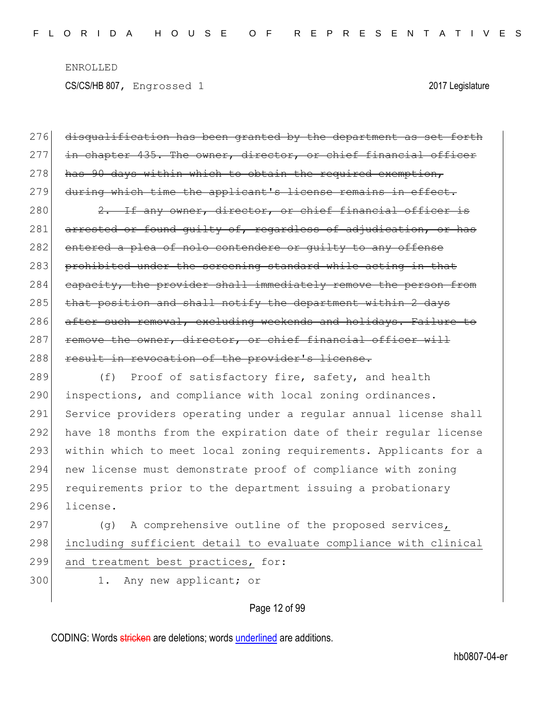276 disqualification has been granted by the department as set forth 277 in chapter 435. The owner, director, or chief financial officer  $278$  has 90 days within which to obtain the required exemption, 279 during which time the applicant's license remains in effect. 280 2. If any owner, director, or chief financial officer is 281 arrested or found guilty of, regardless of adjudication, or has 282 entered a plea of nolo contendere or quilty to any offense 283 prohibited under the screening standard while acting in that 284 capacity, the provider shall immediately remove the person from 285 that position and shall notify the department within 2 days 286 after such removal, excluding weekends and holidays. Failure to 287 remove the owner, director, or chief financial officer will 288 result in revocation of the provider's license. 289 (f) Proof of satisfactory fire, safety, and health 290 inspections, and compliance with local zoning ordinances. 291 Service providers operating under a regular annual license shall 292 have 18 months from the expiration date of their regular license 293 within which to meet local zoning requirements. Applicants for a 294 new license must demonstrate proof of compliance with zoning 295 requirements prior to the department issuing a probationary 296 license. 297 (g) A comprehensive outline of the proposed services, 298 including sufficient detail to evaluate compliance with clinical

- 299 and treatment best practices, for:
- 
- 300 1. Any new applicant; or

### Page 12 of 99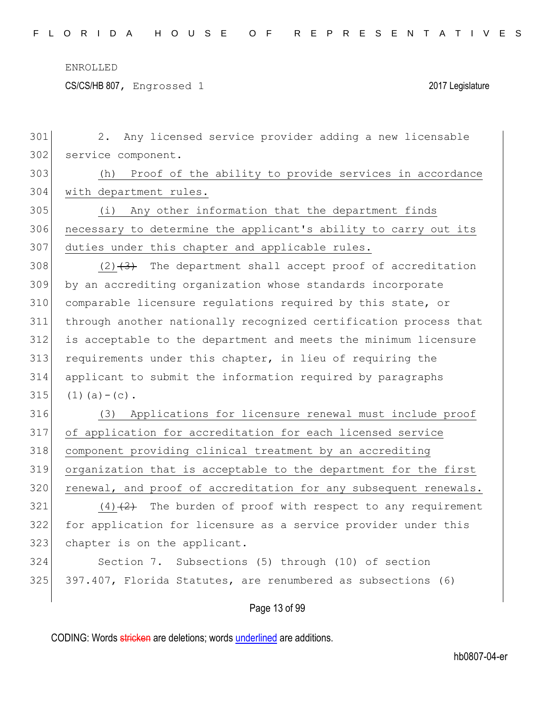CS/CS/HB 807, Engrossed 1 2017 Legislature

| 301 | Any licensed service provider adding a new licensable<br>2.      |
|-----|------------------------------------------------------------------|
| 302 | service component.                                               |
| 303 | Proof of the ability to provide services in accordance<br>(h)    |
| 304 | with department rules.                                           |
| 305 | Any other information that the department finds<br>(i)           |
| 306 | necessary to determine the applicant's ability to carry out its  |
| 307 | duties under this chapter and applicable rules.                  |
| 308 | $(2)$ $(3)$ The department shall accept proof of accreditation   |
| 309 | by an accrediting organization whose standards incorporate       |
| 310 | comparable licensure requlations required by this state, or      |
| 311 | through another nationally recognized certification process that |
| 312 | is acceptable to the department and meets the minimum licensure  |
| 313 | requirements under this chapter, in lieu of requiring the        |
| 314 | applicant to submit the information required by paragraphs       |
| 315 | $(1)$ (a) – (c).                                                 |
| 316 | Applications for licensure renewal must include proof<br>(3)     |
| 317 | of application for accreditation for each licensed service       |
| 318 | component providing clinical treatment by an accrediting         |
| 319 | organization that is acceptable to the department for the first  |
| 320 | renewal, and proof of accreditation for any subsequent renewals. |
| 321 | $(4)$ $(2)$ The burden of proof with respect to any requirement  |
| 322 | for application for licensure as a service provider under this   |
| 323 | chapter is on the applicant.                                     |
| 324 | Section 7. Subsections (5) through (10) of section               |
| 325 | 397.407, Florida Statutes, are renumbered as subsections (6)     |
|     | Page 13 of 99                                                    |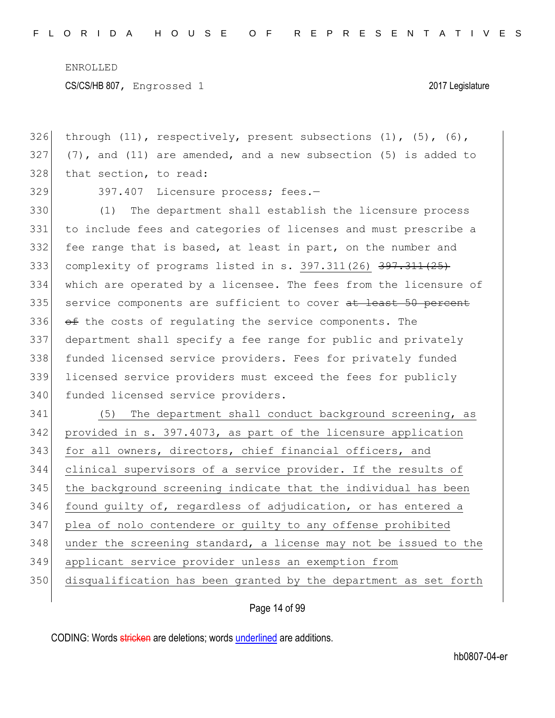326 through  $(11)$ , respectively, present subsections  $(1)$ ,  $(5)$ ,  $(6)$ ,  $327$  (7), and (11) are amended, and a new subsection (5) is added to 328 that section, to read:

329 397.407 Licensure process; fees.-

330 (1) The department shall establish the licensure process 331 to include fees and categories of licenses and must prescribe a 332 fee range that is based, at least in part, on the number and 333 complexity of programs listed in s. 397.311(26) 397.311(25) 334 which are operated by a licensee. The fees from the licensure of 335 service components are sufficient to cover at least 50 percent 336  $\leftrightarrow$  the costs of regulating the service components. The 337 department shall specify a fee range for public and privately 338 funded licensed service providers. Fees for privately funded 339 licensed service providers must exceed the fees for publicly 340 funded licensed service providers.

341 (5) The department shall conduct background screening, as 342 provided in s. 397.4073, as part of the licensure application 343 for all owners, directors, chief financial officers, and 344 clinical supervisors of a service provider. If the results of 345 the background screening indicate that the individual has been 346 found guilty of, regardless of adjudication, or has entered a 347 plea of nolo contendere or guilty to any offense prohibited 348 under the screening standard, a license may not be issued to the 349 applicant service provider unless an exemption from 350 disqualification has been granted by the department as set forth

### Page 14 of 99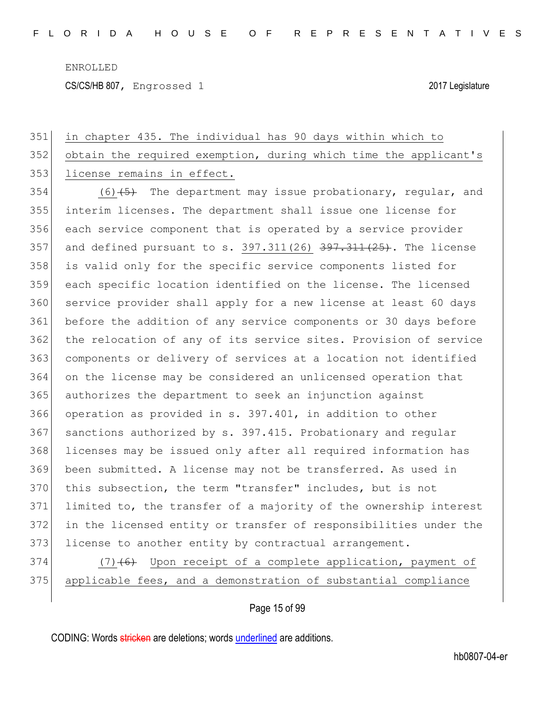CS/CS/HB 807, Engrossed 1 2017 Legislature

# 351 in chapter 435. The individual has 90 days within which to 352 obtain the required exemption, during which time the applicant's 353 license remains in effect. 354 (6)  $\left(5\right)$  The department may issue probationary, regular, and 355 interim licenses. The department shall issue one license for 356 each service component that is operated by a service provider 357 and defined pursuant to s.  $397.311(26)$   $\overline{397.311(25)}$ . The license 358 is valid only for the specific service components listed for 359 each specific location identified on the license. The licensed 360 service provider shall apply for a new license at least 60 days 361 before the addition of any service components or 30 days before 362 the relocation of any of its service sites. Provision of service 363 components or delivery of services at a location not identified 364 on the license may be considered an unlicensed operation that 365 authorizes the department to seek an injunction against 366 operation as provided in s. 397.401, in addition to other 367 sanctions authorized by s. 397.415. Probationary and regular 368 licenses may be issued only after all required information has 369 been submitted. A license may not be transferred. As used in 370 this subsection, the term "transfer" includes, but is not

371 limited to, the transfer of a majority of the ownership interest 372 in the licensed entity or transfer of responsibilities under the 373 license to another entity by contractual arrangement.

374  $(7)$  (6) Upon receipt of a complete application, payment of 375 applicable fees, and a demonstration of substantial compliance

### Page 15 of 99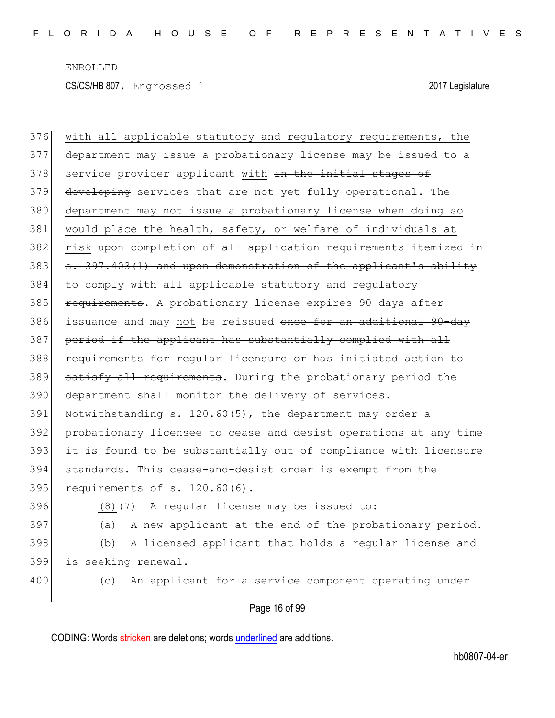376 with all applicable statutory and regulatory requirements, the 377 department may issue a probationary license may be issued to a 378 service provider applicant with in the initial stages of 379 developing services that are not yet fully operational. The 380 department may not issue a probationary license when doing so 381 would place the health, safety, or welfare of individuals at 382 risk upon completion of all application requirements itemized in  $383$  s.  $397.403(1)$  and upon demonstration of the applicant's ability 384 to comply with all applicable statutory and regulatory 385 **requirements.** A probationary license expires 90 days after 386 issuance and may not be reissued once for an additional 90-day 387 period if the applicant has substantially complied with all 388 requirements for reqular licensure or has initiated action to 389 satisfy all requirements. During the probationary period the 390 department shall monitor the delivery of services. 391 Notwithstanding s. 120.60(5), the department may order a 392 probationary licensee to cease and desist operations at any time 393 it is found to be substantially out of compliance with licensure 394 standards. This cease-and-desist order is exempt from the 395 requirements of s. 120.60(6). 396 (8) $(7)$  A regular license may be issued to: 397 (a) A new applicant at the end of the probationary period. 398 (b) A licensed applicant that holds a regular license and 399 is seeking renewal.

400 (c) An applicant for a service component operating under

### Page 16 of 99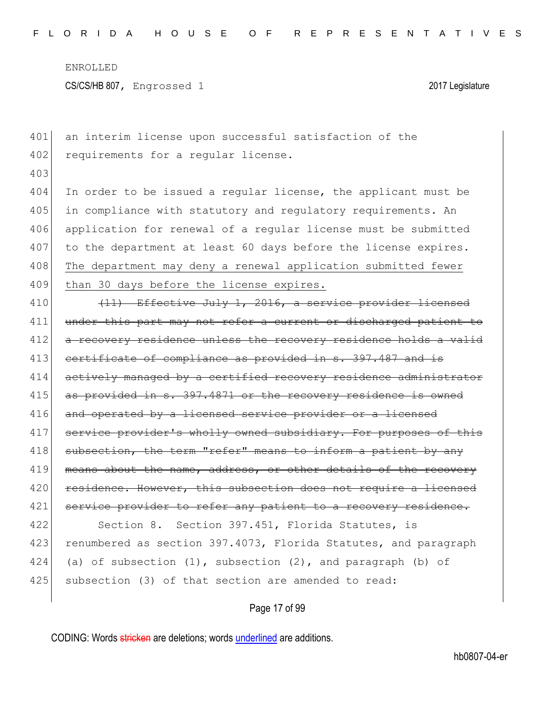| 401 | an interim license upon successful satisfaction of the           |
|-----|------------------------------------------------------------------|
| 402 | requirements for a regular license.                              |
| 403 |                                                                  |
| 404 | In order to be issued a regular license, the applicant must be   |
| 405 | in compliance with statutory and regulatory requirements. An     |
| 406 | application for renewal of a regular license must be submitted   |
| 407 | to the department at least 60 days before the license expires.   |
| 408 | The department may deny a renewal application submitted fewer    |
| 409 | than 30 days before the license expires.                         |
| 410 | (11) Effective July 1, 2016, a service provider licensed         |
| 411 | under this part may not refer a current or discharged patient to |
| 412 | a recovery residence unless the recovery residence holds a valid |
| 413 | certificate of compliance as provided in s. 397.487 and is       |
| 414 | actively managed by a certified recovery residence administrator |
| 415 | as provided in s. 397.4871 or the recovery residence is owned    |
| 416 | and operated by a licensed service provider or a licensed        |
| 417 | service provider's wholly owned subsidiary. For purposes of this |
| 418 | subsection, the term "refer" means to inform a patient by any    |
| 419 | means about the name, address, or other details of the recovery  |
| 420 | residence. However, this subsection does not require a licensed  |
| 421 | service provider to refer any patient to a recovery residence.   |
| 422 | Section 8. Section 397.451, Florida Statutes, is                 |
| 423 | renumbered as section 397.4073, Florida Statutes, and paragraph  |
| 424 | (a) of subsection (1), subsection (2), and paragraph (b) of      |
| 425 | subsection (3) of that section are amended to read:              |
|     | Page 17 of 99                                                    |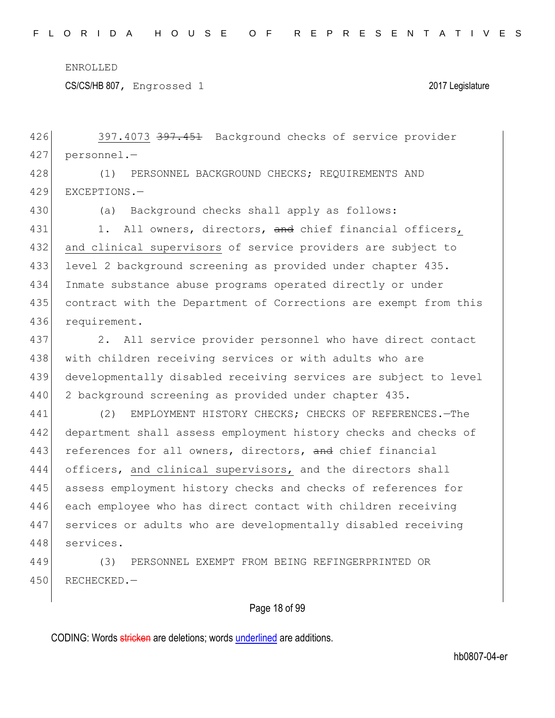CS/CS/HB 807, Engrossed 1 2017 Legislature

426 397.4073 397.451 Background checks of service provider 427 personnel.—

428 (1) PERSONNEL BACKGROUND CHECKS; REQUIREMENTS AND 429 EXCEPTIONS.—

430 (a) Background checks shall apply as follows:

431 1. All owners, directors, and chief financial officers, 432 and clinical supervisors of service providers are subject to 433 level 2 background screening as provided under chapter 435. 434 Inmate substance abuse programs operated directly or under 435 contract with the Department of Corrections are exempt from this 436 requirement.

437 2. All service provider personnel who have direct contact 438 with children receiving services or with adults who are 439 developmentally disabled receiving services are subject to level 440 2 background screening as provided under chapter 435.

441 (2) EMPLOYMENT HISTORY CHECKS; CHECKS OF REFERENCES.-The 442 department shall assess employment history checks and checks of 443 references for all owners, directors, and chief financial 444 officers, and clinical supervisors, and the directors shall 445 assess employment history checks and checks of references for 446 each employee who has direct contact with children receiving 447 services or adults who are developmentally disabled receiving 448 services.

449 (3) PERSONNEL EXEMPT FROM BEING REFINGERPRINTED OR 450 RECHECKED.—

### Page 18 of 99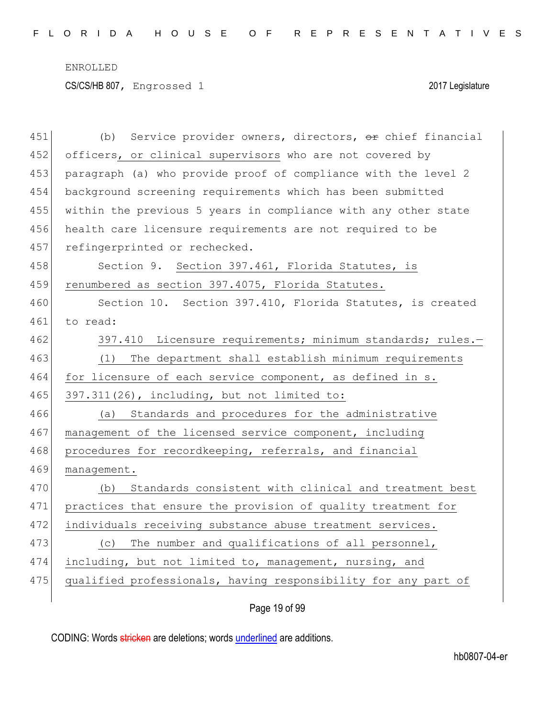| 451 | Service provider owners, directors, or chief financial<br>(b)  |
|-----|----------------------------------------------------------------|
| 452 | officers, or clinical supervisors who are not covered by       |
| 453 | paragraph (a) who provide proof of compliance with the level 2 |
| 454 | background screening requirements which has been submitted     |
| 455 | within the previous 5 years in compliance with any other state |
| 456 | health care licensure requirements are not required to be      |
| 457 | refingerprinted or rechecked.                                  |
| 458 | Section 9. Section 397.461, Florida Statutes, is               |
| 459 | renumbered as section 397.4075, Florida Statutes.              |
| 460 | Section 10. Section 397.410, Florida Statutes, is created      |
| 461 | to read:                                                       |
| 462 | 397.410 Licensure requirements; minimum standards; rules.-     |
| 463 | The department shall establish minimum requirements<br>(1)     |
| 464 | for licensure of each service component, as defined in s.      |
| 465 | 397.311(26), including, but not limited to:                    |
| 466 | (a) Standards and procedures for the administrative            |
| 467 | management of the licensed service component, including        |
| 468 | procedures for recordkeeping, referrals, and financial         |
| 469 | management.                                                    |
| 470 | Standards consistent with clinical and treatment best<br>(b)   |
| 471 | practices that ensure the provision of quality treatment for   |
| 472 | individuals receiving substance abuse treatment services.      |
| 473 | (c) The number and qualifications of all personnel,            |
|     |                                                                |
| 474 | including, but not limited to, management, nursing, and        |
| 475 | qualified professionals, having responsibility for any part of |

Page 19 of 99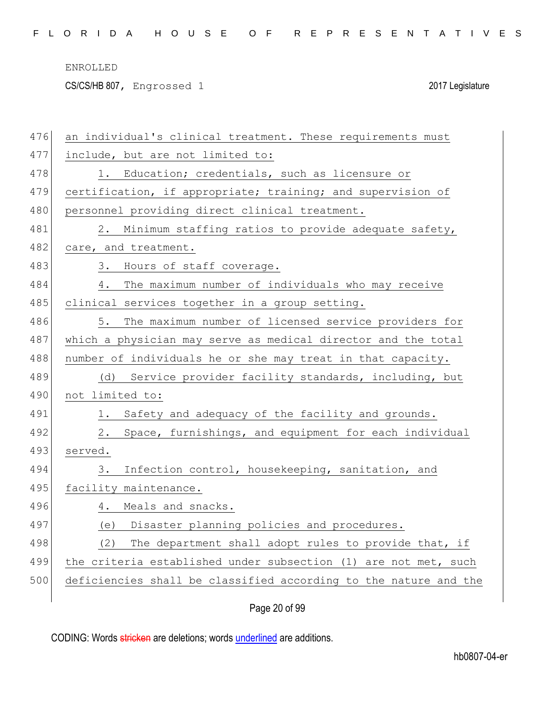CS/CS/HB 807, Engrossed 1 2017 Legislature

| 476 | an individual's clinical treatment. These requirements must      |
|-----|------------------------------------------------------------------|
| 477 | include, but are not limited to:                                 |
| 478 | 1. Education; credentials, such as licensure or                  |
| 479 | certification, if appropriate; training; and supervision of      |
| 480 | personnel providing direct clinical treatment.                   |
| 481 | 2. Minimum staffing ratios to provide adequate safety,           |
| 482 | care, and treatment.                                             |
| 483 | Hours of staff coverage.<br>3.                                   |
| 484 | The maximum number of individuals who may receive<br>4.          |
| 485 | clinical services together in a group setting.                   |
| 486 | The maximum number of licensed service providers for<br>5.       |
| 487 | which a physician may serve as medical director and the total    |
| 488 | number of individuals he or she may treat in that capacity.      |
| 489 | (d) Service provider facility standards, including, but          |
| 490 | not limited to:                                                  |
| 491 | Safety and adequacy of the facility and grounds.<br>1.           |
| 492 | 2.<br>Space, furnishings, and equipment for each individual      |
| 493 | served.                                                          |
| 494 | Infection control, housekeeping, sanitation, and<br>3.           |
| 495 | facility maintenance.                                            |
| 496 | Meals and snacks.<br>4.                                          |
| 497 | (e) Disaster planning policies and procedures.                   |
| 498 | The department shall adopt rules to provide that, if<br>(2)      |
| 499 | the criteria established under subsection (1) are not met, such  |
| 500 | deficiencies shall be classified according to the nature and the |
|     |                                                                  |

Page 20 of 99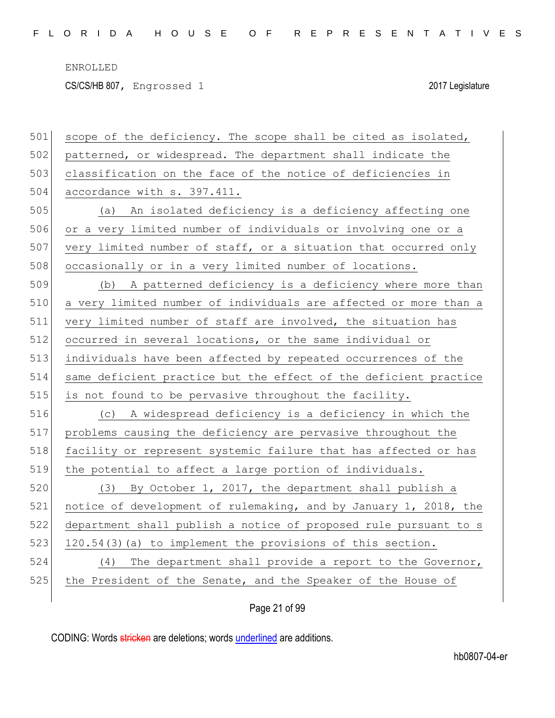CS/CS/HB 807, Engrossed 1 2017 Legislature

| 501 | scope of the deficiency. The scope shall be cited as isolated,   |
|-----|------------------------------------------------------------------|
| 502 | patterned, or widespread. The department shall indicate the      |
| 503 | classification on the face of the notice of deficiencies in      |
| 504 | accordance with s. 397.411.                                      |
| 505 | (a) An isolated deficiency is a deficiency affecting one         |
| 506 | or a very limited number of individuals or involving one or a    |
| 507 | very limited number of staff, or a situation that occurred only  |
| 508 | occasionally or in a very limited number of locations.           |
| 509 | (b) A patterned deficiency is a deficiency where more than       |
| 510 | a very limited number of individuals are affected or more than a |
| 511 | very limited number of staff are involved, the situation has     |
| 512 | occurred in several locations, or the same individual or         |
| 513 | individuals have been affected by repeated occurrences of the    |
| 514 | same deficient practice but the effect of the deficient practice |
|     |                                                                  |
| 515 | is not found to be pervasive throughout the facility.            |
| 516 | (c) A widespread deficiency is a deficiency in which the         |
| 517 | problems causing the deficiency are pervasive throughout the     |
| 518 | facility or represent systemic failure that has affected or has  |
| 519 | the potential to affect a large portion of individuals.          |
| 520 | (3) By October 1, 2017, the department shall publish a           |
| 521 | notice of development of rulemaking, and by January 1, 2018, the |
| 522 | department shall publish a notice of proposed rule pursuant to s |
| 523 | 120.54(3) (a) to implement the provisions of this section.       |
| 524 | The department shall provide a report to the Governor,<br>(4)    |
| 525 | the President of the Senate, and the Speaker of the House of     |

Page 21 of 99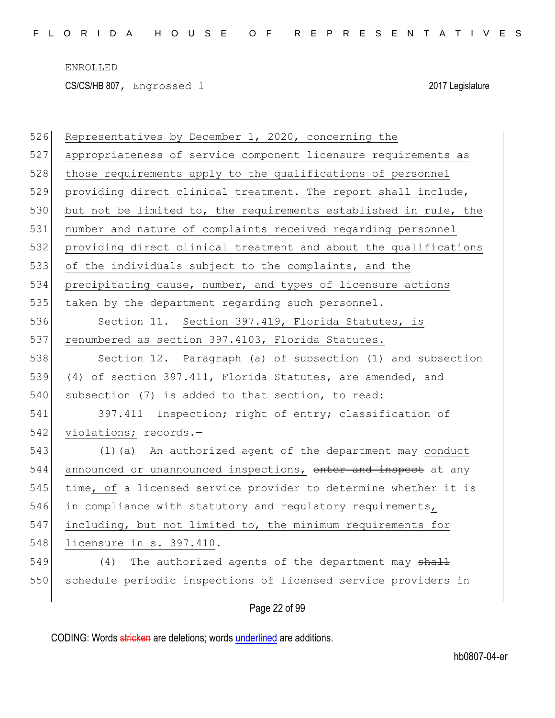| 526 | Representatives by December 1, 2020, concerning the              |
|-----|------------------------------------------------------------------|
| 527 | appropriateness of service component licensure requirements as   |
| 528 | those requirements apply to the qualifications of personnel      |
| 529 | providing direct clinical treatment. The report shall include,   |
| 530 | but not be limited to, the requirements established in rule, the |
| 531 | number and nature of complaints received regarding personnel     |
| 532 | providing direct clinical treatment and about the qualifications |
| 533 | of the individuals subject to the complaints, and the            |
| 534 | precipitating cause, number, and types of licensure actions      |
| 535 | taken by the department regarding such personnel.                |
| 536 | Section 11. Section 397.419, Florida Statutes, is                |
| 537 | renumbered as section 397.4103, Florida Statutes.                |
| 538 | Section 12. Paragraph (a) of subsection (1) and subsection       |
| 539 | (4) of section 397.411, Florida Statutes, are amended, and       |
| 540 | subsection (7) is added to that section, to read:                |
| 541 | 397.411 Inspection; right of entry; classification of            |
| 542 | violations; records.-                                            |
| 543 | (1) (a) An authorized agent of the department may conduct        |
| 544 | announced or unannounced inspections, enter and inspect at any   |
| 545 | time, of a licensed service provider to determine whether it is  |
| 546 | in compliance with statutory and regulatory requirements,        |
| 547 | including, but not limited to, the minimum requirements for      |
| 548 | licensure in s. 397.410.                                         |
| 549 | The authorized agents of the department may shall<br>(4)         |
| 550 | schedule periodic inspections of licensed service providers in   |
|     | Page 22 of 99                                                    |
|     |                                                                  |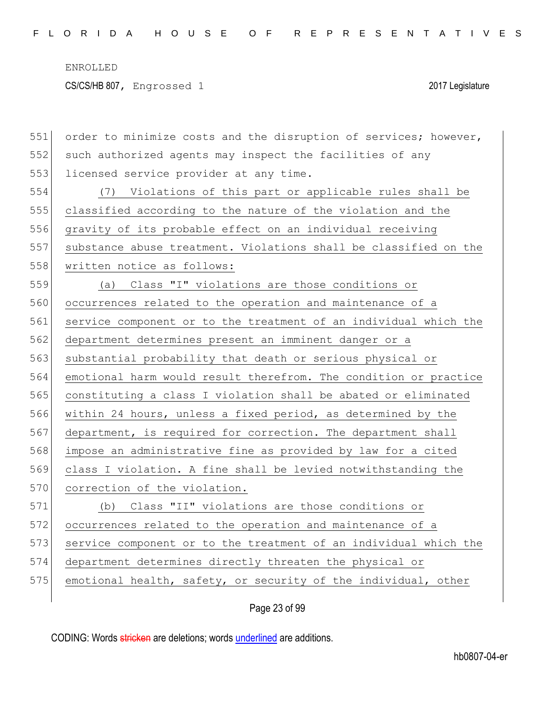| 551 | order to minimize costs and the disruption of services; however, |
|-----|------------------------------------------------------------------|
| 552 | such authorized agents may inspect the facilities of any         |
| 553 | licensed service provider at any time.                           |
| 554 | (7) Violations of this part or applicable rules shall be         |
| 555 | classified according to the nature of the violation and the      |
| 556 | gravity of its probable effect on an individual receiving        |
| 557 | substance abuse treatment. Violations shall be classified on the |
| 558 | written notice as follows:                                       |
| 559 | (a) Class "I" violations are those conditions or                 |
| 560 | occurrences related to the operation and maintenance of a        |
| 561 | service component or to the treatment of an individual which the |
| 562 | department determines present an imminent danger or a            |
| 563 | substantial probability that death or serious physical or        |
| 564 | emotional harm would result therefrom. The condition or practice |
| 565 | constituting a class I violation shall be abated or eliminated   |
| 566 | within 24 hours, unless a fixed period, as determined by the     |
| 567 | department, is required for correction. The department shall     |
| 568 | impose an administrative fine as provided by law for a cited     |
| 569 | class I violation. A fine shall be levied notwithstanding the    |
| 570 | correction of the violation.                                     |
| 571 | (b) Class "II" violations are those conditions or                |
| 572 | occurrences related to the operation and maintenance of a        |
| 573 | service component or to the treatment of an individual which the |
| 574 | department determines directly threaten the physical or          |
| 575 | emotional health, safety, or security of the individual, other   |
|     |                                                                  |

Page 23 of 99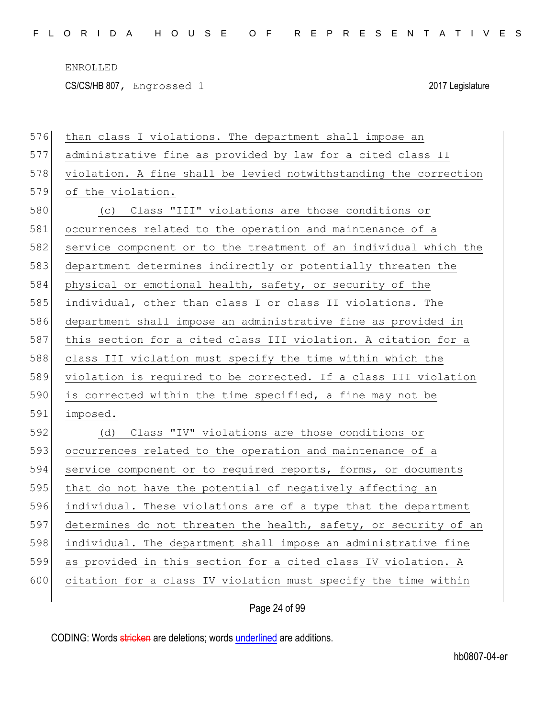CS/CS/HB 807, Engrossed 1 2017 Legislature

| 576 | than class I violations. The department shall impose an          |
|-----|------------------------------------------------------------------|
| 577 | administrative fine as provided by law for a cited class II      |
| 578 | violation. A fine shall be levied notwithstanding the correction |
| 579 | of the violation.                                                |
| 580 | (c) Class "III" violations are those conditions or               |
| 581 | occurrences related to the operation and maintenance of a        |
| 582 | service component or to the treatment of an individual which the |
| 583 | department determines indirectly or potentially threaten the     |
| 584 | physical or emotional health, safety, or security of the         |
| 585 | individual, other than class I or class II violations. The       |
| 586 | department shall impose an administrative fine as provided in    |
| 587 | this section for a cited class III violation. A citation for a   |
| 588 | class III violation must specify the time within which the       |
| 589 | violation is required to be corrected. If a class III violation  |
| 590 | is corrected within the time specified, a fine may not be        |
| 591 | imposed.                                                         |
| 592 | Class "IV" violations are those conditions or<br>(d)             |
| 593 | occurrences related to the operation and maintenance of a        |
| 594 | service component or to required reports, forms, or documents    |
| 595 | that do not have the potential of negatively affecting an        |
| 596 | individual. These violations are of a type that the department   |
| 597 | determines do not threaten the health, safety, or security of an |
| 598 | individual. The department shall impose an administrative fine   |
| 599 | as provided in this section for a cited class IV violation. A    |
| 600 | citation for a class IV violation must specify the time within   |
|     |                                                                  |

## Page 24 of 99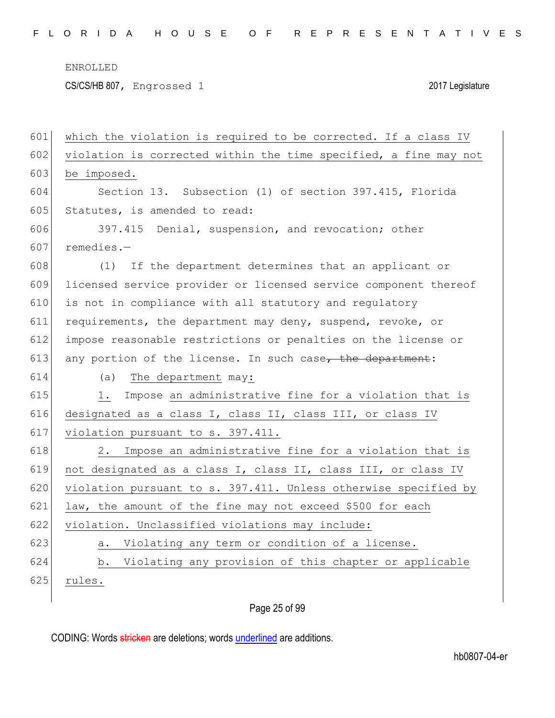CS/CS/HB 807, Engrossed 1 2017 Legislature

| 601 | which the violation is required to be corrected. If a class IV   |
|-----|------------------------------------------------------------------|
| 602 | violation is corrected within the time specified, a fine may not |
| 603 | be imposed.                                                      |
| 604 | Section 13. Subsection (1) of section 397.415, Florida           |
| 605 | Statutes, is amended to read:                                    |
| 606 | 397.415 Denial, suspension, and revocation; other                |
| 607 | $remedies.$ -                                                    |
| 608 | If the department determines that an applicant or<br>(1)         |
| 609 | licensed service provider or licensed service component thereof  |
| 610 | is not in compliance with all statutory and regulatory           |
| 611 | requirements, the department may deny, suspend, revoke, or       |
| 612 | impose reasonable restrictions or penalties on the license or    |
| 613 | any portion of the license. In such case, the department:        |
| 614 | The department may:<br>(a)                                       |
| 615 | Impose an administrative fine for a violation that is<br>1.      |
| 616 | designated as a class I, class II, class III, or class IV        |
| 617 | violation pursuant to s. 397.411.                                |
| 618 | Impose an administrative fine for a violation that is<br>2.      |
| 619 | not designated as a class I, class II, class III, or class IV    |
| 620 | violation pursuant to s. 397.411. Unless otherwise specified by  |
| 621 |                                                                  |
|     | law, the amount of the fine may not exceed \$500 for each        |
| 622 | violation. Unclassified violations may include:                  |
| 623 | a. Violating any term or condition of a license.                 |
| 624 | Violating any provision of this chapter or applicable<br>b.      |
| 625 | rules.                                                           |

## Page 25 of 99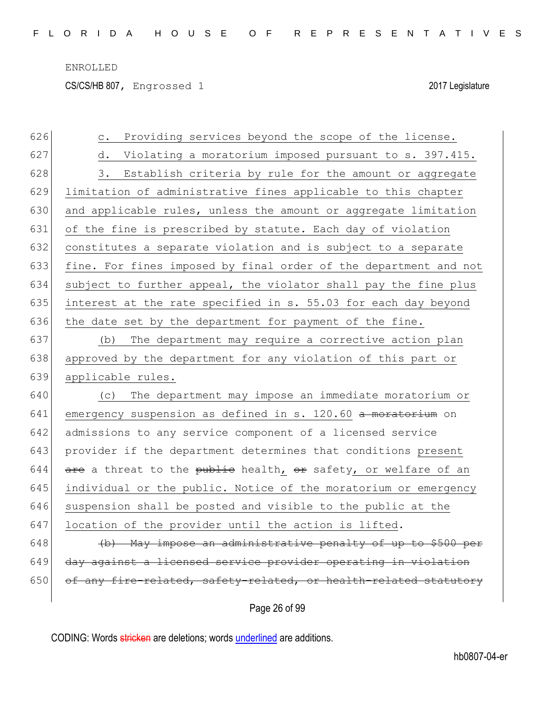CS/CS/HB 807, Engrossed 1 2017 Legislature

| 626 | Providing services beyond the scope of the license.<br>$\mathtt{C}$ . |
|-----|-----------------------------------------------------------------------|
| 627 | Violating a moratorium imposed pursuant to s. 397.415.<br>d.          |
| 628 | Establish criteria by rule for the amount or aggregate<br>3.          |
| 629 | limitation of administrative fines applicable to this chapter         |
| 630 | and applicable rules, unless the amount or aggregate limitation       |
| 631 | of the fine is prescribed by statute. Each day of violation           |
| 632 | constitutes a separate violation and is subject to a separate         |
| 633 | fine. For fines imposed by final order of the department and not      |
| 634 | subject to further appeal, the violator shall pay the fine plus       |
| 635 | interest at the rate specified in s. 55.03 for each day beyond        |
| 636 | the date set by the department for payment of the fine.               |
| 637 | The department may require a corrective action plan<br>(b)            |
| 638 | approved by the department for any violation of this part or          |
| 639 | applicable rules.                                                     |
| 640 | The department may impose an immediate moratorium or<br>(C)           |
| 641 | emergency suspension as defined in s. 120.60 a moratorium on          |
| 642 | admissions to any service component of a licensed service             |
| 643 | provider if the department determines that conditions present         |
| 644 | are a threat to the public health, or safety, or welfare of an        |
| 645 | individual or the public. Notice of the moratorium or emergency       |
| 646 | suspension shall be posted and visible to the public at the           |
| 647 | location of the provider until the action is lifted.                  |
| 648 | (b) May impose an administrative penalty of up to \$500 per           |
| 649 | day against a licensed service provider operating in violation        |
| 650 | of any fire-related, safety-related, or health-related statutory      |
|     | Page 26 of 99                                                         |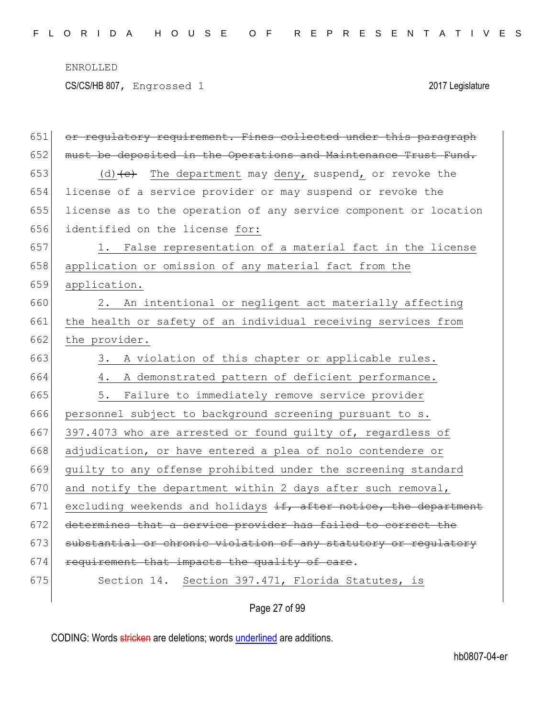CS/CS/HB 807, Engrossed 1 2017 Legislature

| 651 | or regulatory requirement. Fines collected under this paragraph  |
|-----|------------------------------------------------------------------|
| 652 | must be deposited in the Operations and Maintenance Trust Fund.  |
| 653 | $(d)$ + $e$ ) The department may deny, suspend, or revoke the    |
| 654 | license of a service provider or may suspend or revoke the       |
| 655 | license as to the operation of any service component or location |
| 656 | identified on the license for:                                   |
| 657 | 1. False representation of a material fact in the license        |
| 658 | application or omission of any material fact from the            |
| 659 | application.                                                     |
| 660 | 2. An intentional or negligent act materially affecting          |
| 661 | the health or safety of an individual receiving services from    |
| 662 | the provider.                                                    |
| 663 | A violation of this chapter or applicable rules.<br>3.           |
| 664 | A demonstrated pattern of deficient performance.<br>4.           |
| 665 | Failure to immediately remove service provider<br>5.             |
| 666 | personnel subject to background screening pursuant to s.         |
| 667 | 397.4073 who are arrested or found guilty of, regardless of      |
| 668 | adjudication, or have entered a plea of nolo contendere or       |
| 669 | guilty to any offense prohibited under the screening standard    |
| 670 | and notify the department within 2 days after such removal,      |
| 671 | excluding weekends and holidays if, after notice, the department |
| 672 | determines that a service provider has failed to correct the     |
| 673 | substantial or chronic violation of any statutory or regulatory  |
| 674 | requirement that impacts the quality of care.                    |
| 675 | Section 14. Section 397.471, Florida Statutes, is                |

Page 27 of 99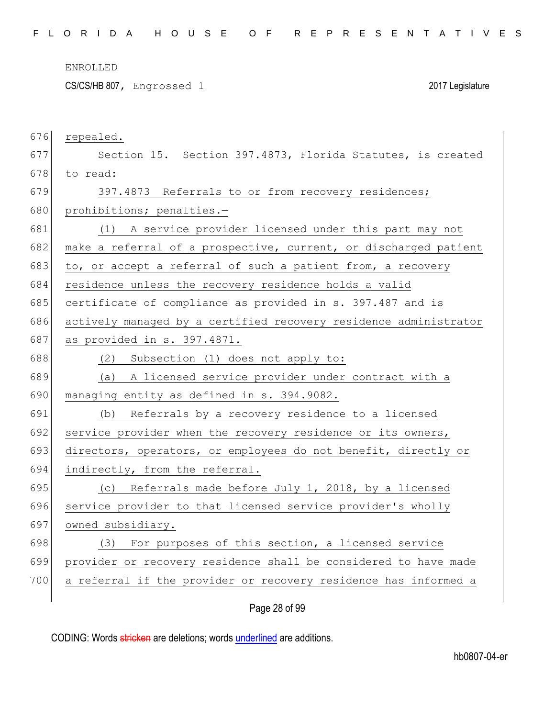CS/CS/HB 807, Engrossed 1 2017 Legislature

| 676 | repealed.                                                        |
|-----|------------------------------------------------------------------|
| 677 | Section 15. Section 397.4873, Florida Statutes, is created       |
| 678 | to read:                                                         |
| 679 | 397.4873 Referrals to or from recovery residences;               |
| 680 | prohibitions; penalties.-                                        |
| 681 | (1) A service provider licensed under this part may not          |
| 682 | make a referral of a prospective, current, or discharged patient |
| 683 | to, or accept a referral of such a patient from, a recovery      |
| 684 | residence unless the recovery residence holds a valid            |
| 685 | certificate of compliance as provided in s. 397.487 and is       |
| 686 | actively managed by a certified recovery residence administrator |
| 687 | as provided in s. 397.4871.                                      |
| 688 | (2) Subsection (1) does not apply to:                            |
| 689 | (a) A licensed service provider under contract with a            |
| 690 | managing entity as defined in s. 394.9082.                       |
| 691 | (b) Referrals by a recovery residence to a licensed              |
| 692 | service provider when the recovery residence or its owners,      |
| 693 | directors, operators, or employees do not benefit, directly or   |
| 694 | indirectly, from the referral.                                   |
| 695 | (c) Referrals made before July 1, 2018, by a licensed            |
| 696 | service provider to that licensed service provider's wholly      |
| 697 | owned subsidiary.                                                |
| 698 | (3) For purposes of this section, a licensed service             |
| 699 | provider or recovery residence shall be considered to have made  |
| 700 | a referral if the provider or recovery residence has informed a  |
|     |                                                                  |

## Page 28 of 99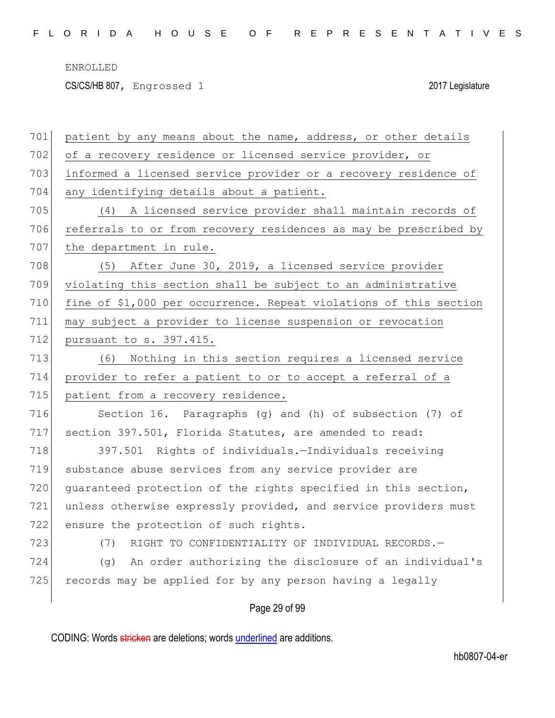CS/CS/HB 807, Engrossed 1 2017 Legislature

| 701 | patient by any means about the name, address, or other details    |
|-----|-------------------------------------------------------------------|
| 702 | of a recovery residence or licensed service provider, or          |
| 703 | informed a licensed service provider or a recovery residence of   |
| 704 | any identifying details about a patient.                          |
| 705 | (4) A licensed service provider shall maintain records of         |
| 706 | referrals to or from recovery residences as may be prescribed by  |
| 707 | the department in rule.                                           |
| 708 | After June 30, 2019, a licensed service provider<br>(5)           |
| 709 | violating this section shall be subject to an administrative      |
| 710 | fine of \$1,000 per occurrence. Repeat violations of this section |
| 711 | may subject a provider to license suspension or revocation        |
| 712 | pursuant to s. 397.415.                                           |
| 713 | Nothing in this section requires a licensed service<br>(6)        |
| 714 | provider to refer a patient to or to accept a referral of a       |
| 715 | patient from a recovery residence.                                |
| 716 | Section 16. Paragraphs (g) and (h) of subsection (7) of           |
| 717 | section 397.501, Florida Statutes, are amended to read:           |
| 718 | 397.501 Rights of individuals.-Individuals receiving              |
| 719 | substance abuse services from any service provider are            |
| 720 | quaranteed protection of the rights specified in this section,    |
| 721 | unless otherwise expressly provided, and service providers must   |
| 722 | ensure the protection of such rights.                             |
| 723 | RIGHT TO CONFIDENTIALITY OF INDIVIDUAL RECORDS.-<br>(7)           |
| 724 | An order authorizing the disclosure of an individual's<br>(q)     |
| 725 | records may be applied for by any person having a legally         |
|     | Page 29 of 99                                                     |
|     |                                                                   |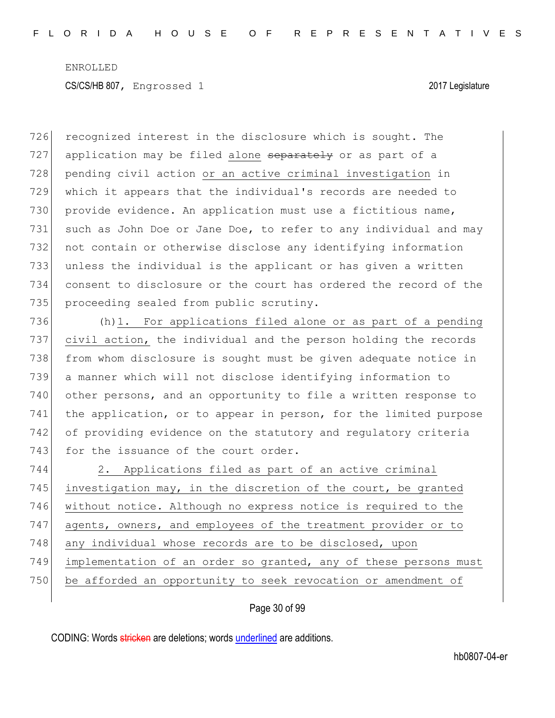726 recognized interest in the disclosure which is sought. The 727 application may be filed alone separately or as part of a 728 pending civil action or an active criminal investigation in 729 which it appears that the individual's records are needed to 730 provide evidence. An application must use a fictitious name, 731 such as John Doe or Jane Doe, to refer to any individual and may 732 not contain or otherwise disclose any identifying information 733 unless the individual is the applicant or has given a written 734 consent to disclosure or the court has ordered the record of the 735 proceeding sealed from public scrutiny.

736 (h)1. For applications filed alone or as part of a pending 737 civil action, the individual and the person holding the records 738 from whom disclosure is sought must be given adequate notice in 739 a manner which will not disclose identifying information to 740 other persons, and an opportunity to file a written response to 741 the application, or to appear in person, for the limited purpose 742 of providing evidence on the statutory and regulatory criteria 743 for the issuance of the court order.

744 2. Applications filed as part of an active criminal 745 investigation may, in the discretion of the court, be granted 746 without notice. Although no express notice is required to the 747 agents, owners, and employees of the treatment provider or to 748 any individual whose records are to be disclosed, upon 749 implementation of an order so granted, any of these persons must 750 be afforded an opportunity to seek revocation or amendment of

Page 30 of 99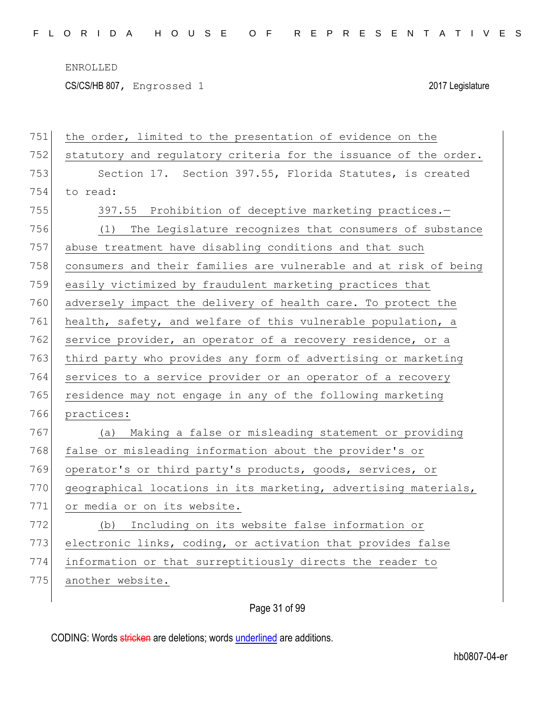CS/CS/HB 807, Engrossed 1 2017 Legislature

| 751 | the order, limited to the presentation of evidence on the        |
|-----|------------------------------------------------------------------|
| 752 | statutory and regulatory criteria for the issuance of the order. |
| 753 | Section 17. Section 397.55, Florida Statutes, is created         |
| 754 | to read:                                                         |
| 755 | 397.55 Prohibition of deceptive marketing practices.-            |
| 756 | The Legislature recognizes that consumers of substance<br>(1)    |
| 757 | abuse treatment have disabling conditions and that such          |
| 758 | consumers and their families are vulnerable and at risk of being |
| 759 | easily victimized by fraudulent marketing practices that         |
| 760 | adversely impact the delivery of health care. To protect the     |
| 761 | health, safety, and welfare of this vulnerable population, a     |
| 762 | service provider, an operator of a recovery residence, or a      |
| 763 | third party who provides any form of advertising or marketing    |
| 764 | services to a service provider or an operator of a recovery      |
| 765 | residence may not engage in any of the following marketing       |
| 766 | practices:                                                       |
| 767 | Making a false or misleading statement or providing<br>(a)       |
| 768 | false or misleading information about the provider's or          |
| 769 | operator's or third party's products, goods, services, or        |
| 770 | geographical locations in its marketing, advertising materials,  |
| 771 | or media or on its website.                                      |
| 772 | Including on its website false information or<br>(b)             |
| 773 | electronic links, coding, or activation that provides false      |
| 774 | information or that surreptitiously directs the reader to        |
| 775 | another website.                                                 |
|     |                                                                  |

Page 31 of 99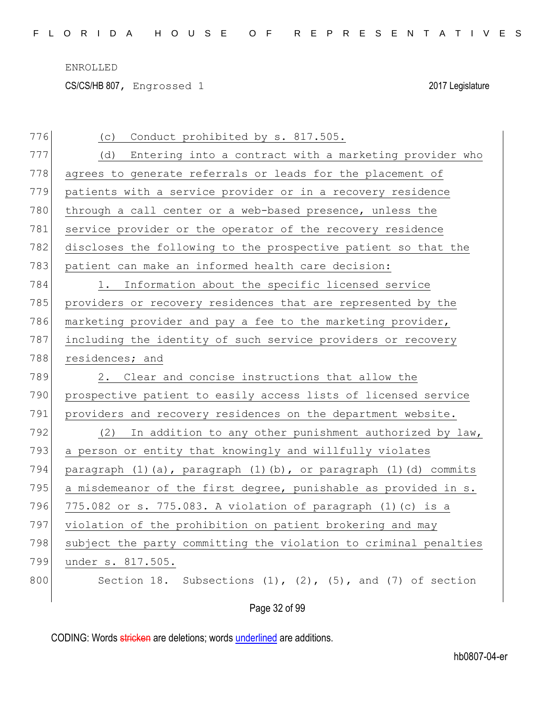CS/CS/HB 807, Engrossed 1 2017 Legislature

| 776 | Conduct prohibited by s. 817.505.<br>(C)                                         |
|-----|----------------------------------------------------------------------------------|
| 777 | Entering into a contract with a marketing provider who<br>(d)                    |
| 778 | agrees to generate referrals or leads for the placement of                       |
| 779 | patients with a service provider or in a recovery residence                      |
| 780 | through a call center or a web-based presence, unless the                        |
| 781 | service provider or the operator of the recovery residence                       |
| 782 | discloses the following to the prospective patient so that the                   |
| 783 | patient can make an informed health care decision:                               |
| 784 | Information about the specific licensed service<br>1.                            |
| 785 | providers or recovery residences that are represented by the                     |
| 786 | marketing provider and pay a fee to the marketing provider,                      |
| 787 | including the identity of such service providers or recovery                     |
| 788 | residences; and                                                                  |
| 789 | 2. Clear and concise instructions that allow the                                 |
| 790 | prospective patient to easily access lists of licensed service                   |
| 791 | providers and recovery residences on the department website.                     |
| 792 | In addition to any other punishment authorized by law,<br>(2)                    |
| 793 | a person or entity that knowingly and willfully violates                         |
| 794 | paragraph $(1)$ $(a)$ , paragraph $(1)$ $(b)$ , or paragraph $(1)$ $(d)$ commits |
| 795 | a misdemeanor of the first degree, punishable as provided in s.                  |
| 796 | 775.082 or s. 775.083. A violation of paragraph (1)(c) is a                      |
| 797 | violation of the prohibition on patient brokering and may                        |
| 798 | subject the party committing the violation to criminal penalties                 |
| 799 | under s. 817.505.                                                                |
| 800 | Section 18. Subsections $(1)$ , $(2)$ , $(5)$ , and $(7)$ of section             |
|     | Page 32 of 99                                                                    |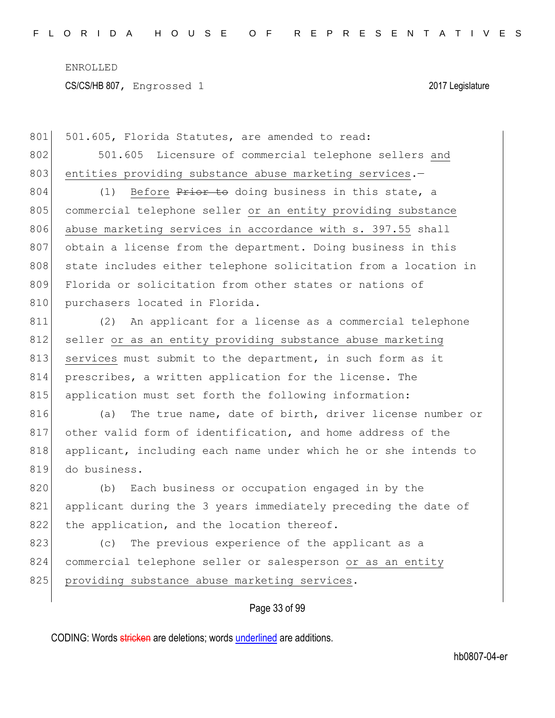801 501.605, Florida Statutes, are amended to read: 802 501.605 Licensure of commercial telephone sellers and 803 entities providing substance abuse marketing services.-

804 (1) Before Prior to doing business in this state, a 805 commercial telephone seller or an entity providing substance 806 abuse marketing services in accordance with s. 397.55 shall 807 obtain a license from the department. Doing business in this 808 state includes either telephone solicitation from a location in 809 Florida or solicitation from other states or nations of 810 purchasers located in Florida.

811 (2) An applicant for a license as a commercial telephone 812 seller or as an entity providing substance abuse marketing 813 services must submit to the department, in such form as it 814 prescribes, a written application for the license. The 815 application must set forth the following information:

816 (a) The true name, date of birth, driver license number or 817 other valid form of identification, and home address of the 818 applicant, including each name under which he or she intends to 819 do business.

820 (b) Each business or occupation engaged in by the 821 applicant during the 3 years immediately preceding the date of 822 the application, and the location thereof.

823 (c) The previous experience of the applicant as a 824 commercial telephone seller or salesperson or as an entity 825 providing substance abuse marketing services.

Page 33 of 99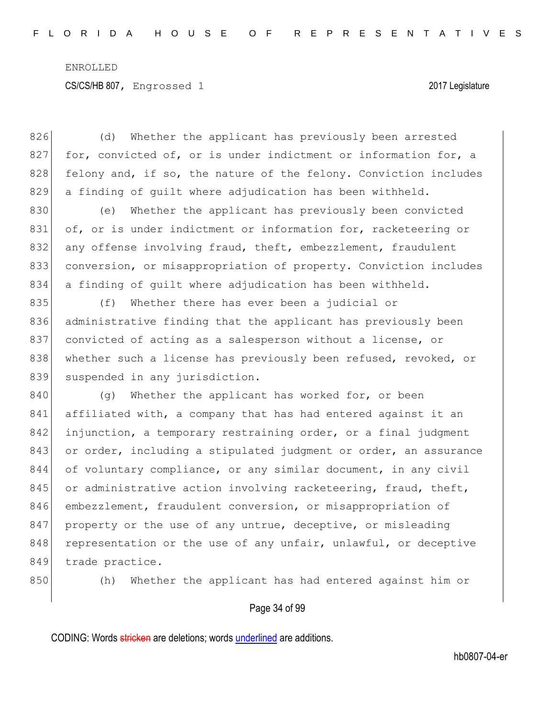826 (d) Whether the applicant has previously been arrested 827 for, convicted of, or is under indictment or information for, a 828 felony and, if so, the nature of the felony. Conviction includes 829 a finding of guilt where adjudication has been withheld.

830 (e) Whether the applicant has previously been convicted 831 of, or is under indictment or information for, racketeering or 832 any offense involving fraud, theft, embezzlement, fraudulent 833 conversion, or misappropriation of property. Conviction includes 834 a finding of guilt where adjudication has been withheld.

835 (f) Whether there has ever been a judicial or 836 administrative finding that the applicant has previously been 837 convicted of acting as a salesperson without a license, or 838 whether such a license has previously been refused, revoked, or 839 suspended in any jurisdiction.

840 (g) Whether the applicant has worked for, or been 841 affiliated with, a company that has had entered against it an 842 injunction, a temporary restraining order, or a final judgment 843 or order, including a stipulated judgment or order, an assurance 844 of voluntary compliance, or any similar document, in any civil 845 or administrative action involving racketeering, fraud, theft, 846 embezzlement, fraudulent conversion, or misappropriation of 847 property or the use of any untrue, deceptive, or misleading 848 representation or the use of any unfair, unlawful, or deceptive 849 trade practice.

850 (h) Whether the applicant has had entered against him or

### Page 34 of 99

CODING: Words stricken are deletions; words underlined are additions.

hb0807-04-er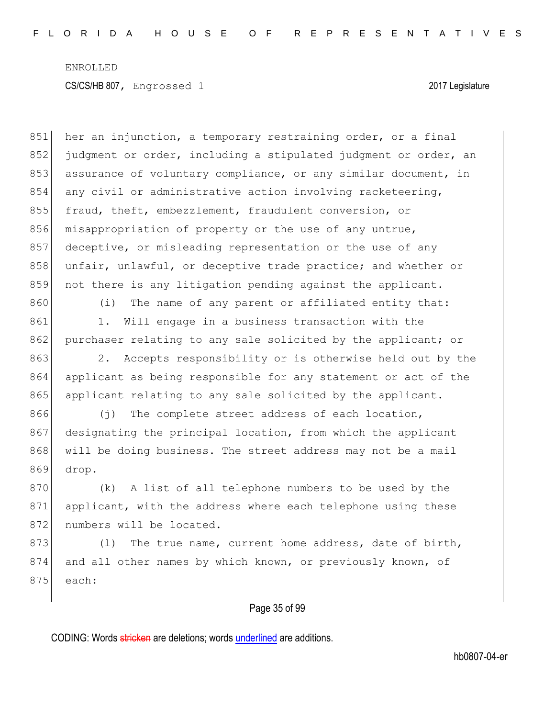851 her an injunction, a temporary restraining order, or a final 852 judgment or order, including a stipulated judgment or order, an 853 assurance of voluntary compliance, or any similar document, in 854 any civil or administrative action involving racketeering, 855 fraud, theft, embezzlement, fraudulent conversion, or 856 misappropriation of property or the use of any untrue, 857 deceptive, or misleading representation or the use of any 858 unfair, unlawful, or deceptive trade practice; and whether or 859 not there is any litigation pending against the applicant. 860 (i) The name of any parent or affiliated entity that: 861 1. Will engage in a business transaction with the 862 purchaser relating to any sale solicited by the applicant; or 863 2. Accepts responsibility or is otherwise held out by the 864 applicant as being responsible for any statement or act of the 865 applicant relating to any sale solicited by the applicant. 866 (j) The complete street address of each location, 867 designating the principal location, from which the applicant 868 will be doing business. The street address may not be a mail 869 drop. 870 (k) A list of all telephone numbers to be used by the 871 applicant, with the address where each telephone using these 872 numbers will be located. 873 (1) The true name, current home address, date of birth, 874 and all other names by which known, or previously known, of  $875$  each:

### Page 35 of 99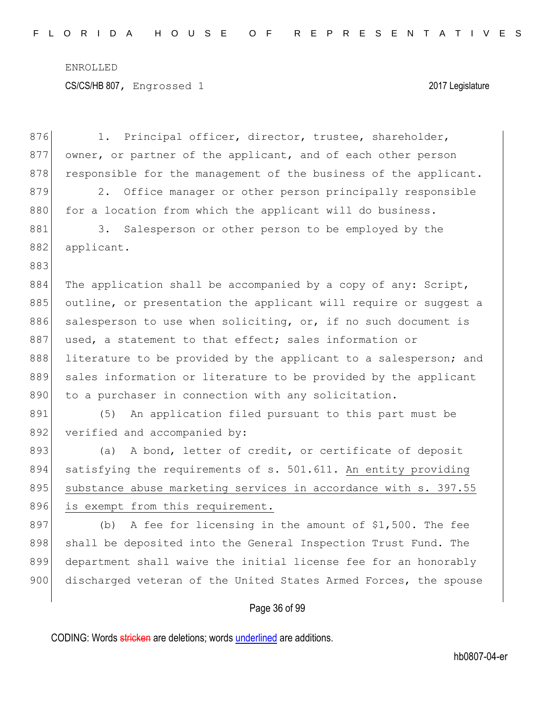876 1. Principal officer, director, trustee, shareholder, 877 owner, or partner of the applicant, and of each other person 878 responsible for the management of the business of the applicant. 879 2. Office manager or other person principally responsible 880 for a location from which the applicant will do business. 881 3. Salesperson or other person to be employed by the 882 applicant. 883 884 The application shall be accompanied by a copy of any: Script, 885 outline, or presentation the applicant will require or suggest a 886 salesperson to use when soliciting, or, if no such document is 887 used, a statement to that effect; sales information or 888 literature to be provided by the applicant to a salesperson; and 889 sales information or literature to be provided by the applicant 890 to a purchaser in connection with any solicitation. 891 (5) An application filed pursuant to this part must be 892 verified and accompanied by: 893 (a) A bond, letter of credit, or certificate of deposit 894 satisfying the requirements of s. 501.611. An entity providing 895 substance abuse marketing services in accordance with s. 397.55 896 is exempt from this requirement. 897 (b) A fee for licensing in the amount of  $$1,500$ . The fee 898 shall be deposited into the General Inspection Trust Fund. The 899 department shall waive the initial license fee for an honorably 900 discharged veteran of the United States Armed Forces, the spouse

### Page 36 of 99

CODING: Words stricken are deletions; words underlined are additions.

hb0807-04-er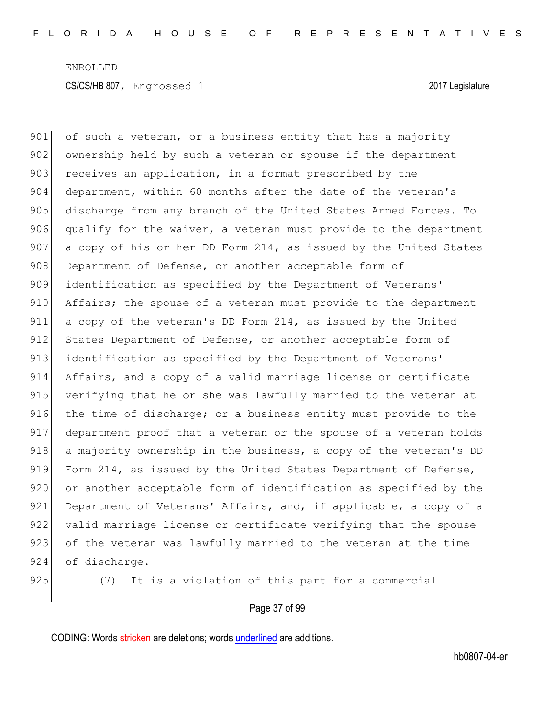901 of such a veteran, or a business entity that has a majority 902 ownership held by such a veteran or spouse if the department 903 receives an application, in a format prescribed by the 904 department, within 60 months after the date of the veteran's 905 discharge from any branch of the United States Armed Forces. To 906 qualify for the waiver, a veteran must provide to the department 907 a copy of his or her DD Form 214, as issued by the United States 908 Department of Defense, or another acceptable form of 909 identification as specified by the Department of Veterans' 910 Affairs; the spouse of a veteran must provide to the department 911 a copy of the veteran's DD Form 214, as issued by the United 912 States Department of Defense, or another acceptable form of 913 identification as specified by the Department of Veterans' 914 Affairs, and a copy of a valid marriage license or certificate 915 verifying that he or she was lawfully married to the veteran at 916 the time of discharge; or a business entity must provide to the 917 department proof that a veteran or the spouse of a veteran holds 918 a majority ownership in the business, a copy of the veteran's DD 919 Form 214, as issued by the United States Department of Defense, 920 or another acceptable form of identification as specified by the 921 Department of Veterans' Affairs, and, if applicable, a copy of a 922 valid marriage license or certificate verifying that the spouse 923 of the veteran was lawfully married to the veteran at the time 924 of discharge.

925 (7) It is a violation of this part for a commercial

Page 37 of 99

CODING: Words stricken are deletions; words underlined are additions.

hb0807-04-er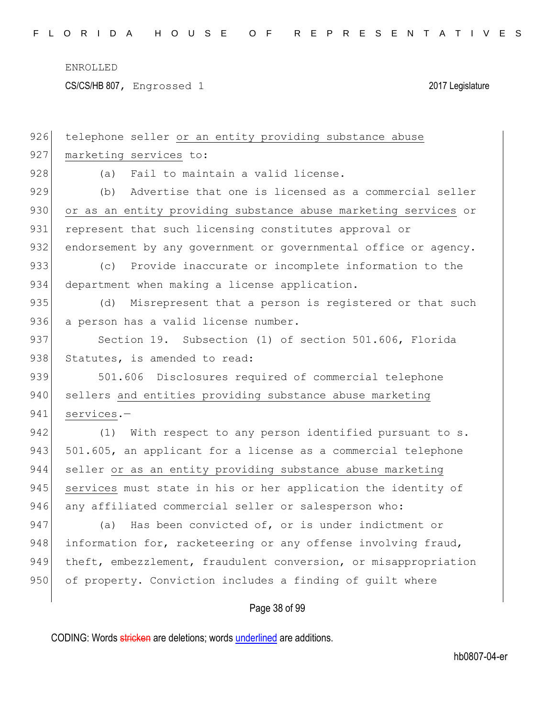CS/CS/HB 807, Engrossed 1 2017 Legislature

| 926 | telephone seller or an entity providing substance abuse         |
|-----|-----------------------------------------------------------------|
| 927 | marketing services to:                                          |
| 928 | Fail to maintain a valid license.<br>(a)                        |
| 929 | Advertise that one is licensed as a commercial seller<br>(b)    |
| 930 | or as an entity providing substance abuse marketing services or |
| 931 | represent that such licensing constitutes approval or           |
| 932 | endorsement by any government or governmental office or agency. |
| 933 | (C)<br>Provide inaccurate or incomplete information to the      |
| 934 | department when making a license application.                   |
| 935 | Misrepresent that a person is registered or that such<br>(d)    |
| 936 | a person has a valid license number.                            |
| 937 | Section 19. Subsection (1) of section 501.606, Florida          |
| 938 | Statutes, is amended to read:                                   |
| 939 | 501.606 Disclosures required of commercial telephone            |
| 940 | sellers and entities providing substance abuse marketing        |
| 941 | services.-                                                      |
| 942 | With respect to any person identified pursuant to s.<br>(1)     |
| 943 | 501.605, an applicant for a license as a commercial telephone   |
| 944 | seller or as an entity providing substance abuse marketing      |
| 945 | services must state in his or her application the identity of   |
| 946 | any affiliated commercial seller or salesperson who:            |
| 947 | Has been convicted of, or is under indictment or<br>(a)         |
| 948 | information for, racketeering or any offense involving fraud,   |
| 949 | theft, embezzlement, fraudulent conversion, or misappropriation |
| 950 | of property. Conviction includes a finding of guilt where       |
|     |                                                                 |
|     | Page 38 of 99                                                   |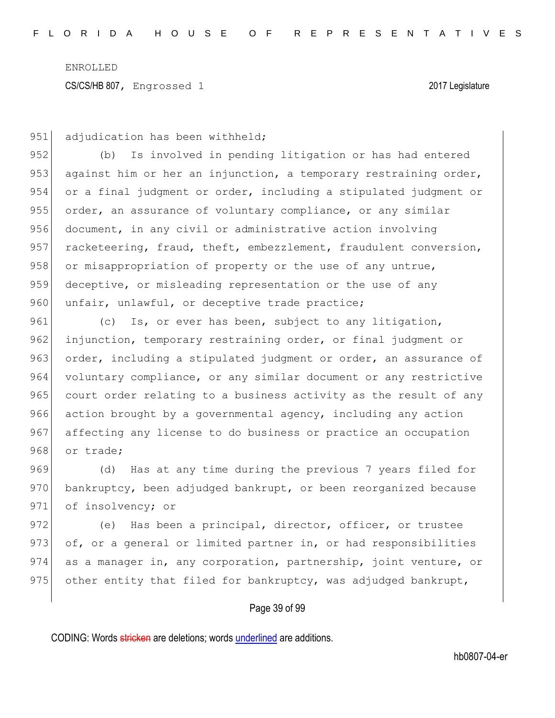951 adjudication has been withheld;

952 (b) Is involved in pending litigation or has had entered 953 against him or her an injunction, a temporary restraining order, 954 or a final judgment or order, including a stipulated judgment or 955 order, an assurance of voluntary compliance, or any similar 956 document, in any civil or administrative action involving 957 racketeering, fraud, theft, embezzlement, fraudulent conversion, 958 or misappropriation of property or the use of any untrue, 959 deceptive, or misleading representation or the use of any 960 unfair, unlawful, or deceptive trade practice;

961 (c) Is, or ever has been, subject to any litigation, 962 injunction, temporary restraining order, or final judgment or 963 order, including a stipulated judgment or order, an assurance of 964 voluntary compliance, or any similar document or any restrictive 965 court order relating to a business activity as the result of any 966 action brought by a governmental agency, including any action 967 affecting any license to do business or practice an occupation 968 or trade;

969 (d) Has at any time during the previous 7 years filed for 970 bankruptcy, been adjudged bankrupt, or been reorganized because 971 of insolvency; or

972 (e) Has been a principal, director, officer, or trustee 973 of, or a general or limited partner in, or had responsibilities 974 as a manager in, any corporation, partnership, joint venture, or 975 other entity that filed for bankruptcy, was adjudged bankrupt,

### Page 39 of 99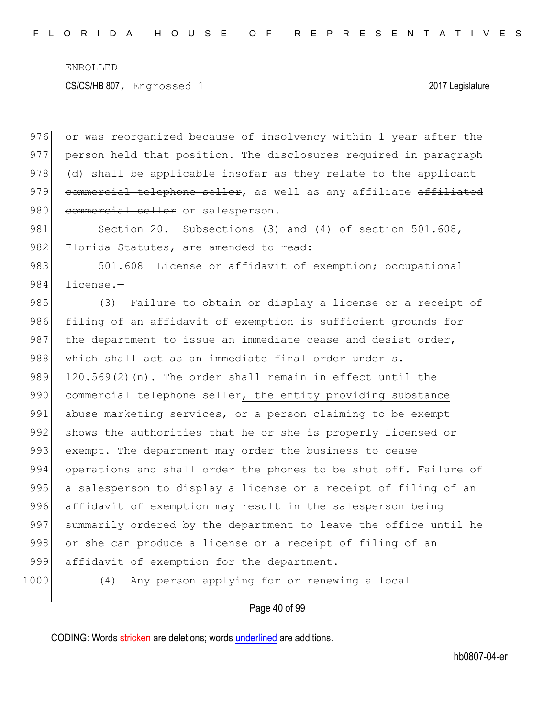CS/CS/HB 807, Engrossed 1 2017 Legislature

976 or was reorganized because of insolvency within 1 year after the 977 person held that position. The disclosures required in paragraph 978 (d) shall be applicable insofar as they relate to the applicant 979 commercial telephone seller, as well as any affiliate affiliated 980 commercial seller or salesperson.

981 Section 20. Subsections (3) and (4) of section 501.608, 982 Florida Statutes, are amended to read:

983 501.608 License or affidavit of exemption; occupational 984 license.-

985 (3) Failure to obtain or display a license or a receipt of 986 filing of an affidavit of exemption is sufficient grounds for 987 the department to issue an immediate cease and desist order, 988 which shall act as an immediate final order under s. 989  $120.569(2)$  (n). The order shall remain in effect until the 990 commercial telephone seller, the entity providing substance 991 abuse marketing services, or a person claiming to be exempt 992 shows the authorities that he or she is properly licensed or 993 exempt. The department may order the business to cease 994 operations and shall order the phones to be shut off. Failure of 995 a salesperson to display a license or a receipt of filing of an 996 affidavit of exemption may result in the salesperson being 997 summarily ordered by the department to leave the office until he 998 or she can produce a license or a receipt of filing of an 999 affidavit of exemption for the department.

1000 (4) Any person applying for or renewing a local

### Page 40 of 99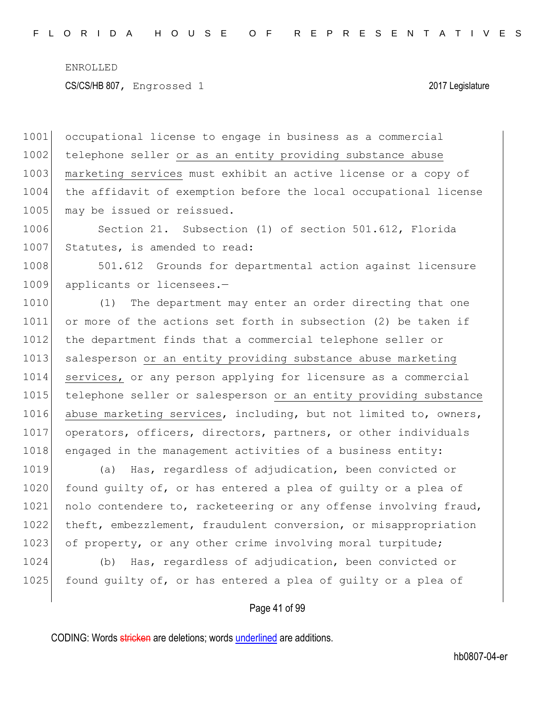1001 occupational license to engage in business as a commercial 1002 telephone seller or as an entity providing substance abuse 1003 marketing services must exhibit an active license or a copy of 1004 the affidavit of exemption before the local occupational license 1005 may be issued or reissued.

1006 Section 21. Subsection (1) of section 501.612, Florida 1007 Statutes, is amended to read:

1008 501.612 Grounds for departmental action against licensure 1009 applicants or licensees.-

1010 (1) The department may enter an order directing that one 1011 or more of the actions set forth in subsection (2) be taken if 1012 the department finds that a commercial telephone seller or 1013 salesperson or an entity providing substance abuse marketing 1014 services, or any person applying for licensure as a commercial 1015 telephone seller or salesperson or an entity providing substance 1016 abuse marketing services, including, but not limited to, owners, 1017 operators, officers, directors, partners, or other individuals 1018 engaged in the management activities of a business entity:

1019 (a) Has, regardless of adjudication, been convicted or 1020 found quilty of, or has entered a plea of quilty or a plea of 1021 nolo contendere to, racketeering or any offense involving fraud, 1022 theft, embezzlement, fraudulent conversion, or misappropriation 1023 of property, or any other crime involving moral turpitude;

1024 (b) Has, regardless of adjudication, been convicted or 1025 found quilty of, or has entered a plea of quilty or a plea of

### Page 41 of 99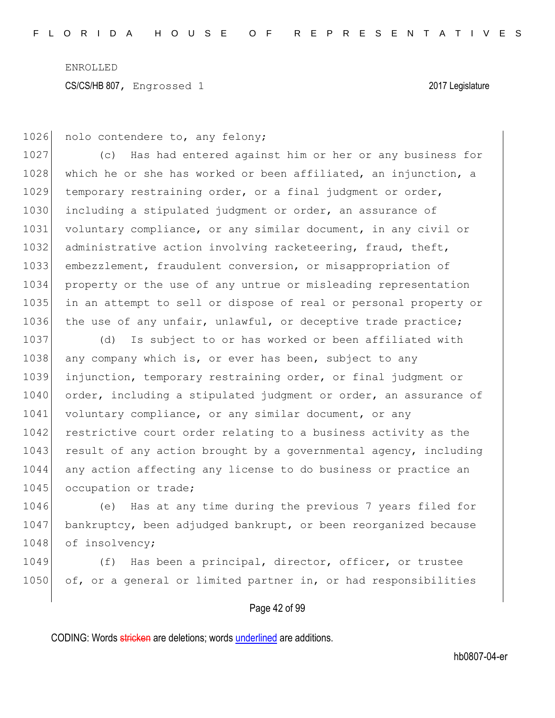1026 nolo contendere to, any felony;

1027 (c) Has had entered against him or her or any business for 1028 which he or she has worked or been affiliated, an injunction, a 1029 temporary restraining order, or a final judgment or order, 1030 including a stipulated judgment or order, an assurance of 1031 voluntary compliance, or any similar document, in any civil or 1032 administrative action involving racketeering, fraud, theft, 1033 embezzlement, fraudulent conversion, or misappropriation of 1034 property or the use of any untrue or misleading representation 1035 in an attempt to sell or dispose of real or personal property or 1036 the use of any unfair, unlawful, or deceptive trade practice;

1037 (d) Is subject to or has worked or been affiliated with 1038 any company which is, or ever has been, subject to any 1039 injunction, temporary restraining order, or final judgment or 1040 order, including a stipulated judgment or order, an assurance of 1041 voluntary compliance, or any similar document, or any 1042 restrictive court order relating to a business activity as the 1043 result of any action brought by a governmental agency, including 1044 any action affecting any license to do business or practice an 1045 occupation or trade;

1046 (e) Has at any time during the previous 7 years filed for 1047 bankruptcy, been adjudged bankrupt, or been reorganized because 1048 of insolvency;

1049 (f) Has been a principal, director, officer, or trustee 1050 of, or a general or limited partner in, or had responsibilities

### Page 42 of 99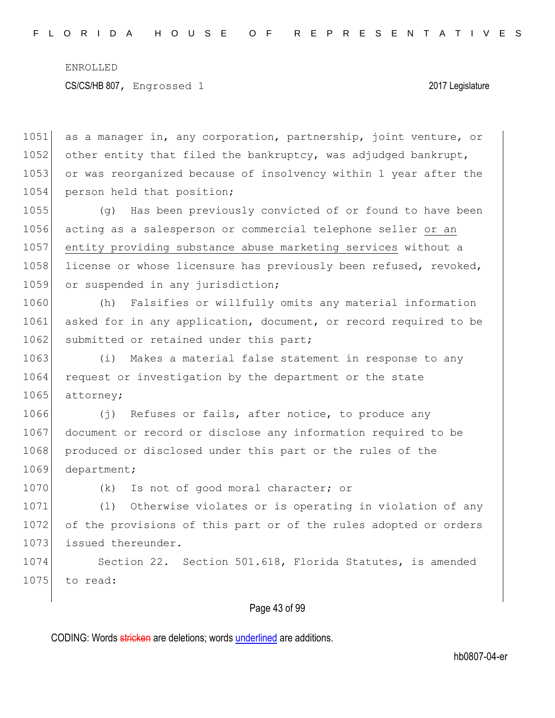1051 as a manager in, any corporation, partnership, joint venture, or 1052 other entity that filed the bankruptcy, was adjudged bankrupt, 1053 or was reorganized because of insolvency within 1 year after the 1054 person held that position;

1055 (g) Has been previously convicted of or found to have been 1056 acting as a salesperson or commercial telephone seller or an 1057 entity providing substance abuse marketing services without a 1058 license or whose licensure has previously been refused, revoked, 1059 or suspended in any jurisdiction;

1060 (h) Falsifies or willfully omits any material information 1061 asked for in any application, document, or record required to be 1062 submitted or retained under this part;

1063 (i) Makes a material false statement in response to any 1064 request or investigation by the department or the state 1065 attorney;

1066 (j) Refuses or fails, after notice, to produce any 1067 document or record or disclose any information required to be 1068 produced or disclosed under this part or the rules of the 1069 department;

1070 (k) Is not of good moral character; or

1071 (1) Otherwise violates or is operating in violation of any 1072 of the provisions of this part or of the rules adopted or orders 1073 issued thereunder.

1074 Section 22. Section 501.618, Florida Statutes, is amended  $1075$  to read:

### Page 43 of 99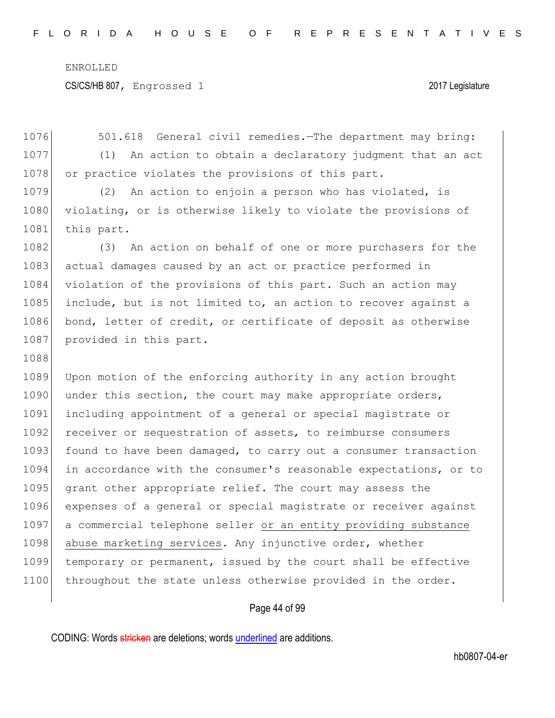CS/CS/HB 807, Engrossed 1 2017 Legislature

1076 501.618 General civil remedies.—The department may bring: 1077 (1) An action to obtain a declaratory judgment that an act 1078 or practice violates the provisions of this part. 1079 (2) An action to enjoin a person who has violated, is 1080 violating, or is otherwise likely to violate the provisions of 1081 this part. 1082 (3) An action on behalf of one or more purchasers for the 1083 actual damages caused by an act or practice performed in 1084 violation of the provisions of this part. Such an action may 1085 include, but is not limited to, an action to recover against a 1086 bond, letter of credit, or certificate of deposit as otherwise 1087 provided in this part. 1088 1089 Upon motion of the enforcing authority in any action brought 1090 under this section, the court may make appropriate orders, 1091 including appointment of a general or special magistrate or 1092 receiver or sequestration of assets, to reimburse consumers 1093 found to have been damaged, to carry out a consumer transaction 1094 in accordance with the consumer's reasonable expectations, or to 1095 grant other appropriate relief. The court may assess the 1096 expenses of a general or special magistrate or receiver against 1097 a commercial telephone seller or an entity providing substance 1098 abuse marketing services. Any injunctive order, whether 1099 temporary or permanent, issued by the court shall be effective 1100 throughout the state unless otherwise provided in the order.

Page 44 of 99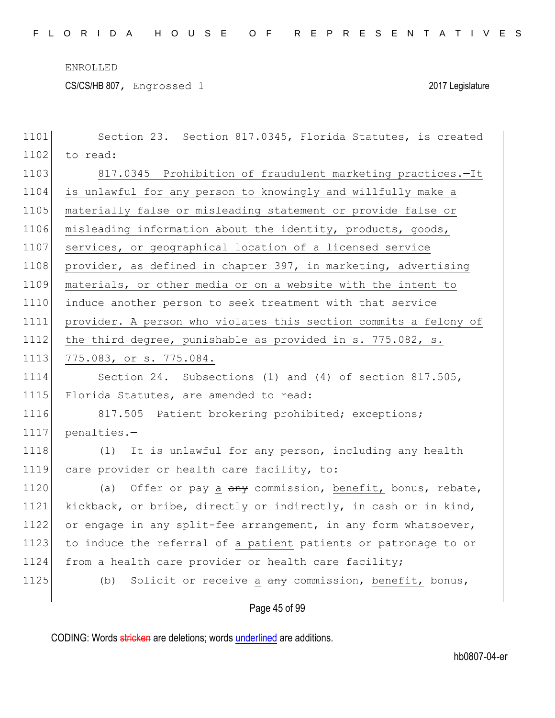CS/CS/HB 807, Engrossed 1 2017 Legislature

| 1101 | Section 23. Section 817.0345, Florida Statutes, is created       |
|------|------------------------------------------------------------------|
| 1102 | to read:                                                         |
| 1103 | 817.0345 Prohibition of fraudulent marketing practices.-It       |
| 1104 | is unlawful for any person to knowingly and willfully make a     |
| 1105 | materially false or misleading statement or provide false or     |
| 1106 | misleading information about the identity, products, goods,      |
| 1107 | services, or geographical location of a licensed service         |
| 1108 | provider, as defined in chapter 397, in marketing, advertising   |
| 1109 | materials, or other media or on a website with the intent to     |
| 1110 | induce another person to seek treatment with that service        |
| 1111 | provider. A person who violates this section commits a felony of |
| 1112 | the third degree, punishable as provided in s. 775.082, s.       |
| 1113 | 775.083, or s. 775.084.                                          |
| 1114 | Section 24. Subsections (1) and (4) of section 817.505,          |
| 1115 | Florida Statutes, are amended to read:                           |
| 1116 | 817.505 Patient brokering prohibited; exceptions;                |
| 1117 | penalties.-                                                      |
| 1118 | It is unlawful for any person, including any health<br>(1)       |
| 1119 | care provider or health care facility, to:                       |
| 1120 | Offer or pay a any commission, benefit, bonus, rebate,<br>(a)    |
| 1121 | kickback, or bribe, directly or indirectly, in cash or in kind,  |
| 1122 | or engage in any split-fee arrangement, in any form whatsoever,  |
| 1123 | to induce the referral of a patient patients or patronage to or  |
| 1124 | from a health care provider or health care facility;             |
| 1125 | Solicit or receive a any commission, benefit, bonus,<br>(b)      |
|      |                                                                  |

Page 45 of 99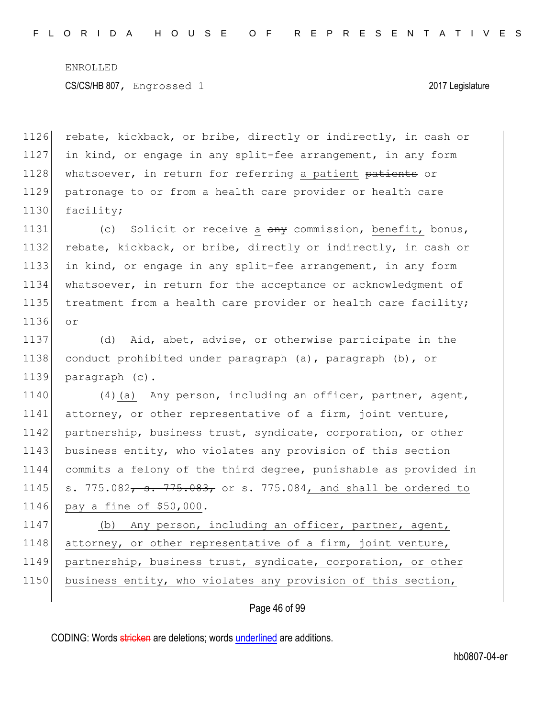1126 rebate, kickback, or bribe, directly or indirectly, in cash or 1127 in kind, or engage in any split-fee arrangement, in any form 1128 whatsoever, in return for referring a patient patients or 1129 patronage to or from a health care provider or health care 1130 facility;

1131 (c) Solicit or receive a any commission, benefit, bonus, 1132 rebate, kickback, or bribe, directly or indirectly, in cash or 1133 in kind, or engage in any split-fee arrangement, in any form 1134 whatsoever, in return for the acceptance or acknowledgment of 1135 treatment from a health care provider or health care facility; 1136 or

1137 (d) Aid, abet, advise, or otherwise participate in the 1138 conduct prohibited under paragraph (a), paragraph (b), or 1139 paragraph (c).

1140 (4)(a) Any person, including an officer, partner, agent, 1141 attorney, or other representative of a firm, joint venture, 1142 partnership, business trust, syndicate, corporation, or other 1143 business entity, who violates any provision of this section 1144 commits a felony of the third degree, punishable as provided in 1145 s. 775.082, s. 775.083, or s. 775.084, and shall be ordered to 1146 pay a fine of \$50,000.

1147 (b) Any person, including an officer, partner, agent, 1148 attorney, or other representative of a firm, joint venture, 1149 partnership, business trust, syndicate, corporation, or other 1150 business entity, who violates any provision of this section,

### Page 46 of 99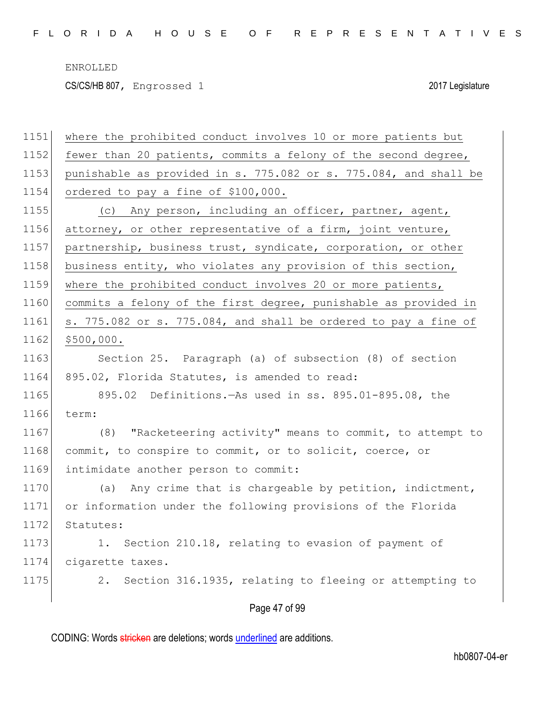CS/CS/HB 807, Engrossed 1 2017 Legislature

| 1151 | where the prohibited conduct involves 10 or more patients but    |
|------|------------------------------------------------------------------|
| 1152 | fewer than 20 patients, commits a felony of the second degree,   |
| 1153 | punishable as provided in s. 775.082 or s. 775.084, and shall be |
| 1154 | ordered to pay a fine of \$100,000.                              |
| 1155 | (c) Any person, including an officer, partner, agent,            |
| 1156 | attorney, or other representative of a firm, joint venture,      |
| 1157 | partnership, business trust, syndicate, corporation, or other    |
| 1158 | business entity, who violates any provision of this section,     |
| 1159 | where the prohibited conduct involves 20 or more patients,       |
| 1160 | commits a felony of the first degree, punishable as provided in  |
| 1161 | s. 775.082 or s. 775.084, and shall be ordered to pay a fine of  |
| 1162 | \$500,000.                                                       |
| 1163 | Section 25. Paragraph (a) of subsection (8) of section           |
| 1164 | 895.02, Florida Statutes, is amended to read:                    |
| 1165 | 895.02 Definitions. - As used in ss. 895.01-895.08, the          |
| 1166 | term:                                                            |
| 1167 | (8) "Racketeering activity" means to commit, to attempt to       |
| 1168 | commit, to conspire to commit, or to solicit, coerce, or         |
| 1169 | intimidate another person to commit:                             |
| 1170 | Any crime that is chargeable by petition, indictment,<br>(a)     |
| 1171 | or information under the following provisions of the Florida     |
| 1172 | Statutes:                                                        |
| 1173 | 1. Section 210.18, relating to evasion of payment of             |
| 1174 | cigarette taxes.                                                 |
| 1175 | 2. Section 316.1935, relating to fleeing or attempting to        |
|      |                                                                  |

Page 47 of 99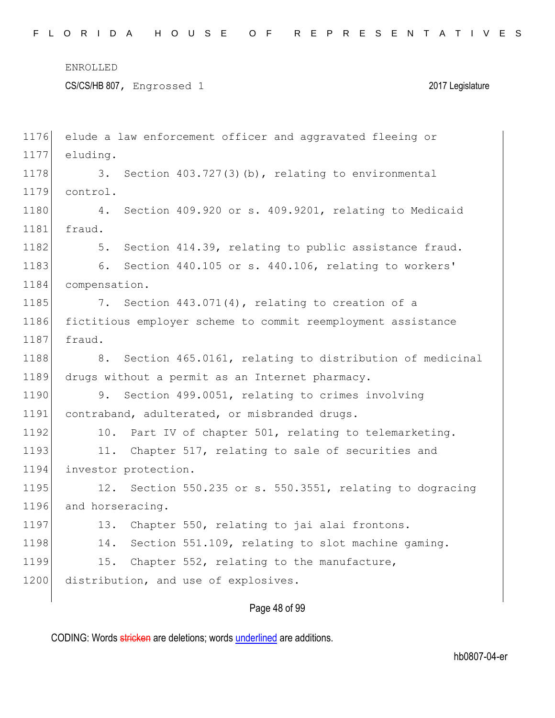CS/CS/HB 807, Engrossed 1 2017 Legislature

| 1176 | elude a law enforcement officer and aggravated fleeing or    |
|------|--------------------------------------------------------------|
| 1177 | eluding.                                                     |
| 1178 | 3. Section 403.727(3)(b), relating to environmental          |
| 1179 | control.                                                     |
| 1180 | Section 409.920 or s. 409.9201, relating to Medicaid<br>4.   |
| 1181 | fraud.                                                       |
| 1182 | Section 414.39, relating to public assistance fraud.<br>5.   |
| 1183 | Section 440.105 or s. 440.106, relating to workers'<br>6.    |
| 1184 | compensation.                                                |
| 1185 | 7. Section 443.071(4), relating to creation of a             |
| 1186 | fictitious employer scheme to commit reemployment assistance |
| 1187 | fraud.                                                       |
| 1188 | 8. Section 465.0161, relating to distribution of medicinal   |
| 1189 | drugs without a permit as an Internet pharmacy.              |
| 1190 | 9.<br>Section 499.0051, relating to crimes involving         |
| 1191 | contraband, adulterated, or misbranded drugs.                |
| 1192 | Part IV of chapter 501, relating to telemarketing.<br>10.    |
| 1193 | Chapter 517, relating to sale of securities and<br>11.       |
| 1194 | investor protection.                                         |
| 1195 | Section 550.235 or s. 550.3551, relating to dogracing<br>12. |
| 1196 | and horseracing.                                             |
| 1197 | Chapter 550, relating to jai alai frontons.<br>13.           |
| 1198 | Section 551.109, relating to slot machine gaming.<br>14.     |
| 1199 | 15.<br>Chapter 552, relating to the manufacture,             |
| 1200 | distribution, and use of explosives.                         |
|      |                                                              |

## Page 48 of 99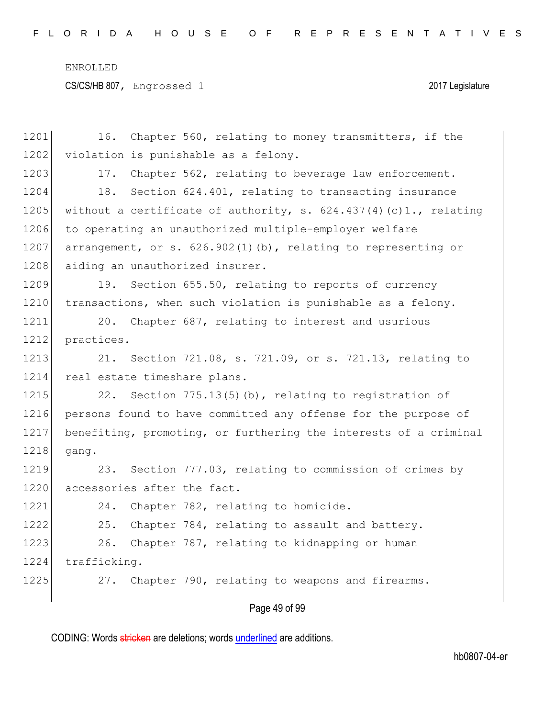CS/CS/HB 807, Engrossed 1 2017 Legislature

| 1201 | Chapter 560, relating to money transmitters, if the<br>16.         |
|------|--------------------------------------------------------------------|
| 1202 | violation is punishable as a felony.                               |
| 1203 | Chapter 562, relating to beverage law enforcement.<br>17.          |
| 1204 | Section 624.401, relating to transacting insurance<br>18.          |
| 1205 | without a certificate of authority, s. $624.437(4)(c)1.,$ relating |
| 1206 | to operating an unauthorized multiple-employer welfare             |
| 1207 | arrangement, or s. 626.902(1)(b), relating to representing or      |
| 1208 | aiding an unauthorized insurer.                                    |
| 1209 | Section 655.50, relating to reports of currency<br>19.             |
| 1210 | transactions, when such violation is punishable as a felony.       |
| 1211 | Chapter 687, relating to interest and usurious<br>20.              |
| 1212 | practices.                                                         |
| 1213 | 21. Section 721.08, s. 721.09, or s. 721.13, relating to           |
| 1214 | real estate timeshare plans.                                       |
| 1215 | Section $775.13(5)(b)$ , relating to registration of<br>22.        |
| 1216 | persons found to have committed any offense for the purpose of     |
| 1217 | benefiting, promoting, or furthering the interests of a criminal   |
| 1218 | qanq.                                                              |
| 1219 | Section 777.03, relating to commission of crimes by<br>23.         |
| 1220 | accessories after the fact.                                        |
| 1221 | Chapter 782, relating to homicide.<br>24.                          |
| 1222 | 25.<br>Chapter 784, relating to assault and battery.               |
| 1223 | 26.<br>Chapter 787, relating to kidnapping or human                |
| 1224 | trafficking.                                                       |
| 1225 | Chapter 790, relating to weapons and firearms.<br>27.              |
|      |                                                                    |

Page 49 of 99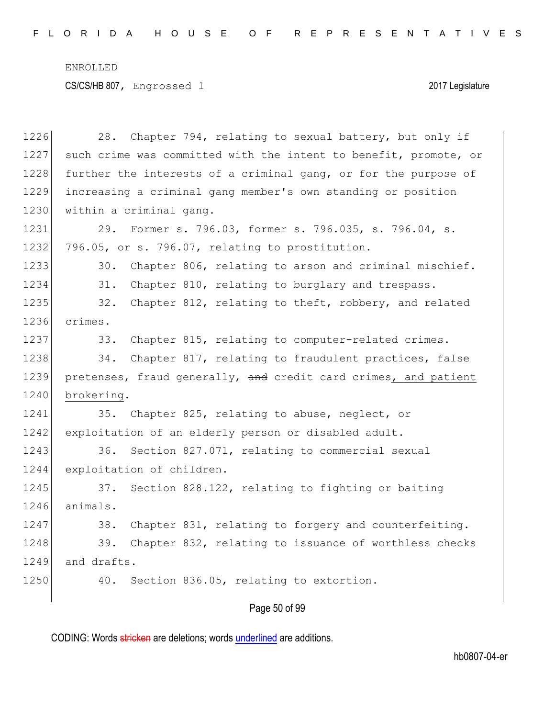CS/CS/HB 807, Engrossed 1 2017 Legislature

1226 28. Chapter 794, relating to sexual battery, but only if 1227 such crime was committed with the intent to benefit, promote, or 1228 further the interests of a criminal gang, or for the purpose of 1229 increasing a criminal gang member's own standing or position 1230 within a criminal gang. 1231 29. Former s. 796.03, former s. 796.035, s. 796.04, s. 1232 796.05, or s. 796.07, relating to prostitution. 1233 30. Chapter 806, relating to arson and criminal mischief. 1234 31. Chapter 810, relating to burglary and trespass. 1235 32. Chapter 812, relating to theft, robbery, and related 1236 crimes. 1237 33. Chapter 815, relating to computer-related crimes. 1238 34. Chapter 817, relating to fraudulent practices, false 1239 pretenses, fraud generally, and credit card crimes, and patient 1240 brokering. 1241 35. Chapter 825, relating to abuse, neglect, or 1242 exploitation of an elderly person or disabled adult. 1243 36. Section 827.071, relating to commercial sexual 1244 exploitation of children. 1245 37. Section 828.122, relating to fighting or baiting 1246 animals. 1247 38. Chapter 831, relating to forgery and counterfeiting. 1248 39. Chapter 832, relating to issuance of worthless checks 1249 and drafts. 1250 40. Section 836.05, relating to extortion.

### Page 50 of 99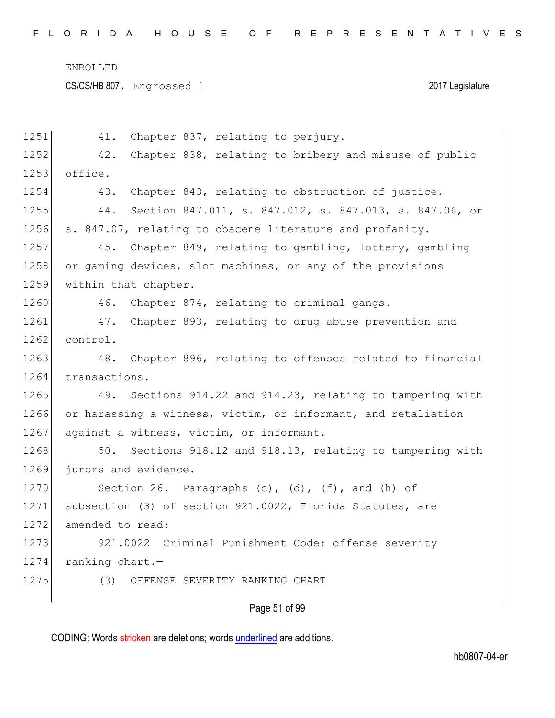CS/CS/HB 807, Engrossed 1 2017 Legislature

| 1251 | Chapter 837, relating to perjury.<br>41.                      |
|------|---------------------------------------------------------------|
| 1252 | Chapter 838, relating to bribery and misuse of public<br>42.  |
| 1253 | office.                                                       |
| 1254 | Chapter 843, relating to obstruction of justice.<br>43.       |
| 1255 | Section 847.011, s. 847.012, s. 847.013, s. 847.06, or<br>44. |
| 1256 | s. 847.07, relating to obscene literature and profanity.      |
| 1257 | Chapter 849, relating to gambling, lottery, gambling<br>45.   |
| 1258 | or gaming devices, slot machines, or any of the provisions    |
| 1259 | within that chapter.                                          |
| 1260 | 46. Chapter 874, relating to criminal gangs.                  |
| 1261 | Chapter 893, relating to drug abuse prevention and<br>47.     |
| 1262 | control.                                                      |
| 1263 | 48.<br>Chapter 896, relating to offenses related to financial |
| 1264 | transactions.                                                 |
| 1265 | 49. Sections 914.22 and 914.23, relating to tampering with    |
| 1266 | or harassing a witness, victim, or informant, and retaliation |
| 1267 | against a witness, victim, or informant.                      |
| 1268 | Sections 918.12 and 918.13, relating to tampering with<br>50. |
| 1269 | jurors and evidence.                                          |
| 1270 | Section 26. Paragraphs (c), (d), (f), and (h) of              |
| 1271 | subsection (3) of section 921.0022, Florida Statutes, are     |
| 1272 | amended to read:                                              |
| 1273 | 921.0022 Criminal Punishment Code; offense severity           |
| 1274 | ranking chart.-                                               |
| 1275 | (3)<br>OFFENSE SEVERITY RANKING CHART                         |
|      |                                                               |

# Page 51 of 99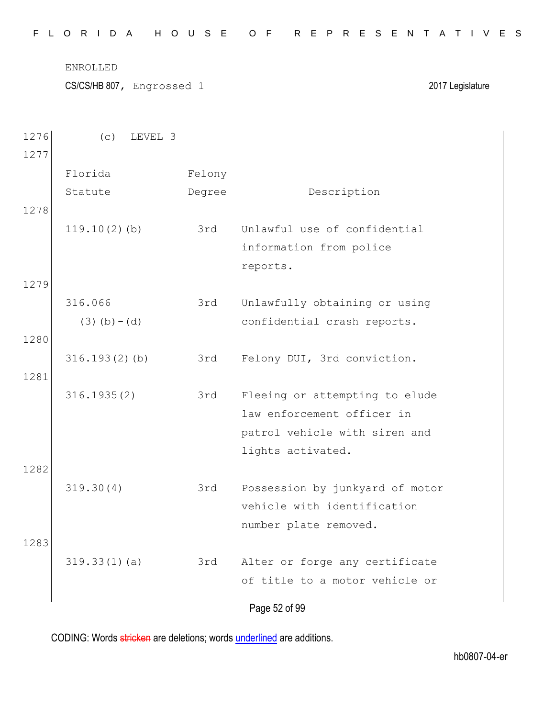| FLORIDA HOUSE OF REPRESENTATIVES |  |  |  |  |  |  |  |  |  |  |  |  |  |  |  |  |  |  |  |  |  |  |  |  |  |  |  |
|----------------------------------|--|--|--|--|--|--|--|--|--|--|--|--|--|--|--|--|--|--|--|--|--|--|--|--|--|--|--|
|----------------------------------|--|--|--|--|--|--|--|--|--|--|--|--|--|--|--|--|--|--|--|--|--|--|--|--|--|--|--|

CS/CS/HB 807, Engrossed 1 2017 Legislature

| 1276 | (C)<br>LEVEL 3  |        |                                 |
|------|-----------------|--------|---------------------------------|
| 1277 |                 |        |                                 |
|      | Florida         | Felony |                                 |
|      | Statute         | Degree | Description                     |
| 1278 |                 |        |                                 |
|      | $119.10(2)$ (b) | 3rd    | Unlawful use of confidential    |
|      |                 |        | information from police         |
|      |                 |        | reports.                        |
| 1279 |                 |        |                                 |
|      | 316.066         | 3rd    | Unlawfully obtaining or using   |
|      | $(3)$ (b) – (d) |        | confidential crash reports.     |
| 1280 |                 |        |                                 |
|      | 316.193(2)(b)   | 3rd    | Felony DUI, 3rd conviction.     |
| 1281 |                 |        |                                 |
|      | 316.1935(2)     | 3rd    | Fleeing or attempting to elude  |
|      |                 |        | law enforcement officer in      |
|      |                 |        | patrol vehicle with siren and   |
|      |                 |        | lights activated.               |
| 1282 |                 |        |                                 |
|      | 319.30(4)       | 3rd    | Possession by junkyard of motor |
|      |                 |        | vehicle with identification     |
|      |                 |        | number plate removed.           |
| 1283 |                 |        |                                 |
|      | 319.33(1)(a)    | 3rd    | Alter or forge any certificate  |
|      |                 |        | of title to a motor vehicle or  |
|      |                 |        |                                 |
|      |                 |        | Page 52 of 99                   |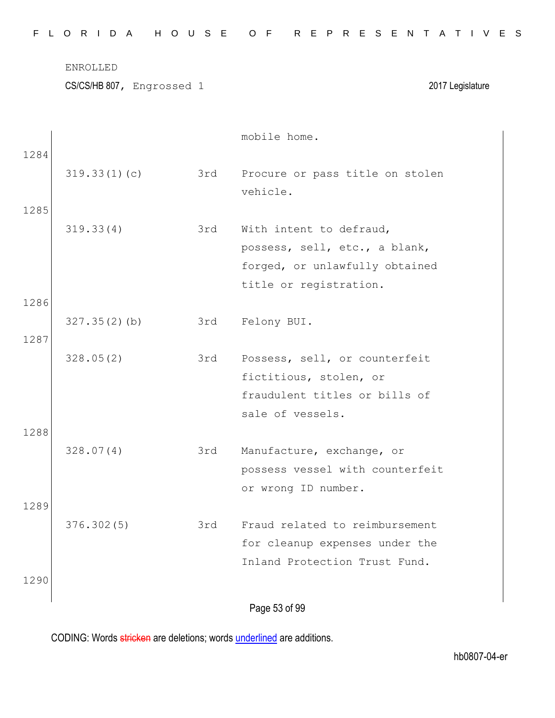CS/CS/HB 807, Engrossed 1 2017 Legislature

|      |              |     | mobile home.                    |
|------|--------------|-----|---------------------------------|
| 1284 |              |     |                                 |
|      | 319.33(1)(c) | 3rd | Procure or pass title on stolen |
|      |              |     | vehicle.                        |
| 1285 |              |     |                                 |
|      | 319.33(4)    | 3rd | With intent to defraud,         |
|      |              |     | possess, sell, etc., a blank,   |
|      |              |     | forged, or unlawfully obtained  |
|      |              |     | title or registration.          |
| 1286 |              |     |                                 |
|      | 327.35(2)(b) | 3rd | Felony BUI.                     |
| 1287 |              |     |                                 |
|      | 328.05(2)    | 3rd | Possess, sell, or counterfeit   |
|      |              |     | fictitious, stolen, or          |
|      |              |     | fraudulent titles or bills of   |
|      |              |     | sale of vessels.                |
| 1288 |              |     |                                 |
|      | 328.07(4)    | 3rd | Manufacture, exchange, or       |
|      |              |     | possess vessel with counterfeit |
|      |              |     | or wrong ID number.             |
| 1289 |              |     |                                 |
|      | 376.302(5)   | 3rd | Fraud related to reimbursement  |
|      |              |     | for cleanup expenses under the  |
|      |              |     | Inland Protection Trust Fund.   |
| 1290 |              |     |                                 |
|      |              |     | Page 53 of 99                   |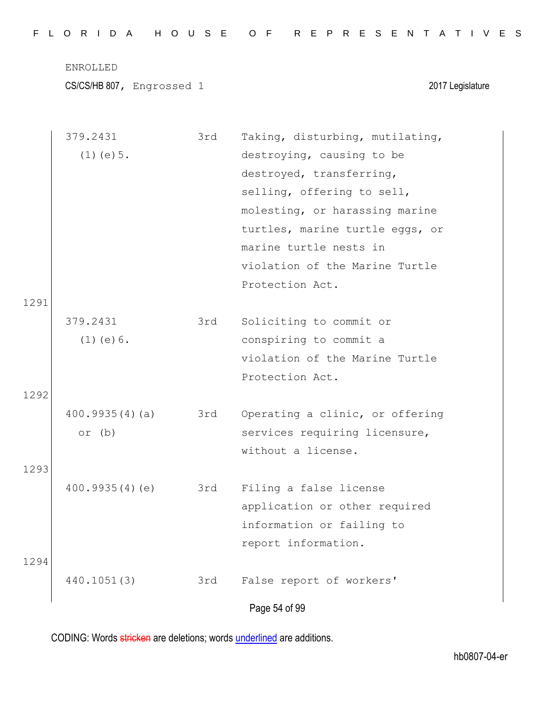|  |  |  |  |  |  | FLORIDA HOUSE OF REPRESENTATIVES |  |  |  |  |  |  |  |  |  |  |
|--|--|--|--|--|--|----------------------------------|--|--|--|--|--|--|--|--|--|--|
|  |  |  |  |  |  |                                  |  |  |  |  |  |  |  |  |  |  |

CS/CS/HB 807, Engrossed 1 2017 Legislature

|      | 379.2431        | 3rd | Taking, disturbing, mutilating, |
|------|-----------------|-----|---------------------------------|
|      | $(1)$ (e) $5$ . |     | destroying, causing to be       |
|      |                 |     | destroyed, transferring,        |
|      |                 |     | selling, offering to sell,      |
|      |                 |     | molesting, or harassing marine  |
|      |                 |     | turtles, marine turtle eggs, or |
|      |                 |     | marine turtle nests in          |
|      |                 |     | violation of the Marine Turtle  |
|      |                 |     | Protection Act.                 |
| 1291 |                 |     |                                 |
|      | 379.2431        | 3rd | Soliciting to commit or         |
|      | $(1)$ (e) $6$ . |     | conspiring to commit a          |
|      |                 |     | violation of the Marine Turtle  |
|      |                 |     | Protection Act.                 |
| 1292 |                 |     |                                 |
|      | 400.9935(4)(a)  | 3rd | Operating a clinic, or offering |
|      | or $(b)$        |     | services requiring licensure,   |
|      |                 |     | without a license.              |
| 1293 |                 |     |                                 |
|      | 400.9935(4)(e)  | 3rd | Filing a false license          |
|      |                 |     | application or other required   |
|      |                 |     | information or failing to       |
|      |                 |     | report information.             |
| 1294 |                 |     |                                 |
|      | 440.1051(3)     | 3rd | False report of workers'        |
|      |                 |     |                                 |
|      |                 |     | Page 54 of 99                   |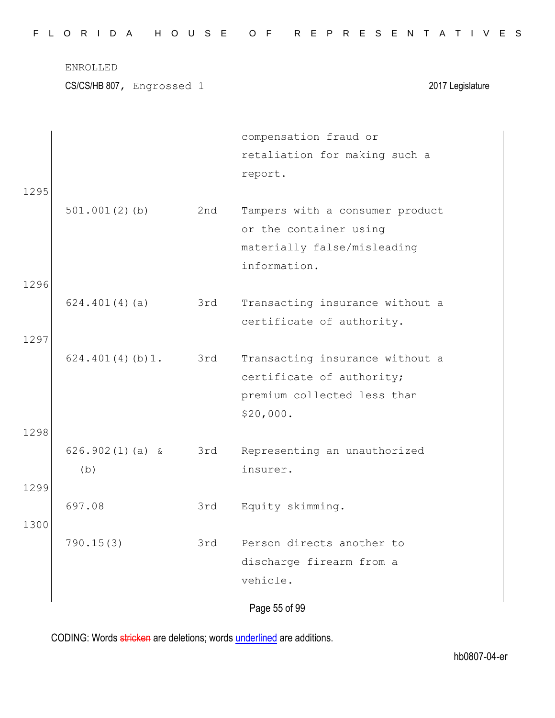CS/CS/HB 807, Engrossed 1 2017 Legislature

|      |                   |     | compensation fraud or           |
|------|-------------------|-----|---------------------------------|
|      |                   |     | retaliation for making such a   |
|      |                   |     | report.                         |
| 1295 |                   |     |                                 |
|      | $501.001(2)$ (b)  | 2nd | Tampers with a consumer product |
|      |                   |     | or the container using          |
|      |                   |     | materially false/misleading     |
|      |                   |     | information.                    |
| 1296 |                   |     |                                 |
|      | 624.401(4)(a)     | 3rd | Transacting insurance without a |
|      |                   |     | certificate of authority.       |
| 1297 |                   |     |                                 |
|      | 624.401(4)(b)1.   | 3rd | Transacting insurance without a |
|      |                   |     | certificate of authority;       |
|      |                   |     | premium collected less than     |
|      |                   |     | \$20,000.                       |
| 1298 |                   |     |                                 |
|      | $626.902(1)(a)$ & | 3rd | Representing an unauthorized    |
|      | (b)               |     | insurer.                        |
| 1299 |                   |     |                                 |
|      | 697.08            | 3rd | Equity skimming.                |
| 1300 |                   |     |                                 |
|      | 790.15(3)         | 3rd | Person directs another to       |
|      |                   |     | discharge firearm from a        |
|      |                   |     | vehicle.                        |
|      |                   |     | Page 55 of 99                   |
|      |                   |     |                                 |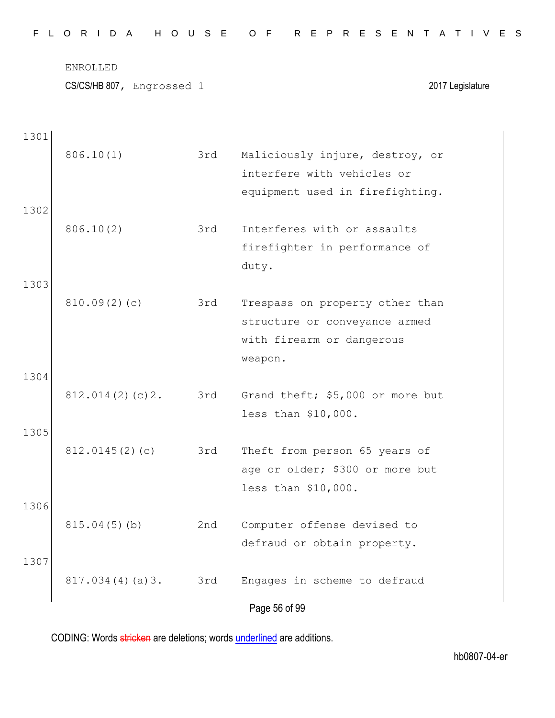|  |  |  | FLORIDA HOUSE OF REPRESENTATIVES |  |  |  |  |  |  |  |  |  |  |  |  |
|--|--|--|----------------------------------|--|--|--|--|--|--|--|--|--|--|--|--|
|  |  |  |                                  |  |  |  |  |  |  |  |  |  |  |  |  |

CS/CS/HB 807, Engrossed 1 2017 Legislature

| 1301 |                 |     |                                                               |
|------|-----------------|-----|---------------------------------------------------------------|
|      | 806.10(1)       | 3rd | Maliciously injure, destroy, or<br>interfere with vehicles or |
|      |                 |     | equipment used in firefighting.                               |
| 1302 |                 |     |                                                               |
|      | 806.10(2)       | 3rd | Interferes with or assaults                                   |
|      |                 |     | firefighter in performance of                                 |
|      |                 |     | duty.                                                         |
| 1303 |                 |     |                                                               |
|      | 810.09(2)(c)    | 3rd | Trespass on property other than                               |
|      |                 |     | structure or conveyance armed                                 |
|      |                 |     | with firearm or dangerous                                     |
|      |                 |     | weapon.                                                       |
| 1304 |                 |     |                                                               |
|      | 812.014(2)(c)2. | 3rd | Grand theft; \$5,000 or more but<br>less than \$10,000.       |
| 1305 |                 |     |                                                               |
|      | 812.0145(2)(c)  | 3rd | Theft from person 65 years of                                 |
|      |                 |     | age or older; \$300 or more but                               |
|      |                 |     | less than \$10,000.                                           |
| 1306 |                 |     |                                                               |
|      | 815.04(5)(b)    | 2nd | Computer offense devised to                                   |
|      |                 |     | defraud or obtain property.                                   |
| 1307 |                 |     |                                                               |
|      | 817.034(4)(a)3. | 3rd | Engages in scheme to defraud                                  |
|      |                 |     | Page 56 of 99                                                 |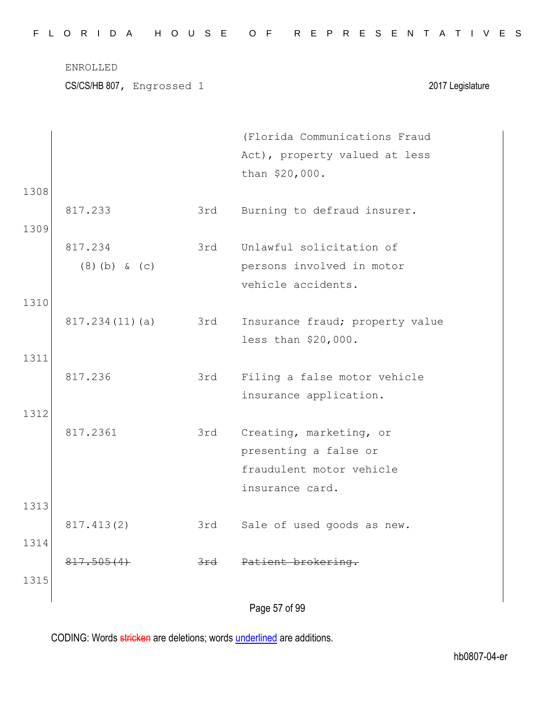|      | CS/CS/HB 807, Engrossed 1 |                | 2017 Legislature                                |
|------|---------------------------|----------------|-------------------------------------------------|
|      |                           |                | (Florida Communications Fraud                   |
|      |                           |                | Act), property valued at less<br>than \$20,000. |
| 1308 |                           |                |                                                 |
|      | 817.233                   | 3rd            | Burning to defraud insurer.                     |
| 1309 |                           |                |                                                 |
|      | 817.234                   | 3rd            | Unlawful solicitation of                        |
|      | $(8)$ (b) & (c)           |                | persons involved in motor                       |
|      |                           |                | vehicle accidents.                              |
| 1310 |                           |                |                                                 |
|      | 817.234(11)(a)            | 3rd            | Insurance fraud; property value                 |
|      |                           |                | less than \$20,000.                             |
| 1311 |                           |                |                                                 |
|      | 817.236                   | 3rd            | Filing a false motor vehicle                    |
|      |                           |                | insurance application.                          |
| 1312 |                           |                |                                                 |
|      | 817.2361                  | 3rd            | Creating, marketing, or                         |
|      |                           |                | presenting a false or                           |
|      |                           |                | fraudulent motor vehicle                        |
|      |                           |                | insurance card.                                 |
| 1313 |                           |                |                                                 |
|      | 817.413(2)                | 3rd            | Sale of used goods as new.                      |
| 1314 |                           |                |                                                 |
|      | 817.505(4)                | <del>3rd</del> | Patient brokering.                              |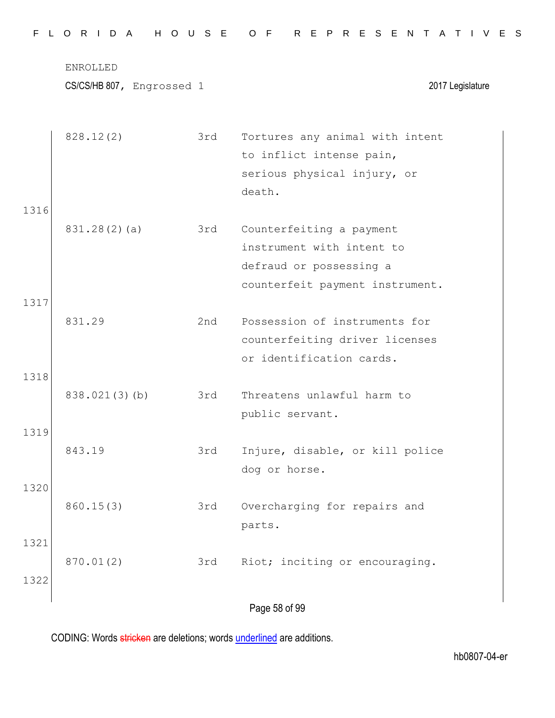|              | <b>ENROLLED</b><br>CS/CS/HB 807, Engrossed 1 |     | 2017 Legislature                                                                                                    |
|--------------|----------------------------------------------|-----|---------------------------------------------------------------------------------------------------------------------|
|              | 828.12(2)                                    | 3rd | Tortures any animal with intent<br>to inflict intense pain,<br>serious physical injury, or<br>death.                |
| 1316         | 831.28(2)(a)                                 | 3rd | Counterfeiting a payment<br>instrument with intent to<br>defraud or possessing a<br>counterfeit payment instrument. |
| 1317<br>1318 | 831.29                                       | 2nd | Possession of instruments for<br>counterfeiting driver licenses<br>or identification cards.                         |
|              | 838.021(3)(b)                                | 3rd | Threatens unlawful harm to<br>public servant.                                                                       |
| 1319         | 843.19                                       | 3rd | Injure, disable, or kill police<br>dog or horse.                                                                    |
| 1320         | 860.15(3)                                    | 3rd | Overcharging for repairs and<br>parts.                                                                              |
| 1321<br>1322 | 870.01(2)                                    | 3rd | Riot; inciting or encouraging.                                                                                      |
|              |                                              |     | Page 58 of 99                                                                                                       |

F L O R I D A H O U S E O F R E P R E S E N T A T I V E S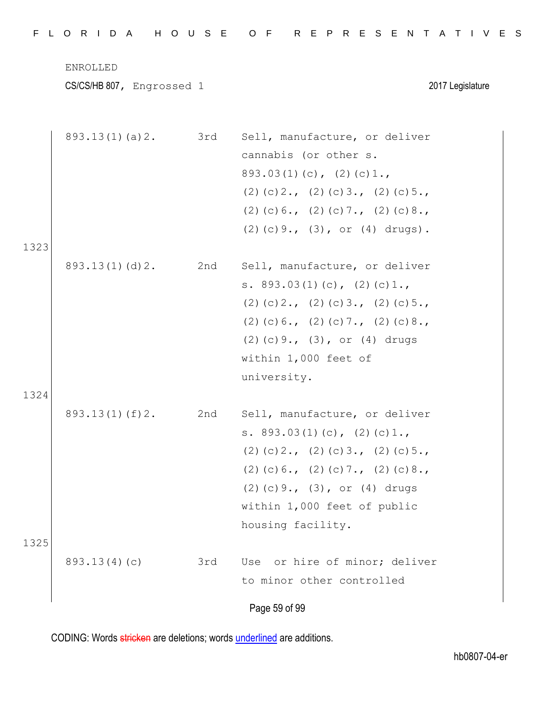|  |  |  |  |  |  |  |  |  |  |  |  |  |  |  |  |  |  |  |  |  |  |  |  |  |  |  |  |  |  |  | FLORIDA HOUSE OF REPRESENTATIVES |  |
|--|--|--|--|--|--|--|--|--|--|--|--|--|--|--|--|--|--|--|--|--|--|--|--|--|--|--|--|--|--|--|----------------------------------|--|
|--|--|--|--|--|--|--|--|--|--|--|--|--|--|--|--|--|--|--|--|--|--|--|--|--|--|--|--|--|--|--|----------------------------------|--|

CS/CS/HB 807, Engrossed 1 2017 Legislature

|      | 893.13(1)(a)2. 3rd |     | Sell, manufacture, or deliver          |
|------|--------------------|-----|----------------------------------------|
|      |                    |     | cannabis (or other s.                  |
|      |                    |     | $893.03(1)(c)$ , $(2)(c)1.$            |
|      |                    |     | $(2)$ (c) 2., (2) (c) 3., (2) (c) 5.,  |
|      |                    |     | $(2)$ (c) 6., (2) (c) 7., (2) (c) 8.,  |
|      |                    |     | $(2)$ (c) 9., $(3)$ , or $(4)$ drugs). |
| 1323 |                    |     |                                        |
|      | 893.13(1)(d)2.     | 2nd | Sell, manufacture, or deliver          |
|      |                    |     | s. $893.03(1)(c)$ , $(2)(c)1.$         |
|      |                    |     | $(2)$ (c) 2., (2) (c) 3., (2) (c) 5.,  |
|      |                    |     | $(2)$ (c) 6., (2) (c) 7., (2) (c) 8.,  |
|      |                    |     | $(2)$ (c) 9., $(3)$ , or $(4)$ drugs   |
|      |                    |     | within 1,000 feet of                   |
|      |                    |     | university.                            |
| 1324 |                    |     |                                        |
|      | 893.13(1)(f)2. 2nd |     | Sell, manufacture, or deliver          |
|      |                    |     | s. $893.03(1)(c)$ , $(2)(c)1.$         |
|      |                    |     | $(2)$ (c) 2., (2) (c) 3., (2) (c) 5.,  |
|      |                    |     | $(2)$ (c) 6., (2) (c) 7., (2) (c) 8.,  |
|      |                    |     | $(2)$ (c) 9., $(3)$ , or $(4)$ drugs   |
|      |                    |     | within 1,000 feet of public            |
|      |                    |     | housing facility.                      |
| 1325 |                    |     |                                        |
|      | 893.13(4)(c)       | 3rd | or hire of minor; deliver<br>Use       |
|      |                    |     | to minor other controlled              |
|      |                    |     |                                        |
|      |                    |     | Page 59 of 99                          |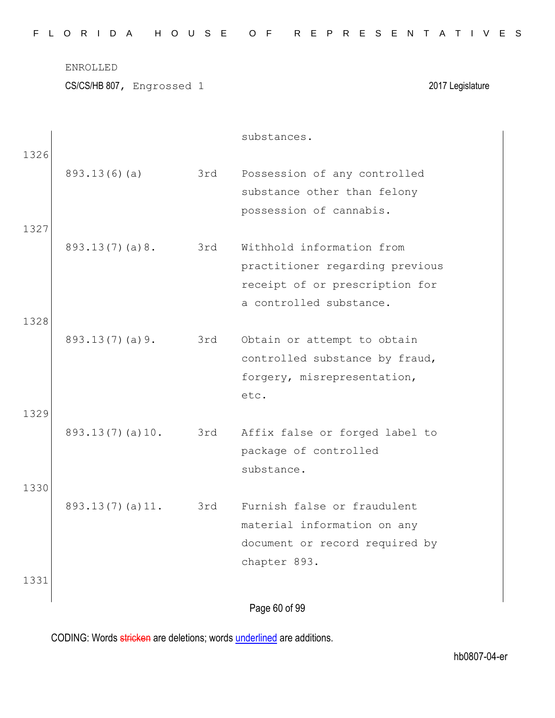| FLORIDA HOUSE OF REPRESENTATIVES |  |  |  |  |  |  |  |  |  |  |  |  |  |  |  |  |  |  |  |  |  |  |  |  |  |  |  |
|----------------------------------|--|--|--|--|--|--|--|--|--|--|--|--|--|--|--|--|--|--|--|--|--|--|--|--|--|--|--|
|----------------------------------|--|--|--|--|--|--|--|--|--|--|--|--|--|--|--|--|--|--|--|--|--|--|--|--|--|--|--|

CS/CS/HB 807, Engrossed 1 2017 Legislature

|      |                 |     | substances.                     |  |
|------|-----------------|-----|---------------------------------|--|
| 1326 |                 |     |                                 |  |
|      | 893.13(6)(a)    | 3rd | Possession of any controlled    |  |
|      |                 |     | substance other than felony     |  |
|      |                 |     | possession of cannabis.         |  |
| 1327 |                 |     |                                 |  |
|      | 893.13(7)(a)8.  | 3rd | Withhold information from       |  |
|      |                 |     | practitioner regarding previous |  |
|      |                 |     | receipt of or prescription for  |  |
|      |                 |     | a controlled substance.         |  |
| 1328 |                 |     |                                 |  |
|      | 893.13(7)(a)9.  | 3rd | Obtain or attempt to obtain     |  |
|      |                 |     | controlled substance by fraud,  |  |
|      |                 |     | forgery, misrepresentation,     |  |
|      |                 |     | etc.                            |  |
| 1329 |                 |     |                                 |  |
|      | 893.13(7)(a)10. | 3rd | Affix false or forged label to  |  |
|      |                 |     | package of controlled           |  |
|      |                 |     | substance.                      |  |
| 1330 |                 |     |                                 |  |
|      | 893.13(7)(a)11. | 3rd | Furnish false or fraudulent     |  |
|      |                 |     | material information on any     |  |
|      |                 |     | document or record required by  |  |
|      |                 |     | chapter 893.                    |  |
| 1331 |                 |     |                                 |  |
|      |                 |     |                                 |  |
|      |                 |     | Page 60 of 99                   |  |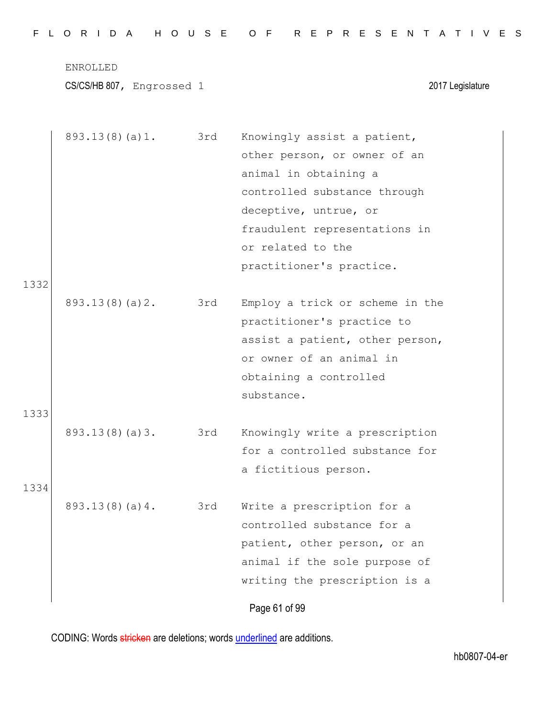|  |  |  |  |  |  | FLORIDA HOUSE OF REPRESENTATIVES |  |  |  |  |  |  |  |  |  |  |
|--|--|--|--|--|--|----------------------------------|--|--|--|--|--|--|--|--|--|--|
|  |  |  |  |  |  |                                  |  |  |  |  |  |  |  |  |  |  |

CS/CS/HB 807, Engrossed 1 2017 Legislature

|      | 893.13(8)(a)1. 3rd |     | Knowingly assist a patient,     |
|------|--------------------|-----|---------------------------------|
|      |                    |     | other person, or owner of an    |
|      |                    |     | animal in obtaining a           |
|      |                    |     | controlled substance through    |
|      |                    |     | deceptive, untrue, or           |
|      |                    |     | fraudulent representations in   |
|      |                    |     | or related to the               |
|      |                    |     | practitioner's practice.        |
| 1332 |                    |     |                                 |
|      | 893.13(8)(a)2.     | 3rd | Employ a trick or scheme in the |
|      |                    |     | practitioner's practice to      |
|      |                    |     | assist a patient, other person, |
|      |                    |     | or owner of an animal in        |
|      |                    |     | obtaining a controlled          |
|      |                    |     | substance.                      |
| 1333 |                    |     |                                 |
|      | 893.13(8)(a)3.     | 3rd | Knowingly write a prescription  |
|      |                    |     | for a controlled substance for  |
|      |                    |     | a fictitious person.            |
| 1334 |                    |     |                                 |
|      | 893.13(8)(a)4.     | 3rd | Write a prescription for a      |
|      |                    |     | controlled substance for a      |
|      |                    |     | patient, other person, or an    |
|      |                    |     | animal if the sole purpose of   |
|      |                    |     | writing the prescription is a   |
|      |                    |     | Page 61 of 99                   |
|      |                    |     |                                 |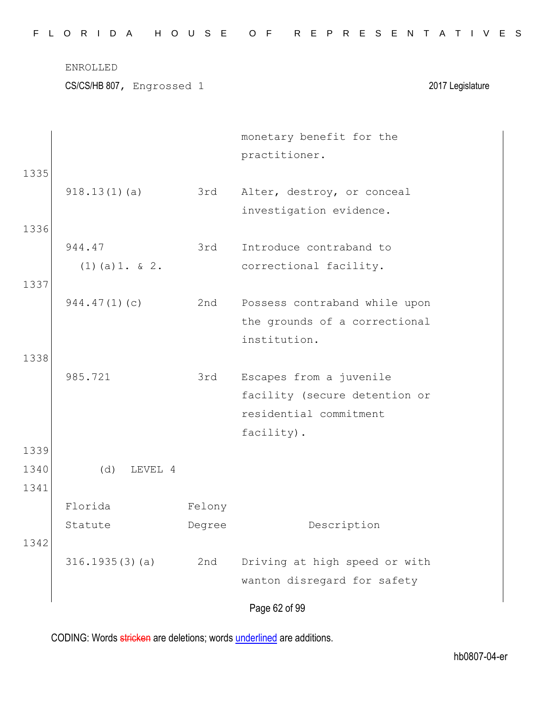| FLORIDA HOUSE OF REPRESENTATIVES |  |  |  |  |  |  |  |  |  |  |  |  |  |  |  |  |  |  |  |  |  |  |  |  |  |  |  |
|----------------------------------|--|--|--|--|--|--|--|--|--|--|--|--|--|--|--|--|--|--|--|--|--|--|--|--|--|--|--|
|----------------------------------|--|--|--|--|--|--|--|--|--|--|--|--|--|--|--|--|--|--|--|--|--|--|--|--|--|--|--|

CS/CS/HB 807, Engrossed 1 2017 Legislature

|      |                        |        | monetary benefit for the<br>practitioner. |
|------|------------------------|--------|-------------------------------------------|
| 1335 |                        |        |                                           |
|      | 918.13(1)(a)           | 3rd    | Alter, destroy, or conceal                |
|      |                        |        | investigation evidence.                   |
| 1336 |                        |        |                                           |
|      | 944.47                 | 3rd    | Introduce contraband to                   |
|      | $(1)$ $(a)$ 1. $\&$ 2. |        | correctional facility.                    |
| 1337 |                        |        |                                           |
|      | 944.47(1)(c)           | 2nd    | Possess contraband while upon             |
|      |                        |        | the grounds of a correctional             |
|      |                        |        | institution.                              |
| 1338 |                        |        |                                           |
|      | 985.721                | 3rd    | Escapes from a juvenile                   |
|      |                        |        | facility (secure detention or             |
|      |                        |        | residential commitment                    |
|      |                        |        | facility).                                |
| 1339 |                        |        |                                           |
| 1340 | (d)<br>LEVEL 4         |        |                                           |
| 1341 |                        |        |                                           |
|      | Florida                | Felony |                                           |
|      | Statute                | Degree | Description                               |
| 1342 |                        |        |                                           |
|      | 316.1935(3)(a)         | 2nd    | Driving at high speed or with             |
|      |                        |        | wanton disregard for safety               |
|      |                        |        |                                           |
|      |                        |        | Page 62 of 99                             |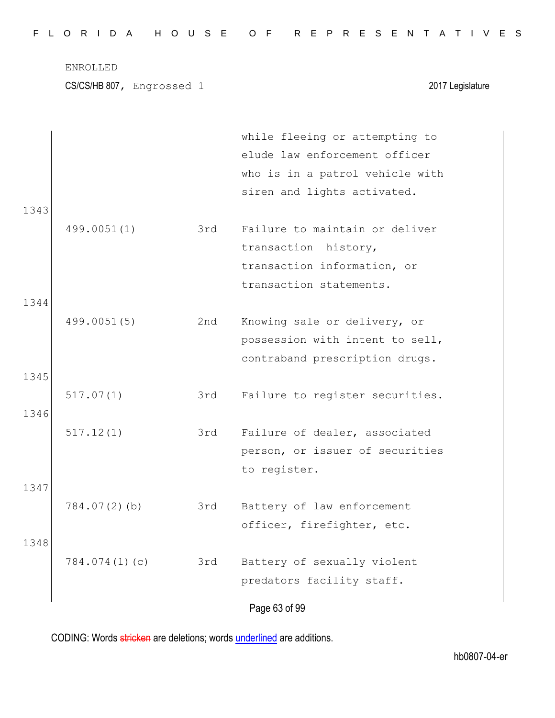|  |  |  |  |  |  | FLORIDA HOUSE OF REPRESENTATIVES |  |  |  |  |  |  |  |  |
|--|--|--|--|--|--|----------------------------------|--|--|--|--|--|--|--|--|
|  |  |  |  |  |  |                                  |  |  |  |  |  |  |  |  |

| 1343 |                 |     | while fleeing or attempting to<br>elude law enforcement officer<br>who is in a patrol vehicle with<br>siren and lights activated. |
|------|-----------------|-----|-----------------------------------------------------------------------------------------------------------------------------------|
|      | 499.0051(1)     | 3rd | Failure to maintain or deliver<br>transaction history,<br>transaction information, or<br>transaction statements.                  |
| 1344 |                 |     |                                                                                                                                   |
| 1345 | 499.0051(5)     | 2nd | Knowing sale or delivery, or<br>possession with intent to sell,<br>contraband prescription drugs.                                 |
| 1346 | 517.07(1)       | 3rd | Failure to register securities.                                                                                                   |
|      | 517.12(1)       | 3rd | Failure of dealer, associated<br>person, or issuer of securities<br>to register.                                                  |
| 1347 |                 |     |                                                                                                                                   |
|      | $784.07(2)$ (b) | 3rd | Battery of law enforcement<br>officer, firefighter, etc.                                                                          |
| 1348 | 784.074(1)(c)   | 3rd | Battery of sexually violent<br>predators facility staff.                                                                          |
|      |                 |     | Page 63 of 99                                                                                                                     |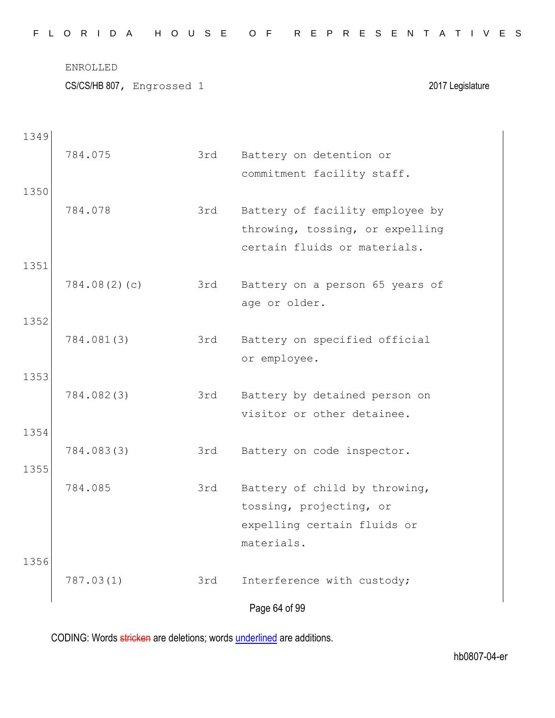|  |  |  |  |  |  | FLORIDA HOUSE OF REPRESENTATIVES |  |  |  |  |  |  |  |  |
|--|--|--|--|--|--|----------------------------------|--|--|--|--|--|--|--|--|
|  |  |  |  |  |  |                                  |  |  |  |  |  |  |  |  |

CS/CS/HB 807, Engrossed 1 2017 Legislature

| 1349 |              |     |                                 |
|------|--------------|-----|---------------------------------|
|      | 784.075      | 3rd | Battery on detention or         |
|      |              |     | commitment facility staff.      |
| 1350 |              |     |                                 |
|      | 784.078      | 3rd | Battery of facility employee by |
|      |              |     | throwing, tossing, or expelling |
| 1351 |              |     | certain fluids or materials.    |
|      | 784.08(2)(c) | 3rd | Battery on a person 65 years of |
|      |              |     | age or older.                   |
| 1352 |              |     |                                 |
|      | 784.081(3)   | 3rd | Battery on specified official   |
|      |              |     | or employee.                    |
| 1353 |              |     |                                 |
|      | 784.082(3)   | 3rd | Battery by detained person on   |
|      |              |     | visitor or other detainee.      |
| 1354 |              |     |                                 |
|      | 784.083(3)   | 3rd | Battery on code inspector.      |
| 1355 | 784.085      | 3rd | Battery of child by throwing,   |
|      |              |     | tossing, projecting, or         |
|      |              |     | expelling certain fluids or     |
|      |              |     | materials.                      |
| 1356 |              |     |                                 |
|      | 787.03(1)    | 3rd | Interference with custody;      |
|      |              |     | Page 64 of 99                   |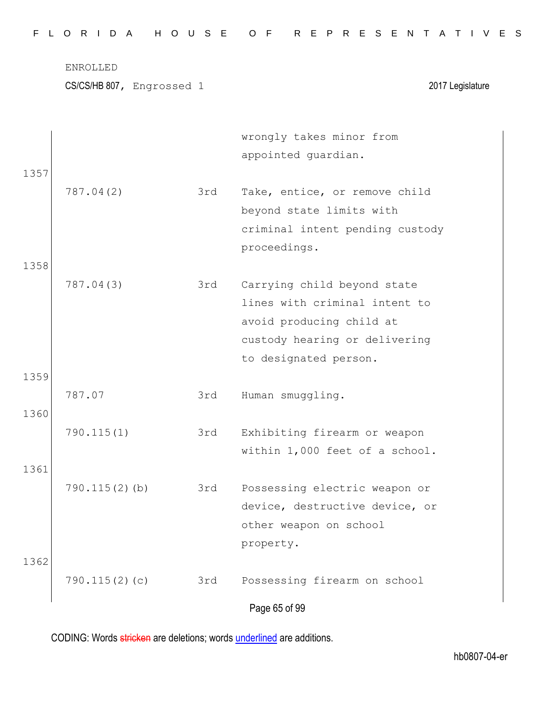| FLORIDA HOUSE OF REPRESENTATIVES |  |  |  |  |  |  |  |  |  |  |  |  |  |  |  |  |  |  |  |  |  |  |  |  |  |  |  |
|----------------------------------|--|--|--|--|--|--|--|--|--|--|--|--|--|--|--|--|--|--|--|--|--|--|--|--|--|--|--|
|----------------------------------|--|--|--|--|--|--|--|--|--|--|--|--|--|--|--|--|--|--|--|--|--|--|--|--|--|--|--|

| 1357         |                  |     | wrongly takes minor from<br>appointed guardian.                                                                                                    |
|--------------|------------------|-----|----------------------------------------------------------------------------------------------------------------------------------------------------|
|              | 787.04(2)        | 3rd | Take, entice, or remove child<br>beyond state limits with<br>criminal intent pending custody<br>proceedings.                                       |
| 1358<br>1359 | 787.04(3)        | 3rd | Carrying child beyond state<br>lines with criminal intent to<br>avoid producing child at<br>custody hearing or delivering<br>to designated person. |
| 1360         | 787.07           | 3rd | Human smuggling.                                                                                                                                   |
| 1361         | 790.115(1)       | 3rd | Exhibiting firearm or weapon<br>within 1,000 feet of a school.                                                                                     |
| 1362         | $790.115(2)$ (b) | 3rd | Possessing electric weapon or<br>device, destructive device, or<br>other weapon on school<br>property.                                             |
|              | 790.115(2)(c)    | 3rd | Possessing firearm on school<br>Page 65 of 99                                                                                                      |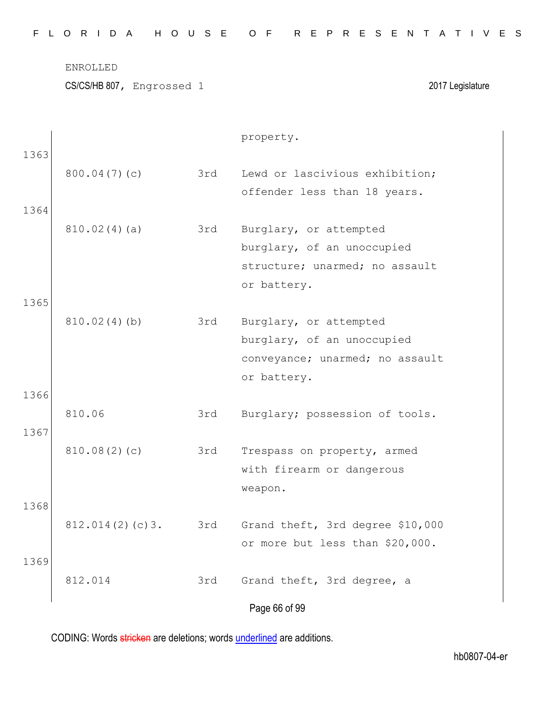| FLORIDA HOUSE OF REPRESENTATIVES |  |  |  |  |  |  |  |  |  |  |  |  |  |  |  |  |  |  |  |  |  |  |  |  |  |  |  |
|----------------------------------|--|--|--|--|--|--|--|--|--|--|--|--|--|--|--|--|--|--|--|--|--|--|--|--|--|--|--|
|----------------------------------|--|--|--|--|--|--|--|--|--|--|--|--|--|--|--|--|--|--|--|--|--|--|--|--|--|--|--|

CS/CS/HB 807, Engrossed 1 2017 Legislature

|      |                     |     | property.                        |
|------|---------------------|-----|----------------------------------|
| 1363 | 800.04(7)(c)        | 3rd | Lewd or lascivious exhibition;   |
|      |                     |     | offender less than 18 years.     |
| 1364 |                     |     |                                  |
|      | 810.02(4)(a)        | 3rd | Burglary, or attempted           |
|      |                     |     | burglary, of an unoccupied       |
|      |                     |     | structure; unarmed; no assault   |
|      |                     |     | or battery.                      |
| 1365 | 810.02(4)(b)        | 3rd | Burglary, or attempted           |
|      |                     |     | burglary, of an unoccupied       |
|      |                     |     | conveyance; unarmed; no assault  |
|      |                     |     | or battery.                      |
| 1366 |                     |     |                                  |
|      | 810.06              | 3rd | Burglary; possession of tools.   |
| 1367 |                     |     |                                  |
|      | 810.08(2)(c)        | 3rd | Trespass on property, armed      |
|      |                     |     | with firearm or dangerous        |
|      |                     |     | weapon.                          |
| 1368 |                     |     |                                  |
|      | 812.014(2)(c)3. 3rd |     | Grand theft, 3rd degree \$10,000 |
| 1369 |                     |     | or more but less than \$20,000.  |
|      | 812.014             | 3rd | Grand theft, 3rd degree, a       |
|      |                     |     | Page 66 of 99                    |
|      |                     |     |                                  |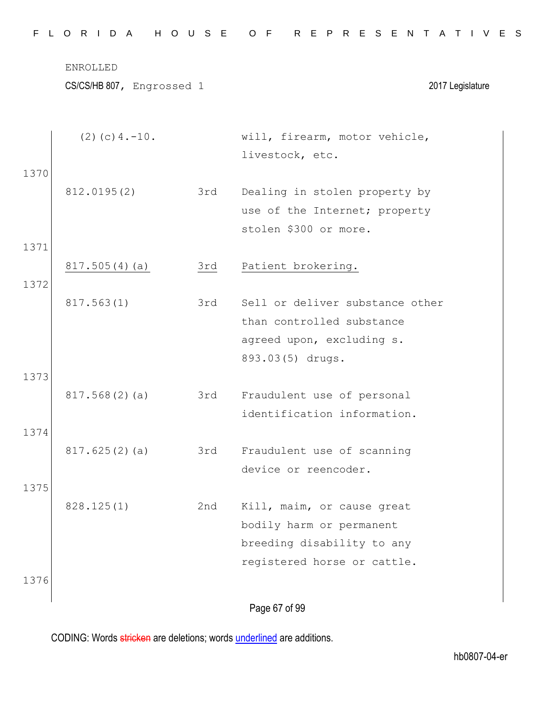Page 67 of 99 (2)(c)4.-10. will, firearm, motor vehicle, livestock, etc. 1370 812.0195(2) 3rd Dealing in stolen property by use of the Internet; property stolen \$300 or more. 1371 817.505(4)(a) 3rd Patient brokering. 1372 817.563(1) 3rd Sell or deliver substance other than controlled substance agreed upon, excluding s. 893.03(5) drugs. 1373 817.568(2)(a) 3rd Fraudulent use of personal identification information. 1374 817.625(2)(a) 3rd Fraudulent use of scanning device or reencoder. 1375 828.125(1) 2nd Kill, maim, or cause great bodily harm or permanent breeding disability to any registered horse or cattle. 1376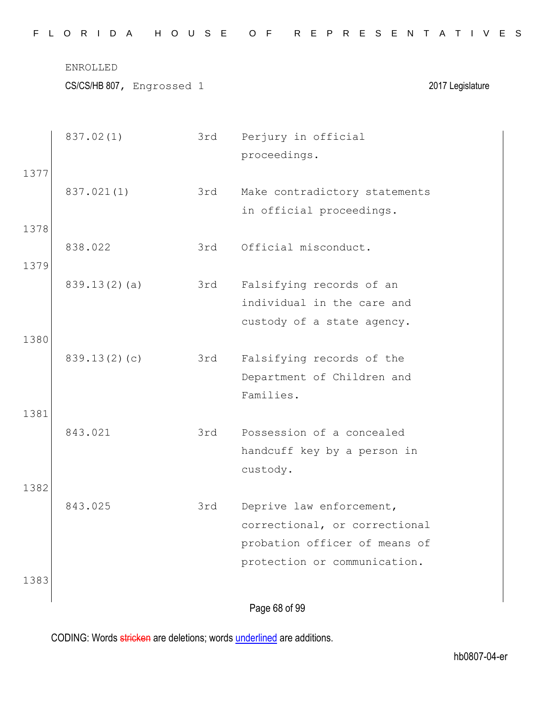|  |  |  |  |  |  | FLORIDA HOUSE OF REPRESENTATIVES |  |  |  |  |  |  |  |  |
|--|--|--|--|--|--|----------------------------------|--|--|--|--|--|--|--|--|
|  |  |  |  |  |  |                                  |  |  |  |  |  |  |  |  |

CS/CS/HB 807, Engrossed 1 2017 Legislature

|      | 837.02(1)    | 3rd | Perjury in official<br>proceedings. |
|------|--------------|-----|-------------------------------------|
| 1377 |              |     |                                     |
|      | 837.021(1)   | 3rd | Make contradictory statements       |
|      |              |     | in official proceedings.            |
| 1378 |              |     |                                     |
|      | 838.022      | 3rd | Official misconduct.                |
| 1379 |              |     |                                     |
|      | 839.13(2)(a) | 3rd | Falsifying records of an            |
|      |              |     | individual in the care and          |
|      |              |     | custody of a state agency.          |
| 1380 |              |     |                                     |
|      | 839.13(2)(c) | 3rd | Falsifying records of the           |
|      |              |     | Department of Children and          |
|      |              |     | Families.                           |
| 1381 |              |     |                                     |
|      | 843.021      | 3rd | Possession of a concealed           |
|      |              |     | handcuff key by a person in         |
|      |              |     | custody.                            |
| 1382 |              |     |                                     |
|      | 843.025      | 3rd | Deprive law enforcement,            |
|      |              |     | correctional, or correctional       |
|      |              |     | probation officer of means of       |
|      |              |     | protection or communication.        |
| 1383 |              |     |                                     |
|      |              |     | Page 68 of 99                       |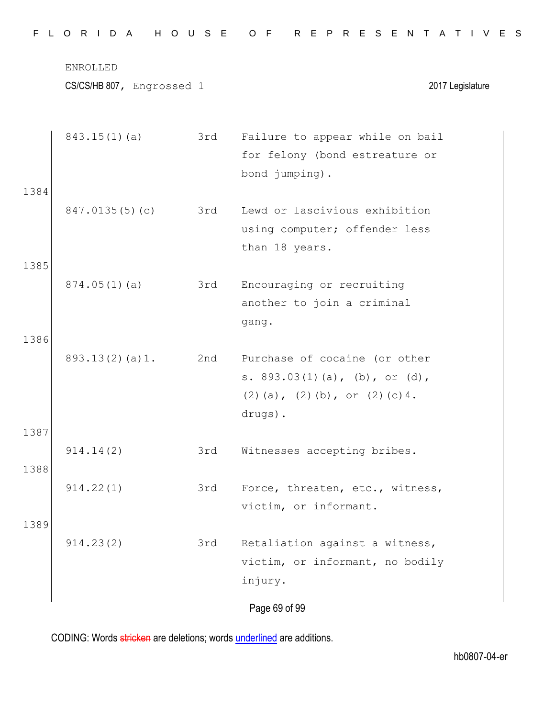|  |  |  |  |  |  |  |  | FLORIDA HOUSE OF REPRESENTATIVES |  |  |  |  |  |  |  |  |  |  |  |  |  |  |  |  |  |  |  |  |  |  |  |  |  |  |
|--|--|--|--|--|--|--|--|----------------------------------|--|--|--|--|--|--|--|--|--|--|--|--|--|--|--|--|--|--|--|--|--|--|--|--|--|--|
|--|--|--|--|--|--|--|--|----------------------------------|--|--|--|--|--|--|--|--|--|--|--|--|--|--|--|--|--|--|--|--|--|--|--|--|--|--|

|      | 843.15(1)(a)   | 3rd | Failure to appear while on bail       |
|------|----------------|-----|---------------------------------------|
|      |                |     | for felony (bond estreature or        |
|      |                |     | bond jumping).                        |
| 1384 |                |     |                                       |
|      | 847.0135(5)(c) | 3rd | Lewd or lascivious exhibition         |
|      |                |     | using computer; offender less         |
|      |                |     | than 18 years.                        |
| 1385 |                |     |                                       |
|      | 874.05(1)(a)   | 3rd | Encouraging or recruiting             |
|      |                |     | another to join a criminal            |
|      |                |     | gang.                                 |
| 1386 |                |     |                                       |
|      | 893.13(2)(a)1. | 2nd | Purchase of cocaine (or other         |
|      |                |     | s. $893.03(1)(a)$ , (b), or (d),      |
|      |                |     | $(2)$ (a), $(2)$ (b), or $(2)$ (c) 4. |
|      |                |     | drugs).                               |
| 1387 |                |     |                                       |
|      | 914.14(2)      | 3rd | Witnesses accepting bribes.           |
| 1388 |                |     |                                       |
|      | 914.22(1)      | 3rd | Force, threaten, etc., witness,       |
|      |                |     | victim, or informant.                 |
| 1389 |                |     |                                       |
|      | 914.23(2)      | 3rd | Retaliation against a witness,        |
|      |                |     | victim, or informant, no bodily       |
|      |                |     | injury.                               |
|      |                |     | Page 69 of 99                         |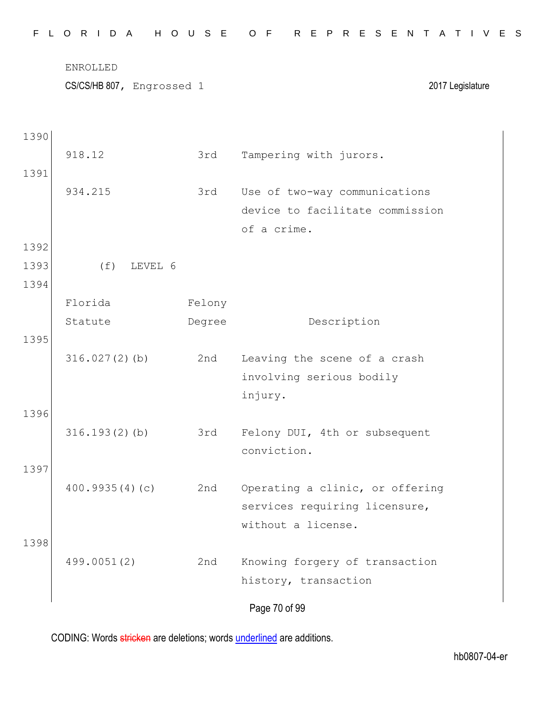|  |  |  |  |  |  |  |  |  |  |  |  |  | FLORIDA HOUSE OF REPRESENTATIVES |  |  |  |  |  |  |  |  |  |  |  |  |  |  |  |  |
|--|--|--|--|--|--|--|--|--|--|--|--|--|----------------------------------|--|--|--|--|--|--|--|--|--|--|--|--|--|--|--|--|
|--|--|--|--|--|--|--|--|--|--|--|--|--|----------------------------------|--|--|--|--|--|--|--|--|--|--|--|--|--|--|--|--|

CS/CS/HB 807, Engrossed 1 2017 Legislature

1390

|      | 918.12           | 3rd    | Tampering with jurors.          |
|------|------------------|--------|---------------------------------|
| 1391 |                  |        |                                 |
|      | 934.215          | 3rd    | Use of two-way communications   |
|      |                  |        | device to facilitate commission |
|      |                  |        | of a crime.                     |
| 1392 |                  |        |                                 |
| 1393 | $(f)$ LEVEL 6    |        |                                 |
| 1394 |                  |        |                                 |
|      | Florida          | Felony |                                 |
|      | Statute          | Degree | Description                     |
| 1395 |                  |        |                                 |
|      | $316.027(2)$ (b) | 2nd    | Leaving the scene of a crash    |
|      |                  |        | involving serious bodily        |
|      |                  |        | injury.                         |
| 1396 |                  |        |                                 |
|      | $316.193(2)$ (b) | 3rd    | Felony DUI, 4th or subsequent   |
|      |                  |        | conviction.                     |
| 1397 |                  |        |                                 |
|      | 400.9935(4)(c)   | 2nd    | Operating a clinic, or offering |
|      |                  |        | services requiring licensure,   |
|      |                  |        | without a license.              |
| 1398 |                  |        |                                 |
|      | 499.0051(2)      | 2nd    | Knowing forgery of transaction  |
|      |                  |        | history, transaction            |
|      |                  |        | Page 70 of 99                   |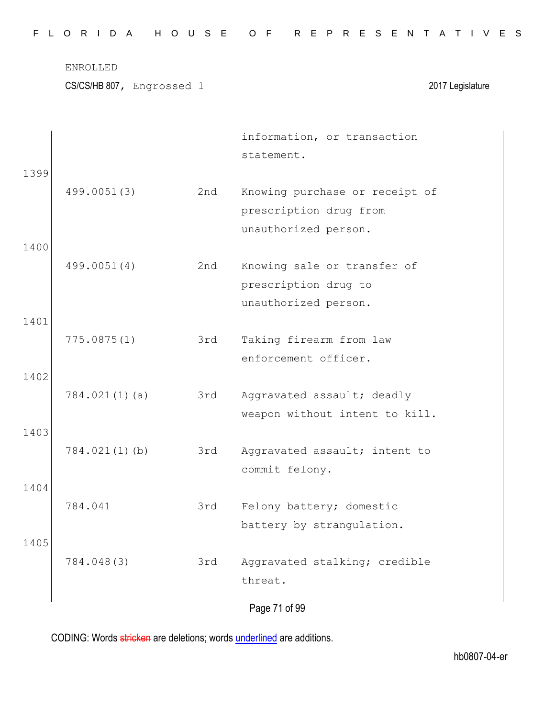CS/CS/HB 807, Engrossed 1 2017 Legislature

|      |                  |     | information, or transaction    |
|------|------------------|-----|--------------------------------|
|      |                  |     | statement.                     |
| 1399 |                  |     |                                |
|      | 499.0051(3)      | 2nd | Knowing purchase or receipt of |
|      |                  |     | prescription drug from         |
|      |                  |     | unauthorized person.           |
| 1400 |                  |     |                                |
|      | 499.0051(4)      | 2nd | Knowing sale or transfer of    |
|      |                  |     | prescription drug to           |
|      |                  |     | unauthorized person.           |
| 1401 |                  |     |                                |
|      | 775.0875(1)      | 3rd | Taking firearm from law        |
|      |                  |     | enforcement officer.           |
| 1402 |                  |     |                                |
|      | 784.021(1)(a)    | 3rd | Aggravated assault; deadly     |
|      |                  |     | weapon without intent to kill. |
| 1403 |                  |     |                                |
|      | $784.021(1)$ (b) | 3rd | Aggravated assault; intent to  |
| 1404 |                  |     | commit felony.                 |
|      | 784.041          | 3rd | Felony battery; domestic       |
|      |                  |     | battery by strangulation.      |
| 1405 |                  |     |                                |
|      | 784.048(3)       | 3rd | Aggravated stalking; credible  |
|      |                  |     | threat.                        |
|      |                  |     |                                |
|      |                  |     | Page 71 of 99                  |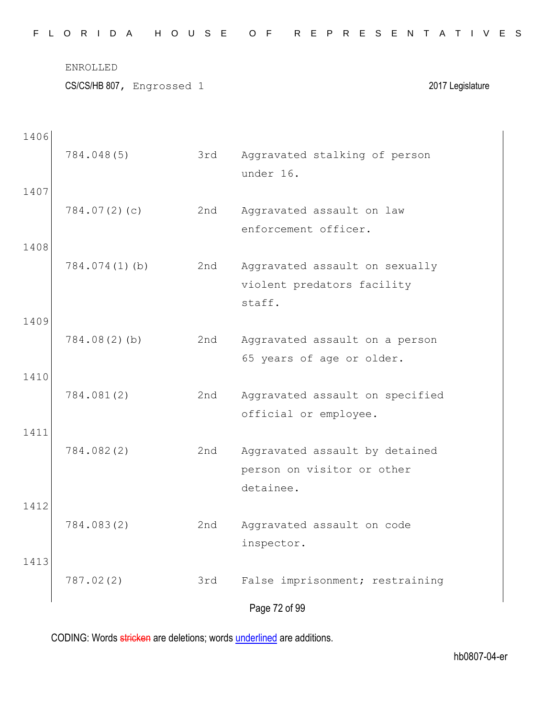CS/CS/HB 807, Engrossed 1 2017 Legislature

| 1406 |               |     |                                                                        |
|------|---------------|-----|------------------------------------------------------------------------|
|      | 784.048(5)    | 3rd | Aggravated stalking of person<br>under 16.                             |
| 1407 |               |     |                                                                        |
|      | 784.07(2)(c)  | 2nd | Aggravated assault on law<br>enforcement officer.                      |
| 1408 |               |     |                                                                        |
|      | 784.074(1)(b) | 2nd | Aggravated assault on sexually<br>violent predators facility<br>staff. |
| 1409 |               |     |                                                                        |
|      | 784.08(2)(b)  | 2nd | Aggravated assault on a person<br>65 years of age or older.            |
| 1410 |               |     |                                                                        |
|      | 784.081(2)    | 2nd | Aggravated assault on specified<br>official or employee.               |
| 1411 |               |     |                                                                        |
|      | 784.082(2)    | 2nd | Aggravated assault by detained<br>person on visitor or other           |
|      |               |     | detainee.                                                              |
| 1412 | 784.083(2)    | 2nd | Aggravated assault on code<br>inspector.                               |
| 1413 |               |     |                                                                        |
|      | 787.02(2)     | 3rd | False imprisonment; restraining                                        |
|      |               |     | Page 72 of 99                                                          |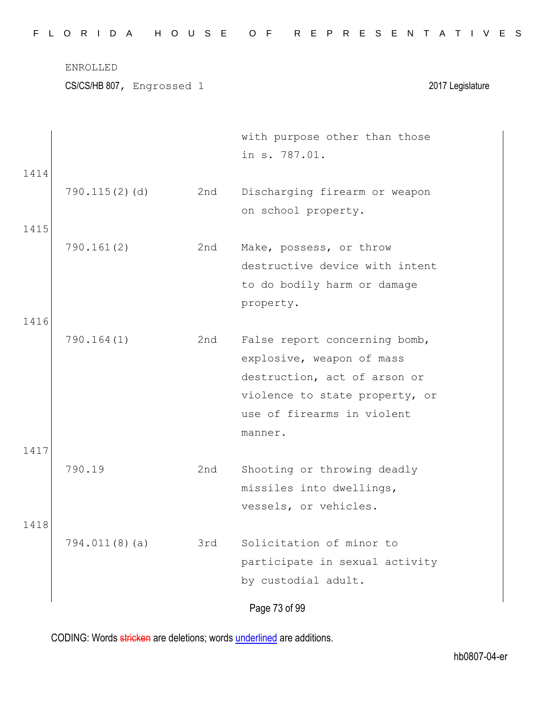| 1414<br>$790.115(2)$ (d)<br>2nd<br>Discharging firearm or weapon<br>on school property.<br>1415<br>790.161(2)<br>2nd<br>Make, possess, or throw<br>destructive device with intent<br>to do bodily harm or damage<br>property.<br>1416<br>790.164(1)<br>2nd<br>False report concerning bomb,<br>explosive, weapon of mass<br>destruction, act of arson or<br>violence to state property, or<br>use of firearms in violent<br>manner.<br>1417<br>790.19<br>2nd<br>Shooting or throwing deadly |
|---------------------------------------------------------------------------------------------------------------------------------------------------------------------------------------------------------------------------------------------------------------------------------------------------------------------------------------------------------------------------------------------------------------------------------------------------------------------------------------------|
|                                                                                                                                                                                                                                                                                                                                                                                                                                                                                             |
|                                                                                                                                                                                                                                                                                                                                                                                                                                                                                             |
|                                                                                                                                                                                                                                                                                                                                                                                                                                                                                             |
|                                                                                                                                                                                                                                                                                                                                                                                                                                                                                             |
|                                                                                                                                                                                                                                                                                                                                                                                                                                                                                             |
|                                                                                                                                                                                                                                                                                                                                                                                                                                                                                             |
|                                                                                                                                                                                                                                                                                                                                                                                                                                                                                             |
|                                                                                                                                                                                                                                                                                                                                                                                                                                                                                             |
|                                                                                                                                                                                                                                                                                                                                                                                                                                                                                             |
|                                                                                                                                                                                                                                                                                                                                                                                                                                                                                             |
|                                                                                                                                                                                                                                                                                                                                                                                                                                                                                             |
|                                                                                                                                                                                                                                                                                                                                                                                                                                                                                             |
|                                                                                                                                                                                                                                                                                                                                                                                                                                                                                             |
|                                                                                                                                                                                                                                                                                                                                                                                                                                                                                             |
|                                                                                                                                                                                                                                                                                                                                                                                                                                                                                             |
|                                                                                                                                                                                                                                                                                                                                                                                                                                                                                             |
| missiles into dwellings,                                                                                                                                                                                                                                                                                                                                                                                                                                                                    |
| vessels, or vehicles.                                                                                                                                                                                                                                                                                                                                                                                                                                                                       |
| 1418                                                                                                                                                                                                                                                                                                                                                                                                                                                                                        |
| Solicitation of minor to<br>794.011(8)(a)<br>3rd                                                                                                                                                                                                                                                                                                                                                                                                                                            |
| participate in sexual activity                                                                                                                                                                                                                                                                                                                                                                                                                                                              |
| by custodial adult.                                                                                                                                                                                                                                                                                                                                                                                                                                                                         |
| Page 73 of 99                                                                                                                                                                                                                                                                                                                                                                                                                                                                               |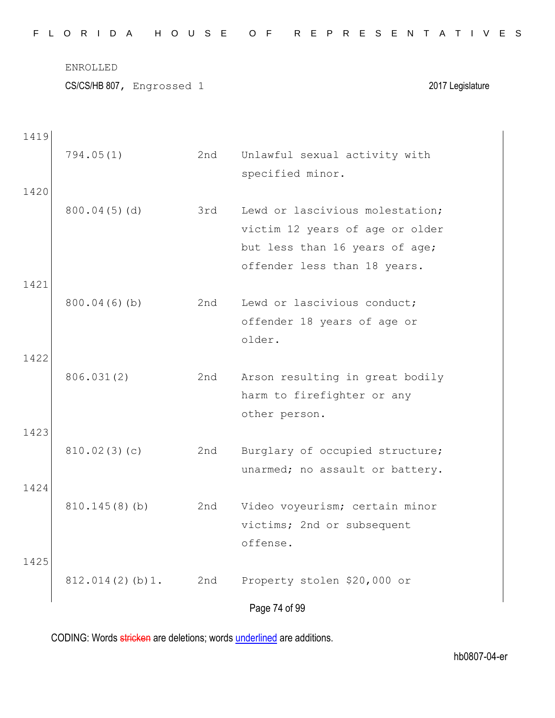|  |  |  |  |  |  | FLORIDA HOUSE OF REPRESENTATIVES |  |  |  |  |  |  |  |  |
|--|--|--|--|--|--|----------------------------------|--|--|--|--|--|--|--|--|
|  |  |  |  |  |  |                                  |  |  |  |  |  |  |  |  |

CS/CS/HB 807, Engrossed 1 2017 Legislature

Page 74 of 99 1419 794.05(1) 2nd Unlawful sexual activity with specified minor. 1420 800.04(5)(d) 3rd Lewd or lascivious molestation; victim 12 years of age or older but less than 16 years of age; offender less than 18 years. 1421 800.04(6)(b) 2nd Lewd or lascivious conduct; offender 18 years of age or older. 1422 806.031(2) 2nd Arson resulting in great bodily harm to firefighter or any other person. 1423 810.02(3)(c) 2nd Burglary of occupied structure; unarmed; no assault or battery. 1424 810.145(8)(b) 2nd Video voyeurism; certain minor victims; 2nd or subsequent offense. 1425 812.014(2)(b)1. 2nd Property stolen \$20,000 or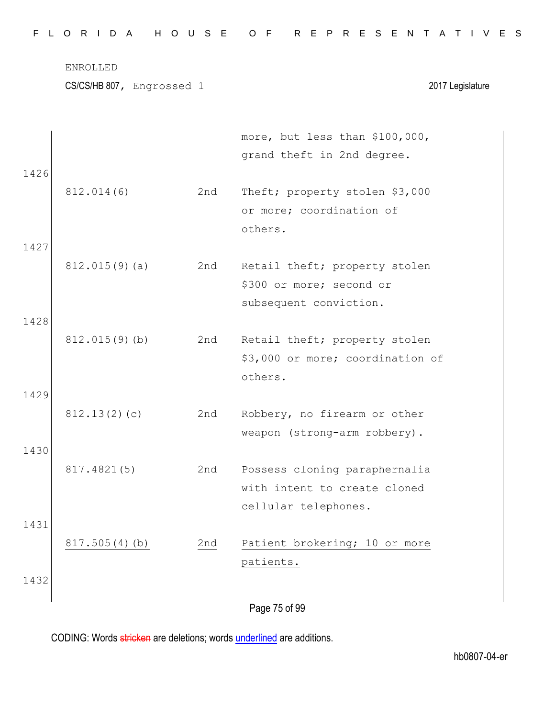| FLORIDA HOUSE OF REPRESENTATIVES |  |  |  |  |  |  |  |  |  |  |  |  |  |  |  |  |  |  |  |  |  |  |  |  |  |  |  |
|----------------------------------|--|--|--|--|--|--|--|--|--|--|--|--|--|--|--|--|--|--|--|--|--|--|--|--|--|--|--|
|----------------------------------|--|--|--|--|--|--|--|--|--|--|--|--|--|--|--|--|--|--|--|--|--|--|--|--|--|--|--|

CS/CS/HB 807, Engrossed 1 2017 Legislature

|      |               |     | more, but less than \$100,000,   |
|------|---------------|-----|----------------------------------|
|      |               |     | grand theft in 2nd degree.       |
| 1426 |               |     |                                  |
|      | 812.014(6)    | 2nd | Theft; property stolen \$3,000   |
|      |               |     | or more; coordination of         |
|      |               |     | others.                          |
| 1427 |               |     |                                  |
|      | 812.015(9)(a) | 2nd | Retail theft; property stolen    |
|      |               |     | \$300 or more; second or         |
|      |               |     | subsequent conviction.           |
| 1428 |               |     |                                  |
|      | 812.015(9)(b) | 2nd | Retail theft; property stolen    |
|      |               |     | \$3,000 or more; coordination of |
|      |               |     | others.                          |
| 1429 |               |     |                                  |
|      | 812.13(2)(c)  | 2nd | Robbery, no firearm or other     |
|      |               |     | weapon (strong-arm robbery).     |
| 1430 |               |     |                                  |
|      | 817.4821(5)   | 2nd | Possess cloning paraphernalia    |
|      |               |     | with intent to create cloned     |
|      |               |     | cellular telephones.             |
| 1431 |               |     |                                  |
|      | 817.505(4)(b) | 2nd | Patient brokering; 10 or more    |
|      |               |     | patients.                        |
| 1432 |               |     |                                  |
|      |               |     | Page 75 of 99                    |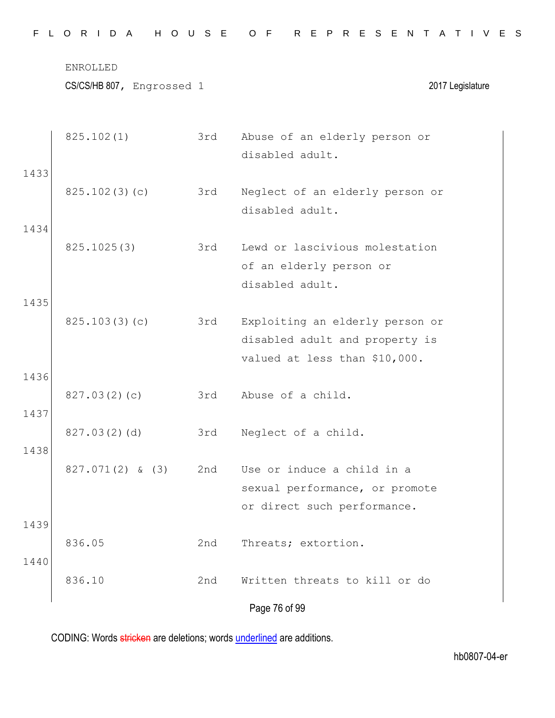|  |  |  |  |  |  |  |  | FLORIDA HOUSE OF REPRESENTATIVES |  |  |  |  |  |  |  |  |  |  |  |  |  |  |  |  |  |  |  |  |  |  |  |  |  |  |
|--|--|--|--|--|--|--|--|----------------------------------|--|--|--|--|--|--|--|--|--|--|--|--|--|--|--|--|--|--|--|--|--|--|--|--|--|--|
|--|--|--|--|--|--|--|--|----------------------------------|--|--|--|--|--|--|--|--|--|--|--|--|--|--|--|--|--|--|--|--|--|--|--|--|--|--|

|      | 825.102(1)         | 3rd | Abuse of an elderly person or<br>disabled adult. |
|------|--------------------|-----|--------------------------------------------------|
| 1433 |                    |     |                                                  |
|      | 825.102(3)(c)      | 3rd | Neglect of an elderly person or                  |
|      |                    |     | disabled adult.                                  |
| 1434 |                    |     |                                                  |
|      | 825.1025(3)        | 3rd | Lewd or lascivious molestation                   |
|      |                    |     | of an elderly person or<br>disabled adult.       |
| 1435 |                    |     |                                                  |
|      | 825.103(3)(c)      | 3rd | Exploiting an elderly person or                  |
|      |                    |     | disabled adult and property is                   |
|      |                    |     | valued at less than \$10,000.                    |
| 1436 |                    |     |                                                  |
| 1437 | 827.03(2)(c)       | 3rd | Abuse of a child.                                |
|      | 827.03(2)(d)       | 3rd | Neglect of a child.                              |
| 1438 |                    |     |                                                  |
|      | $827.071(2)$ & (3) | 2nd | Use or induce a child in a                       |
|      |                    |     | sexual performance, or promote                   |
|      |                    |     | or direct such performance.                      |
| 1439 | 836.05             | 2nd | Threats; extortion.                              |
| 1440 |                    |     |                                                  |
|      | 836.10             | 2nd | Written threats to kill or do                    |
|      |                    |     | Page 76 of 99                                    |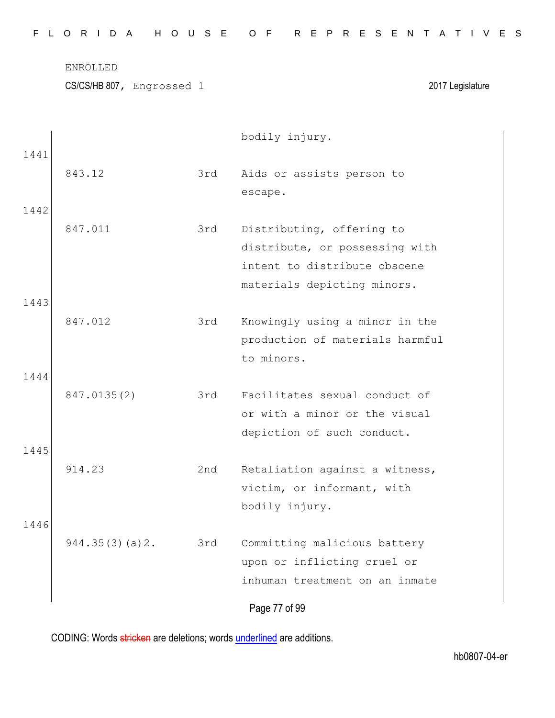CS/CS/HB 807, Engrossed 1 2017 Legislature

|      |                |     | bodily injury.                  |
|------|----------------|-----|---------------------------------|
| 1441 | 843.12         | 3rd | Aids or assists person to       |
|      |                |     | escape.                         |
| 1442 |                |     |                                 |
|      | 847.011        | 3rd | Distributing, offering to       |
|      |                |     | distribute, or possessing with  |
|      |                |     | intent to distribute obscene    |
|      |                |     | materials depicting minors.     |
| 1443 |                |     |                                 |
|      | 847.012        | 3rd | Knowingly using a minor in the  |
|      |                |     | production of materials harmful |
|      |                |     | to minors.                      |
| 1444 |                |     |                                 |
|      | 847.0135(2)    | 3rd | Facilitates sexual conduct of   |
|      |                |     | or with a minor or the visual   |
|      |                |     | depiction of such conduct.      |
| 1445 |                |     |                                 |
|      | 914.23         | 2nd | Retaliation against a witness,  |
|      |                |     | victim, or informant, with      |
|      |                |     | bodily injury.                  |
| 1446 |                |     |                                 |
|      | 944.35(3)(a)2. | 3rd | Committing malicious battery    |
|      |                |     | upon or inflicting cruel or     |
|      |                |     | inhuman treatment on an inmate  |
|      |                |     | Page 77 of 99                   |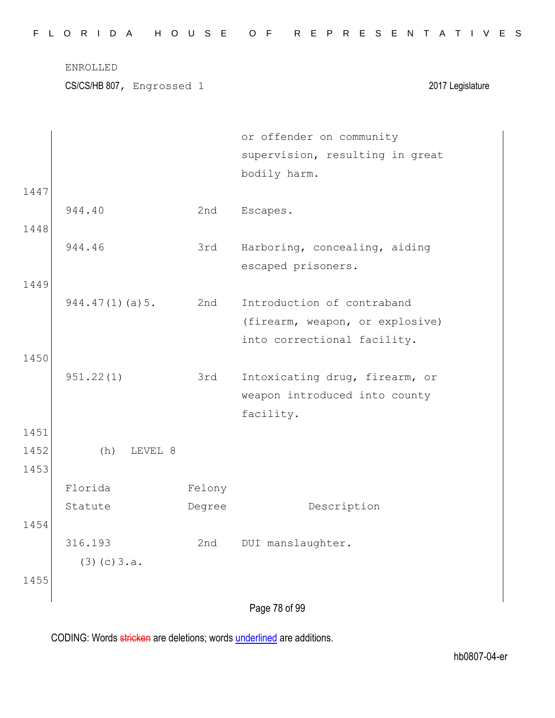|                      | <b>ENROLLED</b><br>CS/CS/HB 807, Engrossed 1 |                  | 2017 Legislature                                                                             |
|----------------------|----------------------------------------------|------------------|----------------------------------------------------------------------------------------------|
|                      |                                              |                  | or offender on community<br>supervision, resulting in great<br>bodily harm.                  |
| 1447<br>1448         | 944.40                                       | 2nd              | Escapes.                                                                                     |
|                      | 944.46                                       | 3rd              | Harboring, concealing, aiding<br>escaped prisoners.                                          |
| 1449                 | 944.47(1)(a)5.                               | 2nd              | Introduction of contraband<br>(firearm, weapon, or explosive)<br>into correctional facility. |
| 1450                 | 951.22(1)                                    | 3rd              | Intoxicating drug, firearm, or<br>weapon introduced into county<br>facility.                 |
| 1451<br>1452<br>1453 | (h)<br>LEVEL 8                               |                  |                                                                                              |
| 1454                 | Florida<br>Statute                           | Felony<br>Degree | Description                                                                                  |
|                      | 316.193<br>(3)(c)3.a.                        | 2nd              | DUI manslaughter.                                                                            |
| 1455                 |                                              |                  |                                                                                              |
|                      |                                              |                  | Page 78 of 99                                                                                |

F L O R I D A H O U S E O F R E P R E S E N T A T I V E S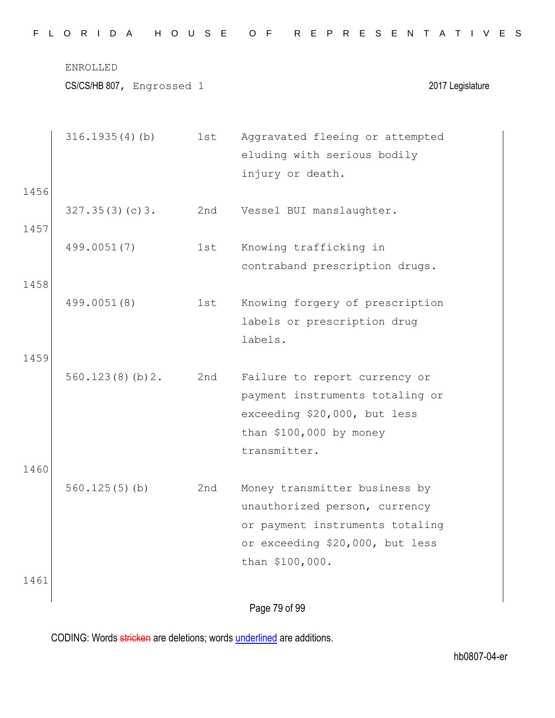|  |  |  |  |  |  |  |  | FLORIDA HOUSE OF REPRESENTATIVES |  |  |  |  |  |  |  |  |  |  |  |  |  |  |  |  |  |  |  |  |  |  |  |  |  |  |
|--|--|--|--|--|--|--|--|----------------------------------|--|--|--|--|--|--|--|--|--|--|--|--|--|--|--|--|--|--|--|--|--|--|--|--|--|--|
|--|--|--|--|--|--|--|--|----------------------------------|--|--|--|--|--|--|--|--|--|--|--|--|--|--|--|--|--|--|--|--|--|--|--|--|--|--|

| 1456         | 316.1935(4)(b)  | 1st | Aggravated fleeing or attempted<br>eluding with serious bodily<br>injury or death.                                                                      |
|--------------|-----------------|-----|---------------------------------------------------------------------------------------------------------------------------------------------------------|
| 1457         | 327.35(3)(c)3.  | 2nd | Vessel BUI manslaughter.                                                                                                                                |
|              | 499.0051(7)     | 1st | Knowing trafficking in<br>contraband prescription drugs.                                                                                                |
| 1458         | 499.0051(8)     | 1st | Knowing forgery of prescription<br>labels or prescription drug<br>labels.                                                                               |
| 1459         | 560.123(8)(b)2. | 2nd | Failure to report currency or<br>payment instruments totaling or<br>exceeding \$20,000, but less<br>than $$100,000$ by money<br>transmitter.            |
| 1460<br>1461 | 560.125(5)(b)   | 2nd | Money transmitter business by<br>unauthorized person, currency<br>or payment instruments totaling<br>or exceeding \$20,000, but less<br>than \$100,000. |
|              |                 |     |                                                                                                                                                         |

Page 79 of 99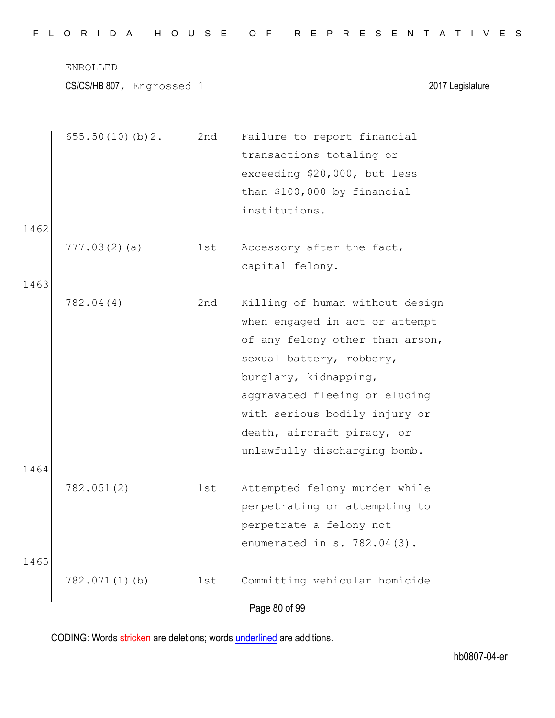CS/CS/HB 807, Engrossed 1 2017 Legislature

|      | 655.50(10)(b)2.  | 2nd | Failure to report financial     |
|------|------------------|-----|---------------------------------|
|      |                  |     | transactions totaling or        |
|      |                  |     | exceeding \$20,000, but less    |
|      |                  |     | than \$100,000 by financial     |
|      |                  |     | institutions.                   |
| 1462 |                  |     |                                 |
|      | 777.03(2)(a)     | 1st | Accessory after the fact,       |
|      |                  |     | capital felony.                 |
| 1463 |                  |     |                                 |
|      | 782.04(4)        | 2nd | Killing of human without design |
|      |                  |     | when engaged in act or attempt  |
|      |                  |     | of any felony other than arson, |
|      |                  |     | sexual battery, robbery,        |
|      |                  |     | burglary, kidnapping,           |
|      |                  |     | aggravated fleeing or eluding   |
|      |                  |     | with serious bodily injury or   |
|      |                  |     | death, aircraft piracy, or      |
|      |                  |     | unlawfully discharging bomb.    |
| 1464 |                  |     |                                 |
|      | 782.051(2)       | 1st | Attempted felony murder while   |
|      |                  |     | perpetrating or attempting to   |
|      |                  |     | perpetrate a felony not         |
|      |                  |     | enumerated in s. 782.04(3).     |
| 1465 |                  |     |                                 |
|      | $782.071(1)$ (b) | 1st | Committing vehicular homicide   |
|      |                  |     | Page 80 of 99                   |
|      |                  |     |                                 |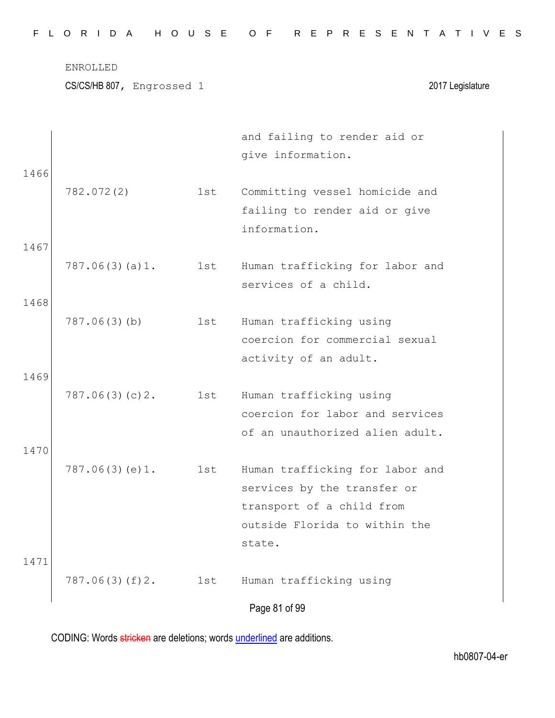| FLORIDA HOUSE OF REPRESENTATIVES |  |  |  |  |  |  |  |  |  |  |  |  |  |  |  |  |  |  |  |  |  |  |  |  |  |  |  |
|----------------------------------|--|--|--|--|--|--|--|--|--|--|--|--|--|--|--|--|--|--|--|--|--|--|--|--|--|--|--|
|----------------------------------|--|--|--|--|--|--|--|--|--|--|--|--|--|--|--|--|--|--|--|--|--|--|--|--|--|--|--|

CS/CS/HB 807, Engrossed 1 2017 Legislature

|      |                |     | and failing to render aid or    |
|------|----------------|-----|---------------------------------|
|      |                |     | give information.               |
| 1466 |                |     |                                 |
|      | 782.072(2)     | 1st | Committing vessel homicide and  |
|      |                |     | failing to render aid or give   |
|      |                |     | information.                    |
| 1467 |                |     |                                 |
|      | 787.06(3)(a)1. | 1st | Human trafficking for labor and |
|      |                |     | services of a child.            |
| 1468 |                |     |                                 |
|      | 787.06(3)(b)   | 1st | Human trafficking using         |
|      |                |     | coercion for commercial sexual  |
|      |                |     | activity of an adult.           |
| 1469 |                |     |                                 |
|      | 787.06(3)(c)2. | 1st | Human trafficking using         |
|      |                |     | coercion for labor and services |
|      |                |     | of an unauthorized alien adult. |
| 1470 |                |     |                                 |
|      | 787.06(3)(e)1. | 1st | Human trafficking for labor and |
|      |                |     | services by the transfer or     |
|      |                |     | transport of a child from       |
|      |                |     | outside Florida to within the   |
|      |                |     | state.                          |
| 1471 |                |     |                                 |
|      | 787.06(3)(f)2. | 1st | Human trafficking using         |
|      |                |     | Page 81 of 99                   |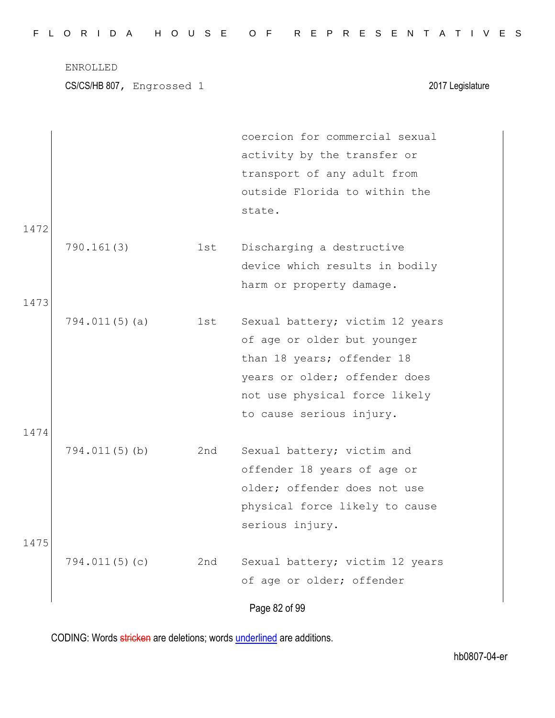|  |  |  |  |  |  | FLORIDA HOUSE OF REPRESENTATIVES |  |  |  |  |  |  |  |  |
|--|--|--|--|--|--|----------------------------------|--|--|--|--|--|--|--|--|
|  |  |  |  |  |  |                                  |  |  |  |  |  |  |  |  |

CS/CS/HB 807, Engrossed 1 2017 Legislature

|      |                  |     | coercion for commercial sexual  |
|------|------------------|-----|---------------------------------|
|      |                  |     | activity by the transfer or     |
|      |                  |     | transport of any adult from     |
|      |                  |     | outside Florida to within the   |
|      |                  |     | state.                          |
| 1472 |                  |     |                                 |
|      | 790.161(3)       | 1st | Discharging a destructive       |
|      |                  |     | device which results in bodily  |
|      |                  |     | harm or property damage.        |
| 1473 |                  |     |                                 |
|      | 794.011(5)(a)    | 1st | Sexual battery; victim 12 years |
|      |                  |     | of age or older but younger     |
|      |                  |     | than 18 years; offender 18      |
|      |                  |     | years or older; offender does   |
|      |                  |     | not use physical force likely   |
|      |                  |     | to cause serious injury.        |
| 1474 |                  |     |                                 |
|      | $794.011(5)$ (b) | 2nd | Sexual battery; victim and      |
|      |                  |     | offender 18 years of age or     |
|      |                  |     | older; offender does not use    |
|      |                  |     | physical force likely to cause  |
|      |                  |     | serious injury.                 |
| 1475 |                  |     |                                 |
|      | 794.011(5)(c)    | 2nd | Sexual battery; victim 12 years |
|      |                  |     | of age or older; offender       |
|      |                  |     |                                 |
|      |                  |     | Page 82 of 99                   |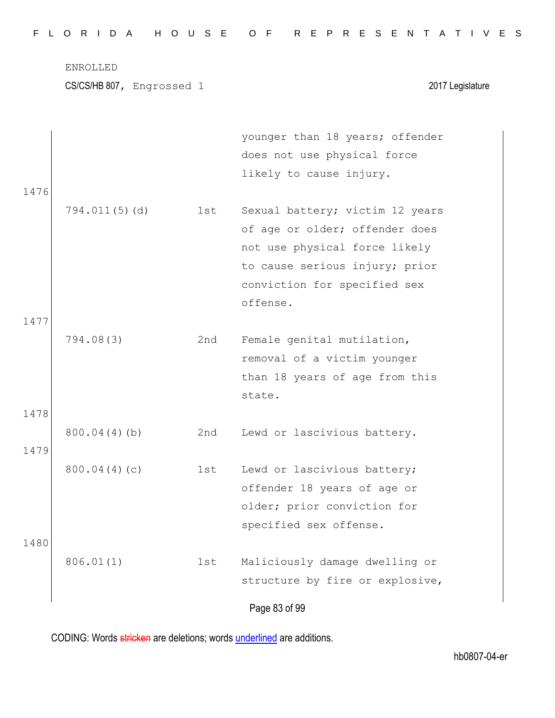| FLORIDA HOUSE OF REPRESENTATIVES |
|----------------------------------|
|----------------------------------|

Page 83 of 99 younger than 18 years; offender does not use physical force likely to cause injury. 1476 794.011(5)(d) 1st Sexual battery; victim 12 years of age or older; offender does not use physical force likely to cause serious injury; prior conviction for specified sex offense. 1477 794.08(3) 2nd Female genital mutilation, removal of a victim younger than 18 years of age from this state. 1478 800.04(4)(b) 2nd Lewd or lascivious battery. 1479 800.04(4)(c) 1st Lewd or lascivious battery; offender 18 years of age or older; prior conviction for specified sex offense. 1480 806.01(1) 1st Maliciously damage dwelling or structure by fire or explosive,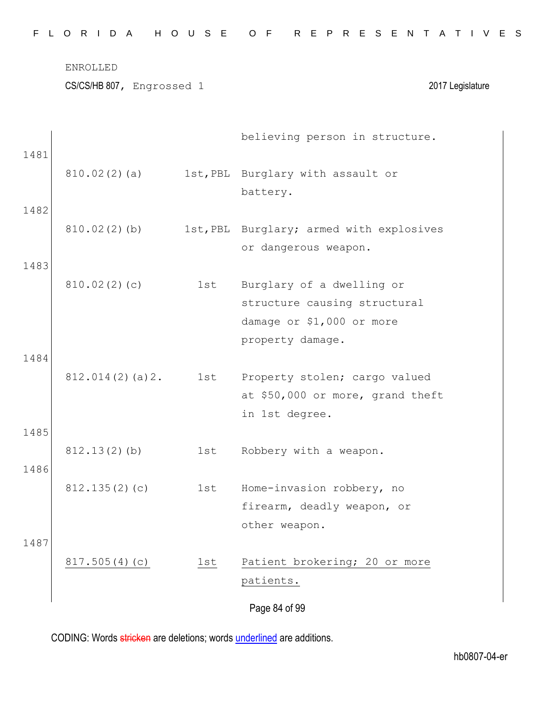|      | ENROLLED<br>CS/CS/HB 807, Engrossed 1 |     | 2017 Legislature                                                                    |
|------|---------------------------------------|-----|-------------------------------------------------------------------------------------|
| 1481 |                                       |     | believing person in structure.                                                      |
|      | 810.02(2)(a)                          |     | 1st, PBL Burglary with assault or<br>battery.                                       |
| 1482 |                                       |     |                                                                                     |
|      | 810.02(2)(b)                          |     | 1st, PBL Burglary; armed with explosives<br>or dangerous weapon.                    |
| 1483 | 810.02(2)(c)                          | 1st | Burglary of a dwelling or                                                           |
|      |                                       |     | structure causing structural<br>damage or \$1,000 or more                           |
| 1484 |                                       |     | property damage.                                                                    |
|      | 812.014(2)(a)2.                       | 1st | Property stolen; cargo valued<br>at \$50,000 or more, grand theft<br>in 1st degree. |
| 1485 | 812.13(2)(b)                          | 1st | Robbery with a weapon.                                                              |
| 1486 |                                       |     |                                                                                     |
|      | 812.135(2)(c)                         | 1st | Home-invasion robbery, no<br>firearm, deadly weapon, or                             |

F L O R I D A H O U S E O F R E P R E S E N T A T I V E S

1487 817.505(4)(c) 1st Patient brokering; 20 or more patients.

Page 84 of 99

other weapon.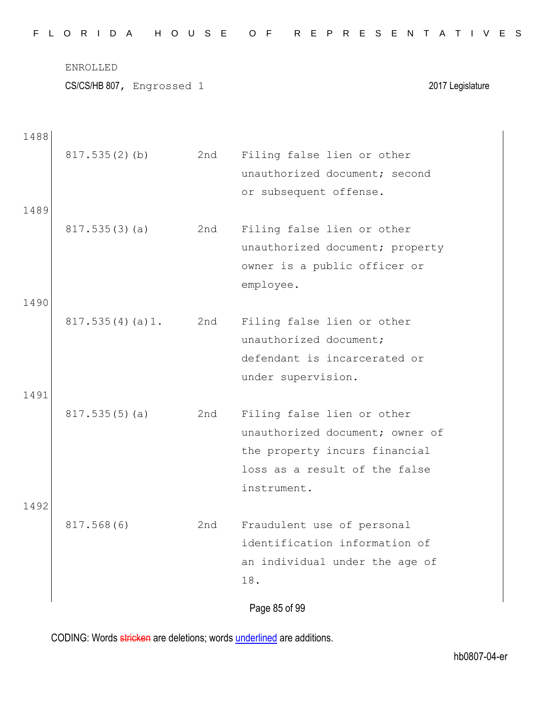|  |  |  |  |  |  | FLORIDA HOUSE OF REPRESENTATIVES |  |  |  |  |  |  |  |  |
|--|--|--|--|--|--|----------------------------------|--|--|--|--|--|--|--|--|
|  |  |  |  |  |  |                                  |  |  |  |  |  |  |  |  |

Page 85 of 99 1488 817.535(2)(b) 2nd Filing false lien or other unauthorized document; second or subsequent offense. 1489 817.535(3)(a) 2nd Filing false lien or other unauthorized document; property owner is a public officer or employee. 1490 817.535(4)(a)1. 2nd Filing false lien or other unauthorized document; defendant is incarcerated or under supervision. 1491 817.535(5)(a) 2nd Filing false lien or other unauthorized document; owner of the property incurs financial loss as a result of the false instrument. 1492 817.568(6) 2nd Fraudulent use of personal identification information of an individual under the age of 18.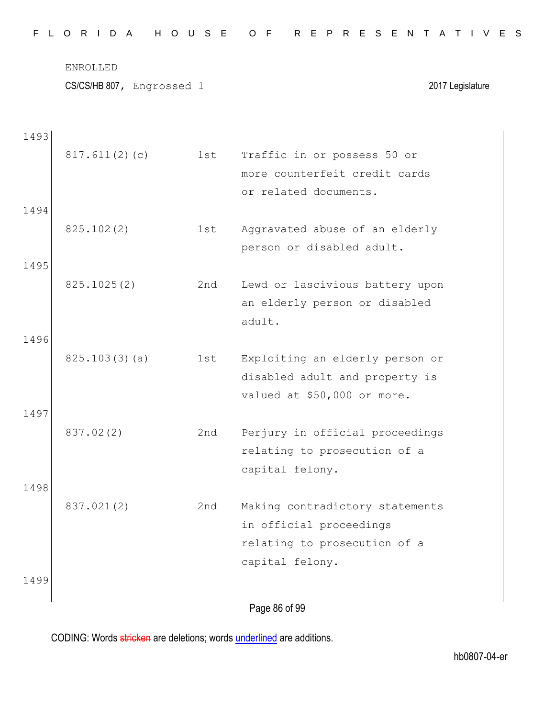|  |  |  |  |  |  | FLORIDA HOUSE OF REPRESENTATIVES |  |  |  |  |  |  |  |  |
|--|--|--|--|--|--|----------------------------------|--|--|--|--|--|--|--|--|
|  |  |  |  |  |  |                                  |  |  |  |  |  |  |  |  |

CS/CS/HB 807, Engrossed 1 2017 Legislature

| 1493 |               |     |                                 |
|------|---------------|-----|---------------------------------|
|      | 817.611(2)(c) | 1st | Traffic in or possess 50 or     |
|      |               |     | more counterfeit credit cards   |
|      |               |     | or related documents.           |
| 1494 |               |     |                                 |
|      | 825.102(2)    | 1st | Aggravated abuse of an elderly  |
|      |               |     | person or disabled adult.       |
| 1495 |               |     |                                 |
|      | 825.1025(2)   | 2nd | Lewd or lascivious battery upon |
|      |               |     | an elderly person or disabled   |
|      |               |     | adult.                          |
| 1496 |               |     |                                 |
|      | 825.103(3)(a) | 1st | Exploiting an elderly person or |
|      |               |     | disabled adult and property is  |
|      |               |     | valued at \$50,000 or more.     |
| 1497 |               |     |                                 |
|      | 837.02(2)     | 2nd | Perjury in official proceedings |
|      |               |     | relating to prosecution of a    |
|      |               |     | capital felony.                 |
| 1498 |               |     |                                 |
|      | 837.021(2)    | 2nd | Making contradictory statements |
|      |               |     | in official proceedings         |
|      |               |     | relating to prosecution of a    |
|      |               |     | capital felony.                 |
| 1499 |               |     |                                 |
|      |               |     | Page 86 of 99                   |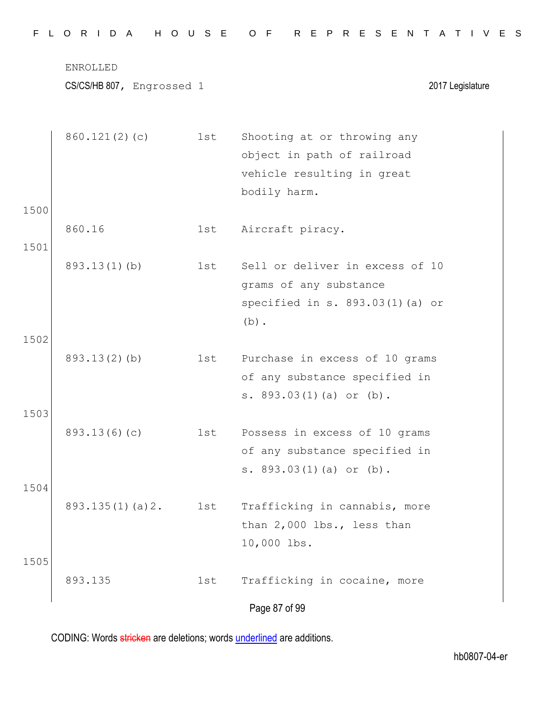|  |  |  |  |  |  |  |  | FLORIDA HOUSE OF REPRESENTATIVES |  |  |  |  |  |  |  |  |  |  |  |  |  |  |  |  |  |  |  |  |  |  |  |  |  |  |
|--|--|--|--|--|--|--|--|----------------------------------|--|--|--|--|--|--|--|--|--|--|--|--|--|--|--|--|--|--|--|--|--|--|--|--|--|--|
|--|--|--|--|--|--|--|--|----------------------------------|--|--|--|--|--|--|--|--|--|--|--|--|--|--|--|--|--|--|--|--|--|--|--|--|--|--|

|      | 860.121(2)(c)   | 1st | Shooting at or throwing any<br>object in path of railroad |
|------|-----------------|-----|-----------------------------------------------------------|
|      |                 |     | vehicle resulting in great<br>bodily harm.                |
| 1500 |                 |     |                                                           |
|      | 860.16          | 1st | Aircraft piracy.                                          |
| 1501 |                 |     |                                                           |
|      | $893.13(1)$ (b) | 1st | Sell or deliver in excess of 10                           |
|      |                 |     | grams of any substance                                    |
|      |                 |     | specified in s. $893.03(1)$ (a) or                        |
|      |                 |     | $(b)$ .                                                   |
| 1502 |                 |     |                                                           |
|      | 893.13(2)(b)    | 1st | Purchase in excess of 10 grams                            |
|      |                 |     | of any substance specified in                             |
| 1503 |                 |     | s. 893.03(1)(a) or (b).                                   |
|      | 893.13(6)(c)    | 1st | Possess in excess of 10 grams                             |
|      |                 |     | of any substance specified in                             |
|      |                 |     | s. $893.03(1)(a)$ or $(b)$ .                              |
| 1504 |                 |     |                                                           |
|      | 893.135(1)(a)2. | 1st | Trafficking in cannabis, more                             |
|      |                 |     | than 2,000 lbs., less than                                |
|      |                 |     | 10,000 lbs.                                               |
| 1505 |                 |     |                                                           |
|      | 893.135         | 1st | Trafficking in cocaine, more                              |
|      |                 |     | Page 87 of 99                                             |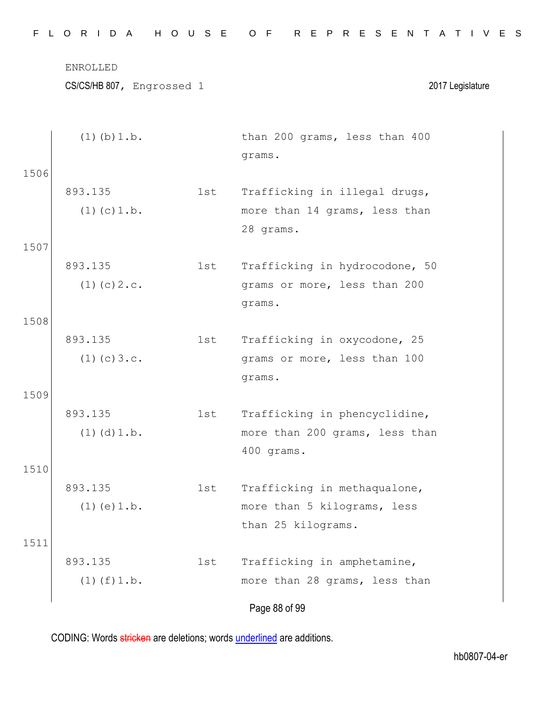|      | ENROLLED<br>CS/CS/HB 807, Engrossed 1 |     | 2017 Legislature               |
|------|---------------------------------------|-----|--------------------------------|
|      | $(1)$ (b) $1.b.$                      |     | than 200 grams, less than 400  |
| 1506 |                                       |     | grams.                         |
|      | 893.135                               | 1st | Trafficking in illegal drugs,  |
|      | $(1)$ (c) $1.b.$                      |     | more than 14 grams, less than  |
|      |                                       |     | 28 grams.                      |
| 1507 |                                       |     |                                |
|      | 893.135                               | 1st | Trafficking in hydrocodone, 50 |
|      | $(1)$ (c) $2 \cdot c$ .               |     | grams or more, less than 200   |
|      |                                       |     | grams.                         |
| 1508 |                                       |     |                                |

F L O R I D A H O U S E O F R E P R E S E N T A T I V E S

893.135  $(1)(c)3.c.$ 1st Trafficking in oxycodone, 25 grams or more, less than 100 grams.

893.135  $(1)(d)1.b.$ 1st Trafficking in phencyclidine, more than 200 grams, less than 400 grams.

893.135  $(1)(e)1.b.$ 1st Trafficking in methaqualone, more than 5 kilograms, less than 25 kilograms.

1511 893.135  $(1)(f)1.b.$ 1st Trafficking in amphetamine, more than 28 grams, less than

Page 88 of 99

CODING: Words stricken are deletions; words underlined are additions.

1509

1510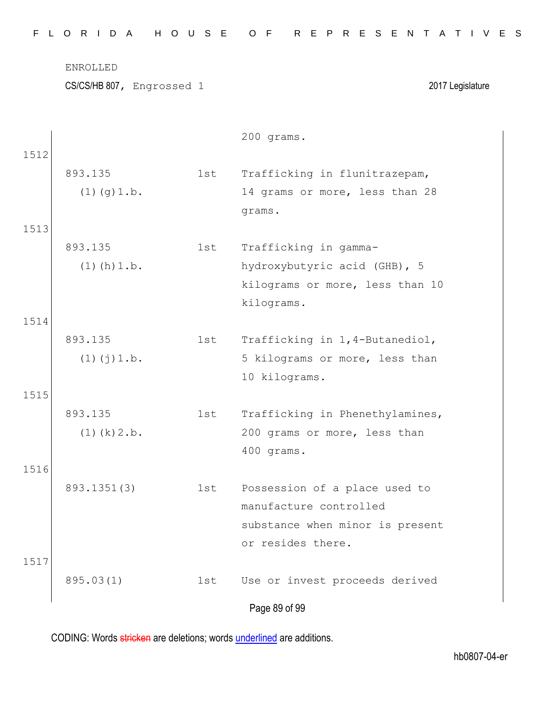|      | ENROLLED                  |     |                                            |
|------|---------------------------|-----|--------------------------------------------|
|      | CS/CS/HB 807, Engrossed 1 |     | 2017 Legislature                           |
|      |                           |     |                                            |
| 1512 |                           |     | 200 grams.                                 |
|      | 893.135                   | 1st | Trafficking in flunitrazepam,              |
|      | $(1)$ $(g)$ 1.b.          |     | 14 grams or more, less than 28             |
|      |                           |     | grams.                                     |
| 1513 |                           |     |                                            |
|      | 893.135                   | 1st | Trafficking in gamma-                      |
|      | $(1)$ (h) $1.b.$          |     | hydroxybutyric acid (GHB), 5               |
|      |                           |     | kilograms or more, less than 10            |
|      |                           |     | kilograms.                                 |
| 1514 |                           |     |                                            |
|      | 893.135                   | 1st | Trafficking in 1,4-Butanediol,             |
|      | $(1)$ $(j)$ $1.b.$        |     | 5 kilograms or more, less than             |
|      |                           |     | 10 kilograms.                              |
| 1515 |                           |     |                                            |
|      | 893.135                   | 1st | Trafficking in Phenethylamines,            |
|      | $(1)$ (k) $2.b$ .         |     | 200 grams or more, less than<br>400 grams. |
| 1516 |                           |     |                                            |
|      | 893.1351(3)               | 1st | Possession of a place used to              |
|      |                           |     | manufacture controlled                     |
|      |                           |     | substance when minor is present            |
|      |                           |     | or resides there.                          |
| 1517 |                           |     |                                            |
|      | 895.03(1)                 | 1st | Use or invest proceeds derived             |
|      |                           |     | Page 89 of 99                              |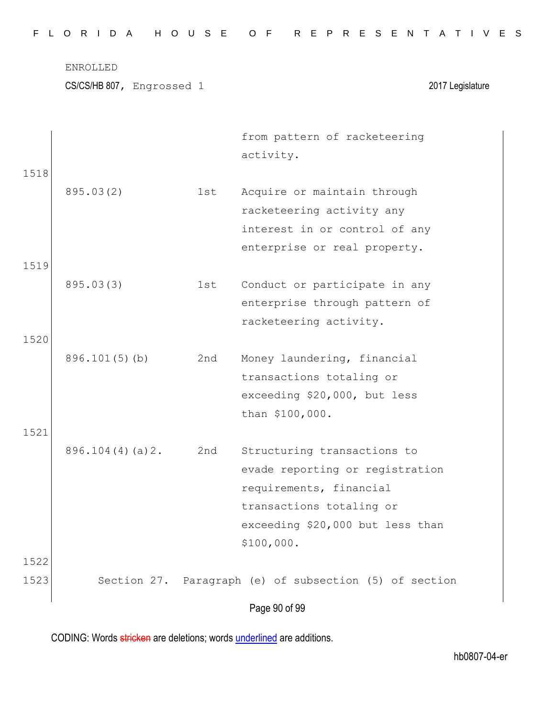CS/CS/HB 807, Engrossed 1 2017 Legislature

|      |                  |     | from pattern of racketeering                           |
|------|------------------|-----|--------------------------------------------------------|
|      |                  |     | activity.                                              |
| 1518 |                  |     |                                                        |
|      | 895.03(2)        | 1st | Acquire or maintain through                            |
|      |                  |     | racketeering activity any                              |
|      |                  |     | interest in or control of any                          |
|      |                  |     | enterprise or real property.                           |
| 1519 |                  |     |                                                        |
|      | 895.03(3)        | 1st | Conduct or participate in any                          |
|      |                  |     | enterprise through pattern of                          |
|      |                  |     | racketeering activity.                                 |
| 1520 |                  |     |                                                        |
|      | $896.101(5)$ (b) | 2nd | Money laundering, financial                            |
|      |                  |     | transactions totaling or                               |
|      |                  |     | exceeding \$20,000, but less                           |
|      |                  |     | than \$100,000.                                        |
| 1521 |                  |     |                                                        |
|      | 896.104(4)(a)2.  | 2nd | Structuring transactions to                            |
|      |                  |     | evade reporting or registration                        |
|      |                  |     | requirements, financial                                |
|      |                  |     | transactions totaling or                               |
|      |                  |     | exceeding \$20,000 but less than                       |
|      |                  |     | \$100,000.                                             |
| 1522 |                  |     |                                                        |
| 1523 |                  |     | Section 27. Paragraph (e) of subsection (5) of section |
|      |                  |     |                                                        |
|      |                  |     | Page 90 of 99                                          |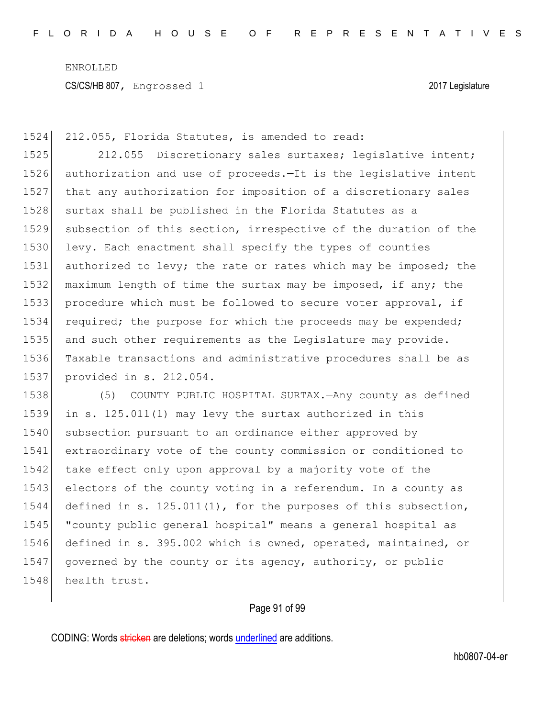1524 212.055, Florida Statutes, is amended to read:

1525 212.055 Discretionary sales surtaxes; legislative intent; authorization and use of proceeds.—It is the legislative intent that any authorization for imposition of a discretionary sales 1528 surtax shall be published in the Florida Statutes as a subsection of this section, irrespective of the duration of the 1530 levy. Each enactment shall specify the types of counties 1531 authorized to levy; the rate or rates which may be imposed; the maximum length of time the surtax may be imposed, if any; the procedure which must be followed to secure voter approval, if 1534 required; the purpose for which the proceeds may be expended; and such other requirements as the Legislature may provide. Taxable transactions and administrative procedures shall be as provided in s. 212.054.

1538 (5) COUNTY PUBLIC HOSPITAL SURTAX.—Any county as defined 1539 in s. 125.011(1) may levy the surtax authorized in this 1540 subsection pursuant to an ordinance either approved by 1541 extraordinary vote of the county commission or conditioned to 1542 take effect only upon approval by a majority vote of the 1543 electors of the county voting in a referendum. In a county as 1544 defined in s. 125.011(1), for the purposes of this subsection, 1545 "county public general hospital" means a general hospital as 1546 defined in s. 395.002 which is owned, operated, maintained, or 1547 governed by the county or its agency, authority, or public 1548 health trust.

## Page 91 of 99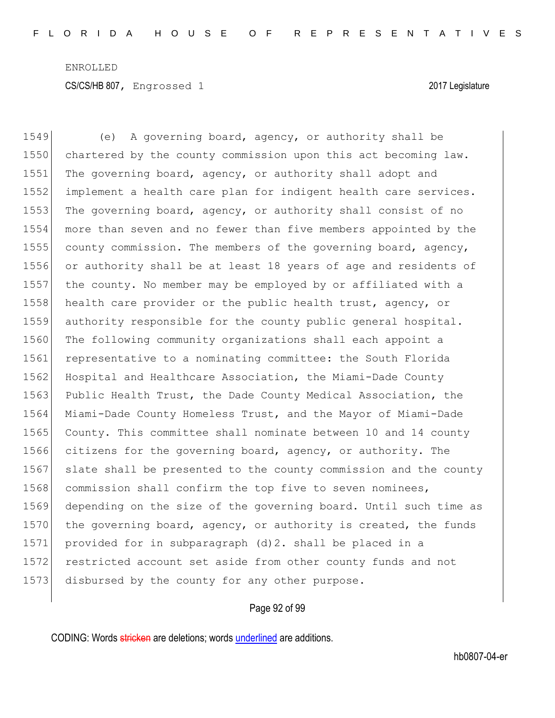1549 (e) A governing board, agency, or authority shall be 1550 chartered by the county commission upon this act becoming law. 1551 The governing board, agency, or authority shall adopt and 1552 implement a health care plan for indigent health care services. 1553 The governing board, agency, or authority shall consist of no 1554 more than seven and no fewer than five members appointed by the 1555 county commission. The members of the governing board, agency, 1556 or authority shall be at least 18 years of age and residents of 1557 the county. No member may be employed by or affiliated with a 1558 health care provider or the public health trust, agency, or 1559 authority responsible for the county public general hospital. 1560 The following community organizations shall each appoint a 1561 representative to a nominating committee: the South Florida 1562 Hospital and Healthcare Association, the Miami-Dade County 1563 Public Health Trust, the Dade County Medical Association, the 1564 Miami-Dade County Homeless Trust, and the Mayor of Miami-Dade 1565 County. This committee shall nominate between 10 and 14 county 1566 citizens for the governing board, agency, or authority. The 1567 slate shall be presented to the county commission and the county 1568 commission shall confirm the top five to seven nominees, 1569 depending on the size of the governing board. Until such time as 1570 the governing board, agency, or authority is created, the funds 1571 provided for in subparagraph (d)2. shall be placed in a 1572 restricted account set aside from other county funds and not 1573 disbursed by the county for any other purpose.

#### Page 92 of 99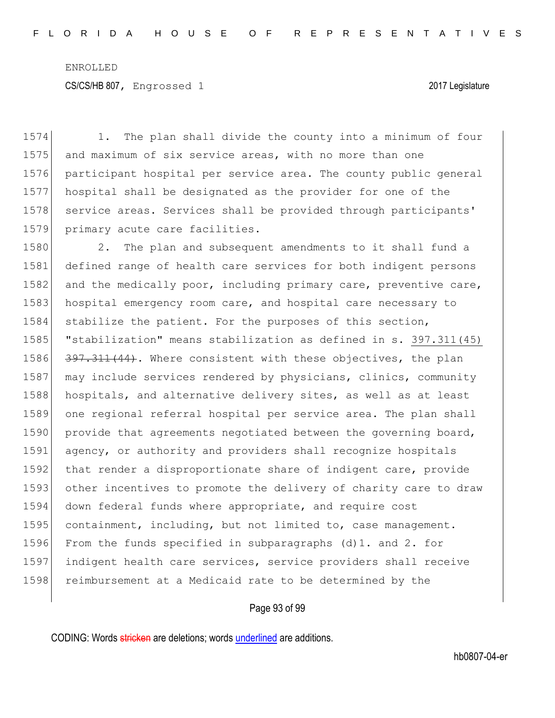1574 1. The plan shall divide the county into a minimum of four 1575 and maximum of six service areas, with no more than one 1576 participant hospital per service area. The county public general 1577 hospital shall be designated as the provider for one of the 1578 service areas. Services shall be provided through participants' 1579 primary acute care facilities.

1580 2. The plan and subsequent amendments to it shall fund a 1581 defined range of health care services for both indigent persons 1582 and the medically poor, including primary care, preventive care, 1583 hospital emergency room care, and hospital care necessary to 1584 stabilize the patient. For the purposes of this section, 1585 "stabilization" means stabilization as defined in s. 397.311(45) 1586 397.311(44). Where consistent with these objectives, the plan 1587 may include services rendered by physicians, clinics, community 1588 hospitals, and alternative delivery sites, as well as at least 1589 one regional referral hospital per service area. The plan shall 1590 provide that agreements negotiated between the governing board, 1591 agency, or authority and providers shall recognize hospitals 1592 that render a disproportionate share of indigent care, provide 1593 other incentives to promote the delivery of charity care to draw 1594 down federal funds where appropriate, and require cost 1595 containment, including, but not limited to, case management. 1596 From the funds specified in subparagraphs (d)1. and 2. for 1597 indigent health care services, service providers shall receive 1598 reimbursement at a Medicaid rate to be determined by the

Page 93 of 99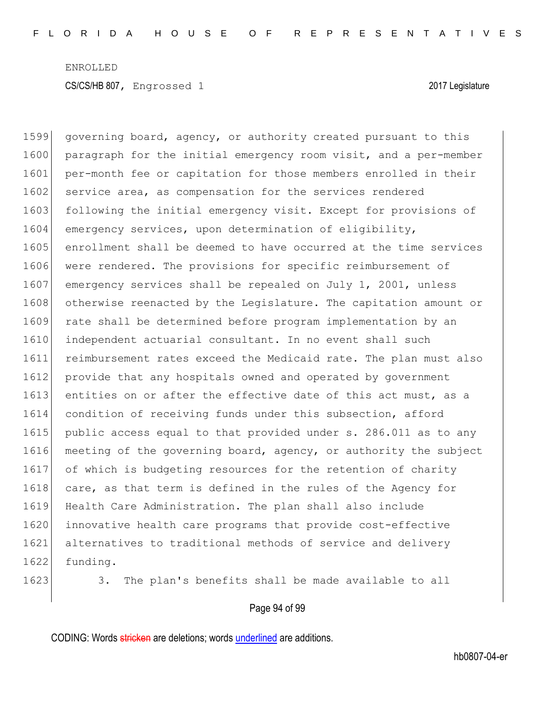1599 governing board, agency, or authority created pursuant to this 1600 paragraph for the initial emergency room visit, and a per-member 1601 per-month fee or capitation for those members enrolled in their 1602 service area, as compensation for the services rendered 1603 following the initial emergency visit. Except for provisions of 1604 emergency services, upon determination of eligibility, 1605 enrollment shall be deemed to have occurred at the time services 1606 were rendered. The provisions for specific reimbursement of 1607 emergency services shall be repealed on July 1, 2001, unless 1608 otherwise reenacted by the Legislature. The capitation amount or 1609 rate shall be determined before program implementation by an 1610 independent actuarial consultant. In no event shall such 1611 reimbursement rates exceed the Medicaid rate. The plan must also 1612 provide that any hospitals owned and operated by government 1613 entities on or after the effective date of this act must, as a 1614 condition of receiving funds under this subsection, afford 1615 public access equal to that provided under s. 286.011 as to any 1616 meeting of the governing board, agency, or authority the subject 1617 of which is budgeting resources for the retention of charity 1618 care, as that term is defined in the rules of the Agency for 1619 Health Care Administration. The plan shall also include 1620 innovative health care programs that provide cost-effective 1621 alternatives to traditional methods of service and delivery 1622 funding.

1623 3. The plan's benefits shall be made available to all

#### Page 94 of 99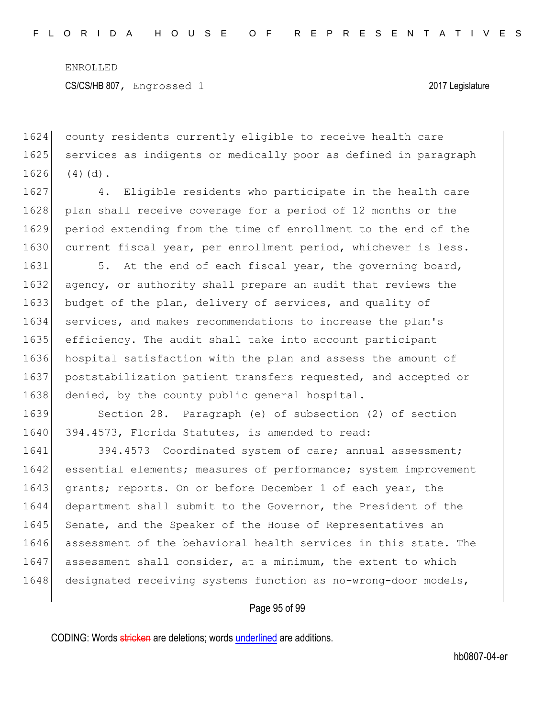1624 county residents currently eligible to receive health care 1625 services as indigents or medically poor as defined in paragraph  $1626$  (4)(d).

1627 4. Eligible residents who participate in the health care 1628 plan shall receive coverage for a period of 12 months or the 1629 period extending from the time of enrollment to the end of the 1630 current fiscal year, per enrollment period, whichever is less.

1631 5. At the end of each fiscal year, the governing board, 1632 agency, or authority shall prepare an audit that reviews the 1633 budget of the plan, delivery of services, and quality of 1634 services, and makes recommendations to increase the plan's 1635 efficiency. The audit shall take into account participant 1636 hospital satisfaction with the plan and assess the amount of 1637 poststabilization patient transfers requested, and accepted or 1638 denied, by the county public general hospital.

1639 Section 28. Paragraph (e) of subsection (2) of section 1640 394.4573, Florida Statutes, is amended to read:

1641 394.4573 Coordinated system of care; annual assessment; 1642 essential elements; measures of performance; system improvement 1643 grants; reports.—On or before December 1 of each year, the 1644 department shall submit to the Governor, the President of the 1645 Senate, and the Speaker of the House of Representatives an 1646 assessment of the behavioral health services in this state. The 1647 assessment shall consider, at a minimum, the extent to which 1648 designated receiving systems function as no-wrong-door models,

#### Page 95 of 99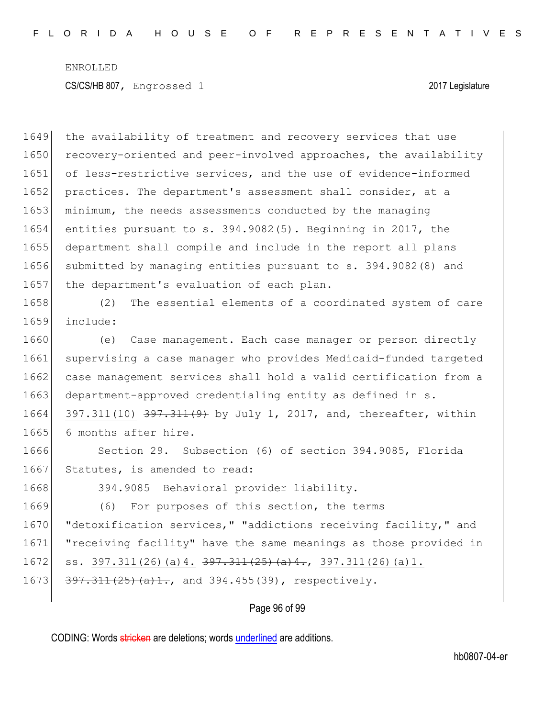1649 the availability of treatment and recovery services that use 1650 recovery-oriented and peer-involved approaches, the availability 1651 of less-restrictive services, and the use of evidence-informed 1652 practices. The department's assessment shall consider, at a 1653 minimum, the needs assessments conducted by the managing 1654 entities pursuant to s. 394.9082(5). Beginning in 2017, the 1655 department shall compile and include in the report all plans 1656 submitted by managing entities pursuant to s. 394.9082(8) and 1657 the department's evaluation of each plan. 1658 (2) The essential elements of a coordinated system of care 1659 include: 1660 (e) Case management. Each case manager or person directly 1661 supervising a case manager who provides Medicaid-funded targeted 1662 case management services shall hold a valid certification from a 1663 department-approved credentialing entity as defined in s. 1664 397.311(10) 397.311(9) by July 1, 2017, and, thereafter, within 1665 6 months after hire. 1666 Section 29. Subsection (6) of section 394.9085, Florida 1667 Statutes, is amended to read: 1668 394.9085 Behavioral provider liability.— 1669 (6) For purposes of this section, the terms 1670 **"**detoxification services," "addictions receiving facility," and 1671 "receiving facility" have the same meanings as those provided in 1672 ss. 397.311(26)(a)4. <del>397.311(25)(a)4.</del>, 397.311(26)(a)1. 1673  $\left| \frac{397.311(25)(a)+1}{25}(a)+1 \right|$ , and 394.455(39), respectively.

#### Page 96 of 99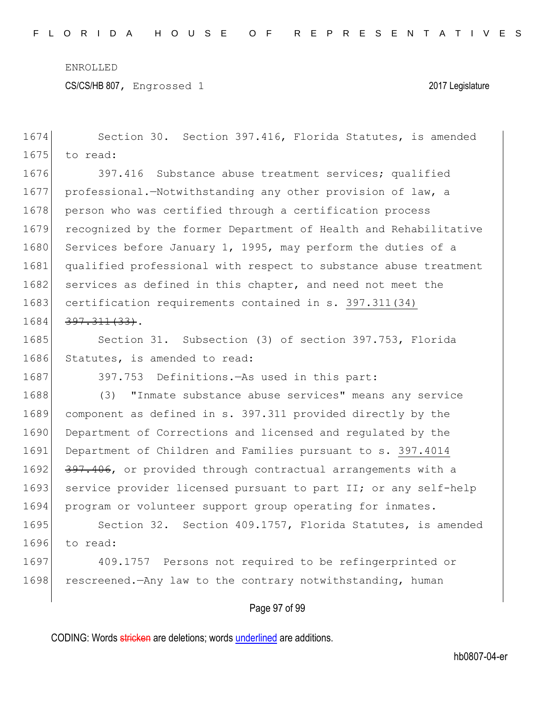CS/CS/HB 807, Engrossed 1 2017 Legislature

|      | Page 97 of 99                                                    |  |  |  |
|------|------------------------------------------------------------------|--|--|--|
| 1698 | rescreened. - Any law to the contrary notwithstanding, human     |  |  |  |
| 1697 | 409.1757 Persons not required to be refingerprinted or           |  |  |  |
| 1696 | to read:                                                         |  |  |  |
| 1695 | Section 32. Section 409.1757, Florida Statutes, is amended       |  |  |  |
| 1694 | program or volunteer support group operating for inmates.        |  |  |  |
| 1693 | service provider licensed pursuant to part II; or any self-help  |  |  |  |
| 1692 | 397.406, or provided through contractual arrangements with a     |  |  |  |
| 1691 | Department of Children and Families pursuant to s. 397.4014      |  |  |  |
| 1690 | Department of Corrections and licensed and regulated by the      |  |  |  |
| 1689 | component as defined in s. 397.311 provided directly by the      |  |  |  |
| 1688 | "Inmate substance abuse services" means any service<br>(3)       |  |  |  |
| 1687 | 397.753 Definitions. - As used in this part:                     |  |  |  |
| 1686 | Statutes, is amended to read:                                    |  |  |  |
| 1685 | Section 31. Subsection (3) of section 397.753, Florida           |  |  |  |
| 1684 | $397.311(33)$ .                                                  |  |  |  |
| 1683 | certification requirements contained in s. 397.311(34)           |  |  |  |
| 1682 | services as defined in this chapter, and need not meet the       |  |  |  |
| 1681 | qualified professional with respect to substance abuse treatment |  |  |  |
| 1680 | Services before January 1, 1995, may perform the duties of a     |  |  |  |
| 1679 | recognized by the former Department of Health and Rehabilitative |  |  |  |
| 1678 | person who was certified through a certification process         |  |  |  |
| 1677 | professional.-Notwithstanding any other provision of law, a      |  |  |  |
| 1676 | 397.416 Substance abuse treatment services; qualified            |  |  |  |
| 1675 | to read:                                                         |  |  |  |
| 1674 | Section 30. Section 397.416, Florida Statutes, is amended        |  |  |  |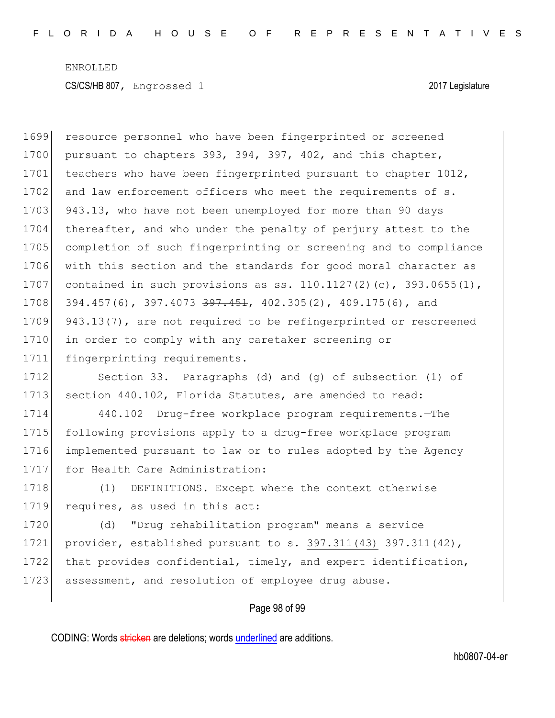1699 resource personnel who have been fingerprinted or screened 1700 pursuant to chapters 393, 394, 397, 402, and this chapter, 1701 teachers who have been fingerprinted pursuant to chapter 1012, 1702 and law enforcement officers who meet the requirements of s. 1703 943.13, who have not been unemployed for more than 90 days 1704 thereafter, and who under the penalty of perjury attest to the 1705 completion of such fingerprinting or screening and to compliance 1706 with this section and the standards for good moral character as 1707 contained in such provisions as ss.  $110.1127(2)(c)$ , 393.0655 $(1)$ , 1708 394.457(6), 397.4073 <del>397.451</del>, 402.305(2), 409.175(6), and 1709 943.13(7), are not required to be refingerprinted or rescreened 1710 in order to comply with any caretaker screening or 1711 fingerprinting requirements.

1712 Section 33. Paragraphs (d) and (g) of subsection (1) of 1713 section 440.102, Florida Statutes, are amended to read:

1714 440.102 Drug-free workplace program requirements.—The 1715 following provisions apply to a drug-free workplace program 1716 implemented pursuant to law or to rules adopted by the Agency 1717 for Health Care Administration:

1718 (1) DEFINITIONS.-Except where the context otherwise 1719 requires, as used in this act:

1720 (d) "Drug rehabilitation program" means a service 1721 provider, established pursuant to s.  $397.311(43)$   $397.311(42)$ , 1722 that provides confidential, timely, and expert identification, 1723 assessment, and resolution of employee drug abuse.

### Page 98 of 99